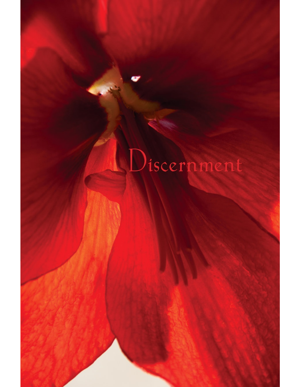# Discernment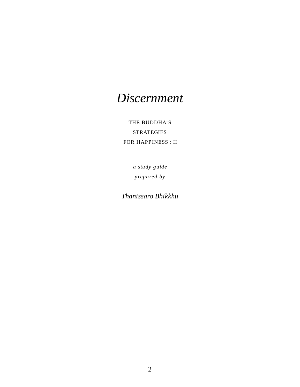# *Discernment*

THE BUDDHA'S **STRATEGIES** FOR HAPPINESS : II

> *a study guide prepared by*

*Thanissaro Bhikkhu*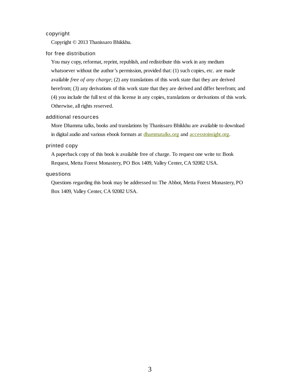#### copyright

Copyright © 2013 Thanissaro Bhikkhu.

#### for free distribution

You may copy, reformat, reprint, republish, and redistribute this work in any medium whatsoever without the author's permission, provided that: (1) such copies, etc. are made available *free of any charge*; (2) any translations of this work state that they are derived herefrom; (3) any derivations of this work state that they are derived and differ herefrom; and (4) you include the full text of this license in any copies, translations or derivations of this work. Otherwise, all rights reserved.

#### additional resources

More Dhamma talks, books and translations by Thanissaro Bhikkhu are available to download in digital audio and various ebook formats at [dhammatalks.org](http://www.dhammatalks.org/) and [accesstoinsight.org.](http://www.accesstoinsight.org/lib/authors/thanissaro/)

#### printed copy

A paperback copy of this book is available free of charge. To request one write to: Book Request, Metta Forest Monastery, PO Box 1409, Valley Center, CA 92082 USA.

#### questions

Questions regarding this book may be addressed to: The Abbot, Metta Forest Monastery, PO Box 1409, Valley Center, CA 92082 USA.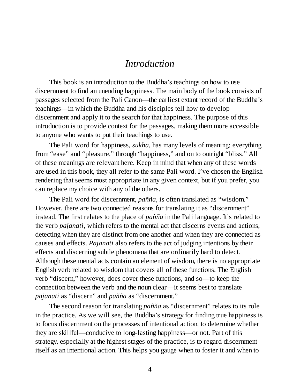### *Introduction*

This book is an introduction to the Buddha's teachings on how to use discernment to find an unending happiness. The main body of the book consists of passages selected from the Pali Canon—the earliest extant record of the Buddha's teachings—in which the Buddha and his disciples tell how to develop discernment and apply it to the search for that happiness. The purpose of this introduction is to provide context for the passages, making them more accessible to anyone who wants to put their teachings to use.

The Pali word for happiness, *sukha,* has many levels of meaning: everything from "ease" and "pleasure," through "happiness," and on to outright "bliss." All of these meanings are relevant here. Keep in mind that when any of these words are used in this book, they all refer to the same Pali word. I've chosen the English rendering that seems most appropriate in any given context, but if you prefer, you can replace my choice with any of the others.

The Pali word for discernment, *pañña,* is often translated as "wisdom." However, there are two connected reasons for translating it as "discernment" instead. The first relates to the place of *pañña* in the Pali language. It's related to the verb *pajanati,* which refers to the mental act that discerns events and actions, detecting when they are distinct from one another and when they are connected as causes and effects. *Pajanati* also refers to the act of judging intentions by their effects and discerning subtle phenomena that are ordinarily hard to detect. Although these mental acts contain an element of wisdom, there is no appropriate English verb related to wisdom that covers all of these functions. The English verb "discern," however, does cover these functions, and so—to keep the connection between the verb and the noun clear—it seems best to translate *pajanati* as "discern" and *pañña* as "discernment."

The second reason for translating *pañña* as "discernment" relates to its role in the practice. As we will see, the Buddha's strategy for finding true happiness is to focus discernment on the processes of intentional action, to determine whether they are skillful—conducive to long-lasting happiness—or not. Part of this strategy, especially at the highest stages of the practice, is to regard discernment itself as an intentional action. This helps you gauge when to foster it and when to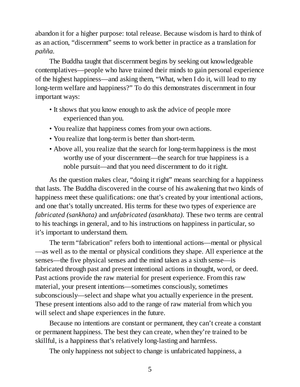abandon it for a higher purpose: total release. Because wisdom is hard to think of as an action, "discernment" seems to work better in practice as a translation for *pañña.*

The Buddha taught that discernment begins by seeking out knowledgeable contemplatives—people who have trained their minds to gain personal experience of the highest happiness—and asking them, "What, when I do it, will lead to my long-term welfare and happiness?" To do this demonstrates discernment in four important ways:

- It shows that you know enough to ask the advice of people more experienced than you.
- You realize that happiness comes from your own actions.
- You realize that long-term is better than short-term.
- Above all, you realize that the search for long-term happiness is the most worthy use of your discernment—the search for true happiness is a noble pursuit—and that you need discernment to do it right.

As the question makes clear, "doing it right" means searching for a happiness that lasts. The Buddha discovered in the course of his awakening that two kinds of happiness meet these qualifications: one that's created by your intentional actions, and one that's totally uncreated. His terms for these two types of experience are *fabricated (sankhata)* and *unfabricated (asankhata).* These two terms are central to his teachings in general, and to his instructions on happiness in particular, so it's important to understand them.

The term "fabrication" refers both to intentional actions—mental or physical —as well as to the mental or physical conditions they shape. All experience at the senses—the five physical senses and the mind taken as a sixth sense—is fabricated through past and present intentional actions in thought, word, or deed. Past actions provide the raw material for present experience. From this raw material, your present intentions—sometimes consciously, sometimes subconsciously—select and shape what you actually experience in the present. These present intentions also add to the range of raw material from which you will select and shape experiences in the future.

Because no intentions are constant or permanent, they can't create a constant or permanent happiness. The best they can create, when they're trained to be skillful, is a happiness that's relatively long-lasting and harmless.

The only happiness not subject to change is unfabricated happiness, a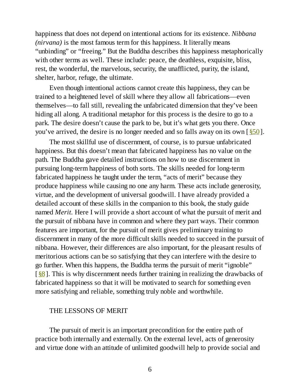happiness that does not depend on intentional actions for its existence. *Nibbana (nirvana)* is the most famous term for this happiness. It literally means "unbinding" or "freeing." But the Buddha describes this happiness metaphorically with other terms as well. These include: peace, the deathless, exquisite, bliss, rest, the wonderful, the marvelous, security, the unafflicted, purity, the island, shelter, harbor, refuge, the ultimate.

Even though intentional actions cannot create this happiness, they can be trained to a heightened level of skill where they allow all fabrications—even themselves—to fall still, revealing the unfabricated dimension that they've been hiding all along. A traditional metaphor for this process is the desire to go to a park. The desire doesn't cause the park to be, but it's what gets you there. Once you've arrived, the desire is no longer needed and so falls away on its own  $\lceil \frac{850}{9} \rceil$ .

The most skillful use of discernment, of course, is to pursue unfabricated happiness. But this doesn't mean that fabricated happiness has no value on the path. The Buddha gave detailed instructions on how to use discernment in pursuing long-term happiness of both sorts. The skills needed for long-term fabricated happiness he taught under the term, "acts of merit" because they produce happiness while causing no one any harm. These acts include generosity, virtue, and the development of universal goodwill. I have already provided a detailed account of these skills in the companion to this book, the study guide named *Merit.* Here I will provide a short account of what the pursuit of merit and the pursuit of nibbana have in common and where they part ways. Their common features are important, for the pursuit of merit gives preliminary training to discernment in many of the more difficult skills needed to succeed in the pursuit of nibbana. However, their differences are also important, for the pleasant results of meritorious actions can be so satisfying that they can interfere with the desire to go further. When this happens, the Buddha terms the pursuit of merit "ignoble"  $\lceil \frac{88}{1} \rceil$ . This is why discernment needs further training in realizing the drawbacks of fabricated happiness so that it will be motivated to search for something even more satisfying and reliable, something truly noble and worthwhile.

#### THE LESSONS OF MERIT

The pursuit of merit is an important precondition for the entire path of practice both internally and externally. On the external level, acts of generosity and virtue done with an attitude of unlimited goodwill help to provide social and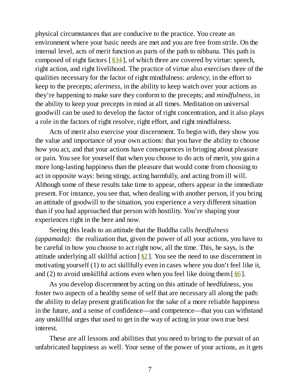physical circumstances that are conducive to the practice. You create an environment where your basic needs are met and you are free from strife. On the internal level, acts of merit function as parts of the path to nibbana. This path is composed of eight factors  $\lceil \frac{834}{931} \rceil$ , of which three are covered by virtue: speech, right action, and right livelihood. The practice of virtue also exercises three of the qualities necessary for the factor of right mindfulness: *ardency,* in the effort to keep to the precepts; *alertness,* in the ability to keep watch over your actions as they're happening to make sure they conform to the precepts; and *mindfulness,* in the ability to keep your precepts in mind at all times. Meditation on universal goodwill can be used to develop the factor of right concentration, and it also plays a role in the factors of right resolve, right effort, and right mindfulness.

Acts of merit also exercise your discernment. To begin with, they show you the value and importance of your own actions: that you have the ability to choose how you act, and that your actions have consequences in bringing about pleasure or pain. You see for yourself that when you choose to do acts of merit, you gain a more long-lasting happiness than the pleasure that would come from choosing to act in opposite ways: being stingy, acting harmfully, and acting from ill will. Although some of these results take time to appear, others appear in the immediate present. For instance, you see that, when dealing with another person, if you bring an attitude of goodwill to the situation, you experience a very different situation than if you had approached that person with hostility. You're shaping your experiences right in the here and now.

Seeing this leads to an attitude that the Buddha calls *heedfulness (appamada):* the realization that, given the power of all your actions, you have to be careful in how you choose to act right now, all the time. This, he says, is the attitude underlying all skillful action  $\left[\frac{S}{2}\right]$ . You see the need to use discernment in motivating yourself (1) to act skillfully even in cases where you don't feel like it, and (2) to avoid unskillful actions even when you feel like doing them  $\lceil \frac{6}{56} \rceil$ .

As you develop discernment by acting on this attitude of heedfulness, you foster two aspects of a healthy sense of self that are necessary all along the path: the ability to delay present gratification for the sake of a more reliable happiness in the future, and a sense of confidence—and competence—that you can withstand any unskillful urges that used to get in the way of acting in your own true best interest.

These are all lessons and abilities that you need to bring to the pursuit of an unfabricated happiness as well. Your sense of the power of your actions, as it gets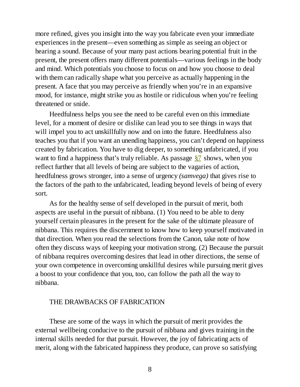more refined, gives you insight into the way you fabricate even your immediate experiences in the present—even something as simple as seeing an object or hearing a sound. Because of your many past actions bearing potential fruit in the present, the present offers many different potentials—various feelings in the body and mind. Which potentials you choose to focus on and how you choose to deal with them can radically shape what you perceive as actually happening in the present. A face that you may perceive as friendly when you're in an expansive mood, for instance, might strike you as hostile or ridiculous when you're feeling threatened or snide.

Heedfulness helps you see the need to be careful even on this immediate level, for a moment of desire or dislike can lead you to see things in ways that will impel you to act unskillfully now and on into the future. Heedfulness also teaches you that if you want an unending happiness, you can't depend on happiness created by fabrication. You have to dig deeper, to something unfabricated, if you want to find a happiness that's truly reliable. As passage  $\S$  shows, when you reflect further that all levels of being are subject to the vagaries of action, heedfulness grows stronger, into a sense of urgency *(samvega)* that gives rise to the factors of the path to the unfabricated, leading beyond levels of being of every sort.

As for the healthy sense of self developed in the pursuit of merit, both aspects are useful in the pursuit of nibbana. (1) You need to be able to deny yourself certain pleasures in the present for the sake of the ultimate pleasure of nibbana. This requires the discernment to know how to keep yourself motivated in that direction. When you read the selections from the Canon, take note of how often they discuss ways of keeping your motivation strong. (2) Because the pursuit of nibbana requires overcoming desires that lead in other directions, the sense of your own competence in overcoming unskillful desires while pursuing merit gives a boost to your confidence that you, too, can follow the path all the way to nibbana.

#### THE DRAWBACKS OF FABRICATION

These are some of the ways in which the pursuit of merit provides the external wellbeing conducive to the pursuit of nibbana and gives training in the internal skills needed for that pursuit. However, the joy of fabricating acts of merit, along with the fabricated happiness they produce, can prove so satisfying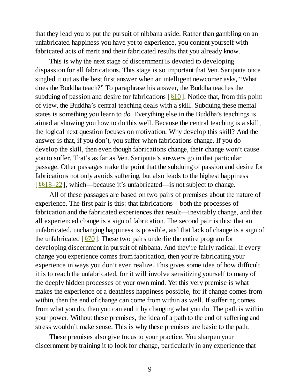that they lead you to put the pursuit of nibbana aside. Rather than gambling on an unfabricated happiness you have yet to experience, you content yourself with fabricated acts of merit and their fabricated results that you already know.

This is why the next stage of discernment is devoted to developing dispassion for all fabrications. This stage is so important that Ven. Sariputta once singled it out as the best first answer when an intelligent newcomer asks, "What does the Buddha teach?" To paraphrase his answer, the Buddha teaches the subduing of passion and desire for fabrications  $\lceil \frac{810}{910} \rceil$ . Notice that, from this point of view, the Buddha's central teaching deals with a skill. Subduing these mental states is something you learn to *do.* Everything else in the Buddha's teachings is aimed at showing you how to do this well. Because the central teaching is a skill, the logical next question focuses on motivation: Why develop this skill? And the answer is that, if you don't, you suffer when fabrications change. If you do develop the skill, then even though fabrications change, their change won't cause you to suffer. That's as far as Ven. Sariputta's answers go in that particular passage. Other passages make the point that the subduing of passion and desire for fabrications not only avoids suffering, but also leads to the highest happiness  $\left[\frac{\$18}{\$18}-\frac{22}{\$18}\right]$ , which—because it's unfabricated—is not subject to change.

All of these passages are based on two pairs of premises about the nature of experience. The first pair is this: that fabrications—both the processes of fabrication and the fabricated experiences that result—inevitably change, and that all experienced change is a sign of fabrication. The second pair is this: that an unfabricated, unchanging happiness is possible, and that lack of change is a sign of the unfabricated  $\left[\frac{870}{2}\right]$ . These two pairs underlie the entire program for developing discernment in pursuit of nibbana. And they're fairly radical. If every change you experience comes from fabrication, then you're fabricating your experience in ways you don't even realize. This gives some idea of how difficult it is to reach the unfabricated, for it will involve sensitizing yourself to many of the deeply hidden processes of your own mind. Yet this very premise is what makes the experience of a deathless happiness possible, for if change comes from within, then the end of change can come from within as well. If suffering comes from what you do, then you can end it by changing what you do. The path is within your power. Without these premises, the idea of a path to the end of suffering and stress wouldn't make sense. This is why these premises are basic to the path.

These premises also give focus to your practice. You sharpen your discernment by training it to look for change, particularly in any experience that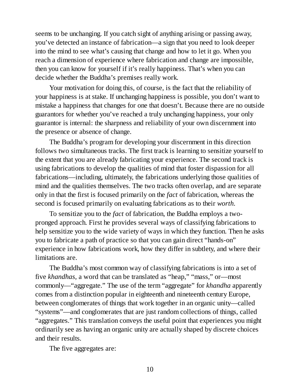seems to be unchanging. If you catch sight of anything arising or passing away, you've detected an instance of fabrication—a sign that you need to look deeper into the mind to see what's causing that change and how to let it go. When you reach a dimension of experience where fabrication and change are impossible, then you can know for yourself if it's really happiness. That's when you can decide whether the Buddha's premises really work.

Your motivation for doing this, of course, is the fact that the reliability of your happiness is at stake. If unchanging happiness is possible, you don't want to mistake a happiness that changes for one that doesn't. Because there are no outside guarantors for whether you've reached a truly unchanging happiness, your only guarantor is internal: the sharpness and reliability of your own discernment into the presence or absence of change.

The Buddha's program for developing your discernment in this direction follows two simultaneous tracks. The first track is learning to sensitize yourself to the extent that you are already fabricating your experience. The second track is using fabrications to develop the qualities of mind that foster dispassion for all fabrications—including, ultimately, the fabrications underlying those qualities of mind and the qualities themselves. The two tracks often overlap, and are separate only in that the first is focused primarily on the *fact* of fabrication, whereas the second is focused primarily on evaluating fabrications as to their *worth.*

To sensitize you to the *fact* of fabrication, the Buddha employs a twopronged approach. First he provides several ways of classifying fabrications to help sensitize you to the wide variety of ways in which they function. Then he asks you to fabricate a path of practice so that you can gain direct "hands-on" experience in how fabrications work, how they differ in subtlety, and where their limitations are.

The Buddha's most common way of classifying fabrications is into a set of five *khandhas,* a word that can be translated as "heap," "mass," or—most commonly—"aggregate." The use of the term "aggregate" for *khandha* apparently comes from a distinction popular in eighteenth and nineteenth century Europe, between conglomerates of things that work together in an organic unity—called "systems"—and conglomerates that are just random collections of things, called "aggregates." This translation conveys the useful point that experiences you might ordinarily see as having an organic unity are actually shaped by discrete choices and their results.

The five aggregates are: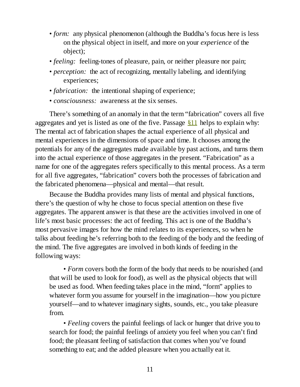- *form:* any physical phenomenon (although the Buddha's focus here is less on the physical object in itself, and more on your *experience* of the object);
- *feeling*: feeling-tones of pleasure, pain, or neither pleasure nor pain;
- *perception:* the act of recognizing, mentally labeling, and identifying experiences;
- *fabrication:* the intentional shaping of experience;
- *consciousness:* awareness at the six senses.

There's something of an anomaly in that the term "fabrication" covers all five aggregates and yet is listed as one of the five. Passage  $$11$  helps to explain why: The mental act of fabrication shapes the actual experience of all physical and mental experiences in the dimensions of space and time. It chooses among the potentials for any of the aggregates made available by past actions, and turns them into the actual experience of those aggregates in the present. "Fabrication" as a name for one of the aggregates refers specifically to this mental process. As a term for all five aggregates, "fabrication" covers both the processes of fabrication and the fabricated phenomena—physical and mental—that result.

Because the Buddha provides many lists of mental and physical functions, there's the question of why he chose to focus special attention on these five aggregates. The apparent answer is that these are the activities involved in one of life's most basic processes: the act of feeding. This act is one of the Buddha's most pervasive images for how the mind relates to its experiences, so when he talks about feeding he's referring both to the feeding of the body and the feeding of the mind. The five aggregates are involved in both kinds of feeding in the following ways:

• *Form* covers both the form of the body that needs to be nourished (and that will be used to look for food), as well as the physical objects that will be used as food. When feeding takes place in the mind, "form" applies to whatever form you assume for yourself in the imagination—how you picture yourself—and to whatever imaginary sights, sounds, etc., you take pleasure from.

• *Feeling* covers the painful feelings of lack or hunger that drive you to search for food; the painful feelings of anxiety you feel when you can't find food; the pleasant feeling of satisfaction that comes when you've found something to eat; and the added pleasure when you actually eat it.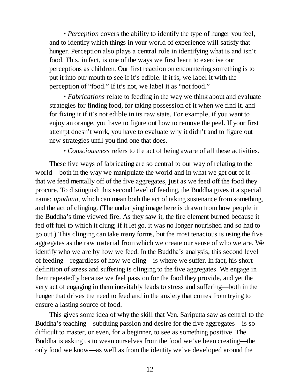• *Perception* covers the ability to identify the type of hunger you feel, and to identify which things in your world of experience will satisfy that hunger. Perception also plays a central role in identifying what is and isn't food. This, in fact, is one of the ways we first learn to exercise our perceptions as children. Our first reaction on encountering something is to put it into our mouth to see if it's edible. If it is, we label it with the perception of "food." If it's not, we label it as "not food."

• *Fabrications* relate to feeding in the way we think about and evaluate strategies for finding food, for taking possession of it when we find it, and for fixing it if it's not edible in its raw state. For example, if you want to enjoy an orange, you have to figure out how to remove the peel. If your first attempt doesn't work, you have to evaluate why it didn't and to figure out new strategies until you find one that does.

• *Consciousness* refers to the act of being aware of all these activities.

These five ways of fabricating are so central to our way of relating to the world—both in the way we manipulate the world and in what we get out of it that we feed mentally off of the five aggregates, just as we feed off the food they procure. To distinguish this second level of feeding, the Buddha gives it a special name: *upadana,* which can mean both the act of taking sustenance from something, and the act of clinging. (The underlying image here is drawn from how people in the Buddha's time viewed fire. As they saw it, the fire element burned because it fed off fuel to which it clung; if it let go, it was no longer nourished and so had to go out.) This clinging can take many forms, but the most tenacious is using the five aggregates as the raw material from which we create our sense of who we are. We identify who we are by how we feed. In the Buddha's analysis, this second level of feeding—regardless of how we cling—is where we suffer. In fact, his short definition of stress and suffering is clinging to the five aggregates. We engage in them repeatedly because we feel passion for the food they provide, and yet the very act of engaging in them inevitably leads to stress and suffering—both in the hunger that drives the need to feed and in the anxiety that comes from trying to ensure a lasting source of food.

This gives some idea of why the skill that Ven. Sariputta saw as central to the Buddha's teaching—subduing passion and desire for the five aggregates—is so difficult to master, or even, for a beginner, to see as something positive. The Buddha is asking us to wean ourselves from the food we've been creating—the only food we know—as well as from the identity we've developed around the

12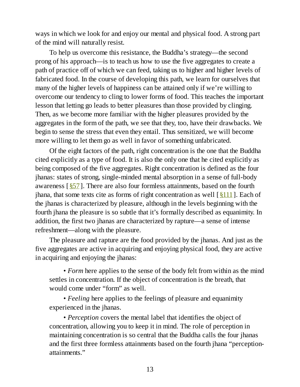ways in which we look for and enjoy our mental and physical food. A strong part of the mind will naturally resist.

To help us overcome this resistance, the Buddha's strategy—the second prong of his approach—is to teach us how to use the five aggregates to create a path of practice off of which we can feed, taking us to higher and higher levels of fabricated food. In the course of developing this path, we learn for ourselves that many of the higher levels of happiness can be attained only if we're willing to overcome our tendency to cling to lower forms of food. This teaches the important lesson that letting go leads to better pleasures than those provided by clinging. Then, as we become more familiar with the higher pleasures provided by the aggregates in the form of the path, we see that they, too, have their drawbacks. We begin to sense the stress that even they entail. Thus sensitized, we will become more willing to let them go as well in favor of something unfabricated.

Of the eight factors of the path, right concentration is the one that the Buddha cited explicitly as a type of food. It is also the only one that he cited explicitly as being composed of the five aggregates. Right concentration is defined as the four jhanas: states of strong, single-minded mental absorption in a sense of full-body awareness  $\lceil \frac{557}{1} \rceil$ . There are also four formless attainments, based on the fourth jhana, that some texts cite as forms of right concentration as well  $\left[\frac{8111}{8111}\right]$ . Each of the jhanas is characterized by pleasure, although in the levels beginning with the fourth jhana the pleasure is so subtle that it's formally described as equanimity. In addition, the first two jhanas are characterized by rapture—a sense of intense refreshment—along with the pleasure.

The pleasure and rapture are the food provided by the jhanas. And just as the five aggregates are active in acquiring and enjoying physical food, they are active in acquiring and enjoying the jhanas:

• *Form* here applies to the sense of the body felt from within as the mind settles in concentration. If the object of concentration is the breath, that would come under "form" as well.

• *Feeling* here applies to the feelings of pleasure and equanimity experienced in the jhanas.

• *Perception* covers the mental label that identifies the object of concentration, allowing you to keep it in mind. The role of perception in maintaining concentration is so central that the Buddha calls the four jhanas and the first three formless attainments based on the fourth jhana "perceptionattainments."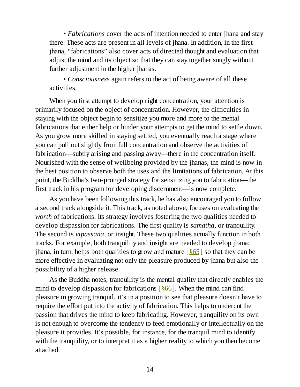• *Fabrications* cover the acts of intention needed to enter jhana and stay there. These acts are present in all levels of jhana. In addition, in the first jhana, "fabrications" also cover acts of directed thought and evaluation that adjust the mind and its object so that they can stay together snugly without further adjustment in the higher jhanas.

• *Consciousness* again refers to the act of being aware of all these activities.

When you first attempt to develop right concentration, your attention is primarily focused on the object of concentration. However, the difficulties in staying with the object begin to sensitize you more and more to the mental fabrications that either help or hinder your attempts to get the mind to settle down. As you grow more skilled in staying settled, you eventually reach a stage where you can pull out slightly from full concentration and observe the activities of fabrication—subtly arising and passing away—there in the concentration itself. Nourished with the sense of wellbeing provided by the jhanas, the mind is now in the best position to observe both the uses and the limitations of fabrication. At this point, the Buddha's two-pronged strategy for sensitizing you to fabrication—the first track in his program for developing discernment—is now complete.

As you have been following this track, he has also encouraged you to follow a second track alongside it. This track, as noted above, focuses on evaluating the *worth* of fabrications. Its strategy involves fostering the two qualities needed to develop dispassion for fabrications. The first quality is *samatha,* or tranquility. The second is *vipassana,* or insight. These two qualities actually function in both tracks. For example, both tranquility and insight are needed to develop jhana; jhana, in turn, helps both qualities to grow and mature  $\lceil \frac{865}{9} \rceil$  so that they can be more effective in evaluating not only the pleasure produced by jhana but also the possibility of a higher release.

As the Buddha notes, tranquility is the mental quality that directly enables the mind to develop dispassion for fabrications  $\lceil \frac{866}{1} \rceil$ . When the mind can find pleasure in growing tranquil, it's in a position to see that pleasure doesn't have to require the effort put into the activity of fabrication. This helps to undercut the passion that drives the mind to keep fabricating. However, tranquility on its own is not enough to overcome the tendency to feed emotionally or intellectually on the pleasure it provides. It's possible, for instance, for the tranquil mind to identify with the tranquility, or to interpret it as a higher reality to which you then become attached.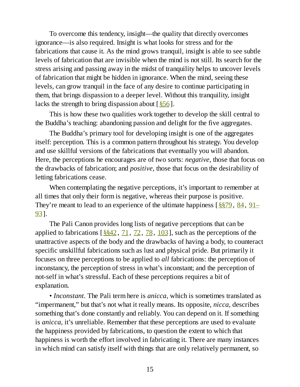To overcome this tendency, insight—the quality that directly overcomes ignorance—is also required. Insight is what looks for stress and for the fabrications that cause it. As the mind grows tranquil, insight is able to see subtle levels of fabrication that are invisible when the mind is not still. Its search for the stress arising and passing away in the midst of tranquility helps to uncover levels of fabrication that might be hidden in ignorance. When the mind, seeing these levels, can grow tranquil in the face of any desire to continue participating in them, that brings dispassion to a deeper level. Without this tranquility, insight lacks the strength to bring dispassion about  $[§56]$  $[§56]$ .

This is how these two qualities work together to develop the skill central to the Buddha's teaching: abandoning passion and delight for the five aggregates.

The Buddha's primary tool for developing insight is one of the aggregates itself: perception. This is a common pattern throughout his strategy. You develop and use skillful versions of the fabrications that eventually you will abandon. Here, the perceptions he encourages are of two sorts: *negative,* those that focus on the drawbacks of fabrication; and *positive,* those that focus on the desirability of letting fabrications cease.

When contemplating the negative perceptions, it's important to remember at all times that only their form is negative, whereas their purpose is positive. They're meant to lead to an [experience](#page-89-0) of the ultimate happiness  $\lceil \frac{8879}{84}, \frac{91}{91} \rceil$ 93].

The Pali Canon provides long lists of negative perceptions that can be applied to fabrications  $\left[\frac{\$42}{\$42},\frac{71}{\$72},\frac{78}{\$84},\frac{103}{\$84}\right]$  $\left[\frac{\$42}{\$42},\frac{71}{\$72},\frac{78}{\$84},\frac{103}{\$84}\right]$  $\left[\frac{\$42}{\$42},\frac{71}{\$72},\frac{78}{\$84},\frac{103}{\$84}\right]$  $\left[\frac{\$42}{\$42},\frac{71}{\$72},\frac{78}{\$84},\frac{103}{\$84}\right]$  $\left[\frac{\$42}{\$42},\frac{71}{\$72},\frac{78}{\$84},\frac{103}{\$84}\right]$ , such as the perceptions of the unattractive aspects of the body and the drawbacks of having a body, to counteract specific unskillful fabrications such as lust and physical pride. But primarily it focuses on three perceptions to be applied to *all* fabrications: the perception of inconstancy, the perception of stress in what's inconstant; and the perception of not-self in what's stressful. Each of these perceptions requires a bit of explanation.

*• Inconstant.* The Pali term here is *anicca,* which is sometimes translated as "impermanent," but that's not what it really means. Its opposite, *nicca,* describes something that's done constantly and reliably. You can depend on it. If something is *anicca,* it's unreliable. Remember that these perceptions are used to evaluate the happiness provided by fabrications, to question the extent to which that happiness is worth the effort involved in fabricating it. There are many instances in which mind can satisfy itself with things that are only relatively permanent, so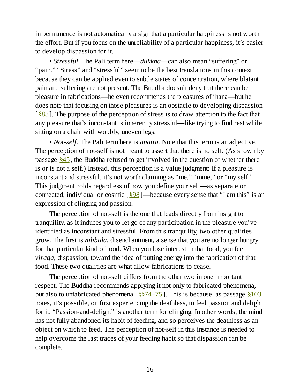impermanence is not automatically a sign that a particular happiness is not worth the effort. But if you focus on the unreliability of a particular happiness, it's easier to develop dispassion for it.

*• Stressful.* The Pali term here—*dukkha*—can also mean "suffering" or "pain." "Stress" and "stressful" seem to be the best translations in this context because they can be applied even to subtle states of concentration, where blatant pain and suffering are not present. The Buddha doesn't deny that there can be pleasure in fabrications—he even recommends the pleasures of jhana—but he does note that focusing on those pleasures is an obstacle to developing dispassion  $\left[\frac{888}{1}\right]$ . The purpose of the perception of stress is to draw attention to the fact that any pleasure that's inconstant is inherently stressful—like trying to find rest while sitting on a chair with wobbly, uneven legs.

*• Not-self.* The Pali term here is *anatta.* Note that this term is an adjective. The perception of not-self is not meant to assert that there is no self. (As shown by passage [§45,](#page-53-0) the Buddha refused to get involved in the question of whether there is or is not a self.) Instead, this perception is a value judgment: If a pleasure is inconstant and stressful, it's not worth claiming as "me," "mine," or "my self." This judgment holds regardless of how you define your self—as separate or connected, individual or cosmic  $\left[\frac{\$98}{\$98}\right]$ —because every sense that "I am this" is an expression of clinging and passion.

The perception of not-self is the one that leads directly from insight to tranquility, as it induces you to let go of any participation in the pleasure you've identified as inconstant and stressful. From this tranquility, two other qualities grow. The first is *nibbida,* disenchantment, a sense that you are no longer hungry for that particular kind of food. When you lose interest in that food, you feel *viraga,* dispassion, toward the idea of putting energy into the fabrication of that food. These two qualities are what allow fabrications to cease.

The perception of not-self differs from the other two in one important respect. The Buddha recommends applying it not only to fabricated phenomena, but also to unfabricated phenomena  $\left[\frac{\$874-75}{\$103}\right]$ . This is because, as passage  $\frac{\$103}{\$103}$ notes, it's possible, on first experiencing the deathless, to feel passion and delight for it. "Passion-and-delight" is another term for clinging. In other words, the mind has not fully abandoned its habit of feeding, and so perceives the deathless as an object on which to feed. The perception of not-self in this instance is needed to help overcome the last traces of your feeding habit so that dispassion can be complete.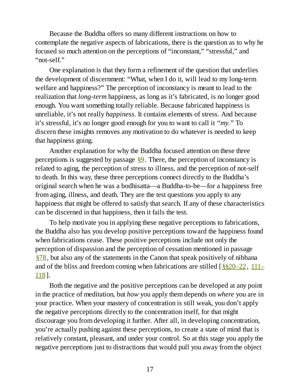Because the Buddha offers so many different instructions on how to contemplate the negative aspects of fabrications, there is the question as to why he focused so much attention on the perceptions of "inconstant," "stressful," and "not-self."

One explanation is that they form a refinement of the question that underlies the development of discernment: "What, when I do it, will lead to my long-term welfare and happiness?" The perception of inconstancy is meant to lead to the realization that *long-term* happiness, as long as it's fabricated, is no longer good enough. You want something totally reliable. Because fabricated happiness is unreliable, it's not really *happiness.* It contains elements of stress. And because it's stressful, it's no longer good enough for you to want to call it *"my."* To discern these insights removes any motivation to do whatever is needed to keep that happiness going.

Another explanation for why the Buddha focused attention on these three perceptions is suggested by passage  $\S9$ . There, the perception of inconstancy is related to aging, the perception of stress to illness, and the perception of not-self to death. In this way, these three perceptions connect directly to the Buddha's original search when he was a bodhisatta—a Buddha-to-be—for a happiness free from aging, illness, and death. They are the test questions you apply to any happiness that might be offered to satisfy that search. If any of these characteristics can be discerned in that happiness, then it fails the test.

To help motivate you in applying these negative perceptions to fabrications, the Buddha also has you develop positive perceptions toward the happiness found when fabrications cease. These positive perceptions include not only the perception of dispassion and the perception of cessation mentioned in passage [§78,](#page-75-0) but also any of the statements in the Canon that speak positively of nibbana and of the bliss and freedom coming when [fabrications](#page-102-0) are stilled  $\lceil \frac{8820-22}{2}, 111-$ 118].

Both the negative and the positive perceptions can be developed at any point in the practice of meditation, but *how* you apply them depends on *where* you are in your practice. When your mastery of concentration is still weak, you don't apply the negative perceptions directly to the concentration itself, for that might discourage you from developing it further. After all, in developing concentration, you're actually pushing against these perceptions, to create a state of mind that is relatively constant, pleasant, and under your control. So at this stage you apply the negative perceptions just to distractions that would pull you away from the object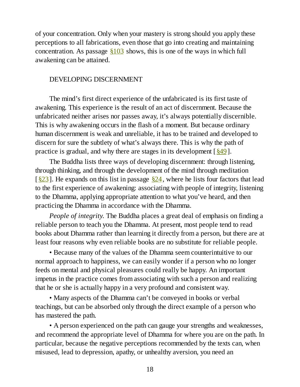of your concentration. Only when your mastery is strong should you apply these perceptions to all fabrications, even those that go into creating and maintaining concentration. As passage  $$103$  shows, this is one of the ways in which full awakening can be attained.

#### DEVELOPING DISCERNMENT

The mind's first direct experience of the unfabricated is its first taste of awakening. This experience is the result of an act of discernment. Because the unfabricated neither arises nor passes away, it's always potentially discernible. This is why awakening occurs in the flash of a moment. But because ordinary human discernment is weak and unreliable, it has to be trained and developed to discern for sure the subtlety of what's always there. This is why the path of practice is gradual, and why there are stages in its development  $\left[\frac{849}{84}\right]$ .

The Buddha lists three ways of developing discernment: through listening, through thinking, and through the development of the mind through meditation  $\lceil \frac{23}{3} \rceil$ . He expands on this list in passage  $\frac{24}{3}$ , where he lists four factors that lead to the first experience of awakening: associating with people of integrity, listening to the Dhamma, applying appropriate attention to what you've heard, and then practicing the Dhamma in accordance with the Dhamma.

*People of integrity.* The Buddha places a great deal of emphasis on finding a reliable person to teach you the Dhamma. At present, most people tend to read books about Dhamma rather than learning it directly from a person, but there are at least four reasons why even reliable books are no substitute for reliable people.

• Because many of the values of the Dhamma seem counterintuitive to our normal approach to happiness, we can easily wonder if a person who no longer feeds on mental and physical pleasures could really be happy. An important impetus in the practice comes from associating with such a person and realizing that he or she is actually happy in a very profound and consistent way.

• Many aspects of the Dhamma can't be conveyed in books or verbal teachings, but can be absorbed only through the direct example of a person who has mastered the path.

• A person experienced on the path can gauge your strengths and weaknesses, and recommend the appropriate level of Dhamma for where you are on the path. In particular, because the negative perceptions recommended by the texts can, when misused, lead to depression, apathy, or unhealthy aversion, you need an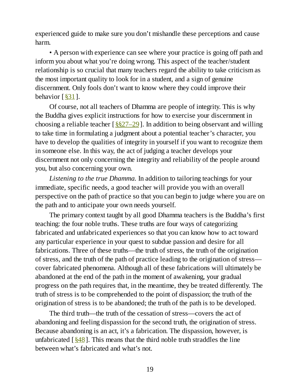experienced guide to make sure you don't mishandle these perceptions and cause harm.

• A person with experience can see where your practice is going off path and inform you about what you're doing wrong. This aspect of the teacher/student relationship is so crucial that many teachers regard the ability to take criticism as the most important quality to look for in a student, and a sign of genuine discernment. Only fools don't want to know where they could improve their behavior  $\lceil \frac{831}{2} \rceil$ .

Of course, not all teachers of Dhamma are people of integrity. This is why the Buddha gives explicit instructions for how to exercise your discernment in choosing a reliable teacher  $\left[\frac{\$27-29}{\$27-29}\right]$ . In addition to being observant and willing to take time in formulating a judgment about a potential teacher's character, you have to develop the qualities of integrity in yourself if you want to recognize them in someone else. In this way, the act of judging a teacher develops your discernment not only concerning the integrity and reliability of the people around you, but also concerning your own.

*Listening to the true Dhamma.* In addition to tailoring teachings for your immediate, specific needs, a good teacher will provide you with an overall perspective on the path of practice so that you can begin to judge where you are on the path and to anticipate your own needs yourself.

The primary context taught by all good Dhamma teachers is the Buddha's first teaching: the four noble truths. These truths are four ways of categorizing fabricated and unfabricated experiences so that you can know how to act toward any particular experience in your quest to subdue passion and desire for all fabrications. Three of these truths—the truth of stress, the truth of the origination of stress, and the truth of the path of practice leading to the origination of stress cover fabricated phenomena. Although all of these fabrications will ultimately be abandoned at the end of the path in the moment of awakening, your gradual progress on the path requires that, in the meantime, they be treated differently. The truth of stress is to be comprehended to the point of dispassion; the truth of the origination of stress is to be abandoned; the truth of the path is to be developed.

The third truth—the truth of the cessation of stress—covers the act of abandoning and feeling dispassion for the second truth, the origination of stress. Because abandoning is an act, it's a fabrication. The dispassion, however, is unfabricated  $\lceil \frac{648}{1} \rceil$ . This means that the third noble truth straddles the line between what's fabricated and what's not.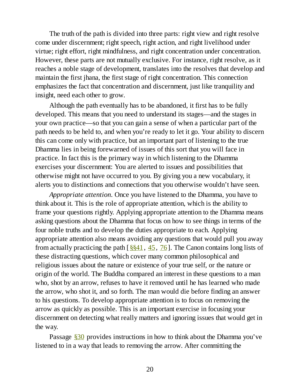The truth of the path is divided into three parts: right view and right resolve come under discernment; right speech, right action, and right livelihood under virtue; right effort, right mindfulness, and right concentration under concentration. However, these parts are not mutually exclusive. For instance, right resolve, as it reaches a noble stage of development, translates into the resolves that develop and maintain the first jhana, the first stage of right concentration. This connection emphasizes the fact that concentration and discernment, just like tranquility and insight, need each other to grow.

Although the path eventually has to be abandoned, it first has to be fully developed. This means that you need to understand its stages—and the stages in your own practice—so that you can gain a sense of when a particular part of the path needs to be held to, and when you're ready to let it go. Your ability to discern this can come only with practice, but an important part of listening to the true Dhamma lies in being forewarned of issues of this sort that you will face in practice. In fact this is the primary way in which listening to the Dhamma exercises your discernment: You are alerted to issues and possibilities that otherwise might not have occurred to you. By giving you a new vocabulary, it alerts you to distinctions and connections that you otherwise wouldn't have seen.

*Appropriate attention.* Once you have listened to the Dhamma, you have to think about it. This is the role of appropriate attention, which is the ability to frame your questions rightly. Applying appropriate attention to the Dhamma means asking questions about the Dhamma that focus on how to see things in terms of the four noble truths and to develop the duties appropriate to each. Applying appropriate attention also means avoiding any questions that would pull you away from actually practicing the path  $\left[\frac{\$41}{\$45},\frac{76}{\$} \right]$  $\left[\frac{\$41}{\$45},\frac{76}{\$} \right]$  $\left[\frac{\$41}{\$45},\frac{76}{\$} \right]$ . The Canon contains long lists of these distracting questions, which cover many common philosophical and religious issues about the nature or existence of your true self, or the nature or origin of the world. The Buddha compared an interest in these questions to a man who, shot by an arrow, refuses to have it removed until he has learned who made the arrow, who shot it, and so forth. The man would die before finding an answer to his questions. To develop appropriate attention is to focus on removing the arrow as quickly as possible. This is an important exercise in focusing your discernment on detecting what really matters and ignoring issues that would get in the way.

Passage [§30](#page-44-0) provides instructions in how to think about the Dhamma you've listened to in a way that leads to removing the arrow. After committing the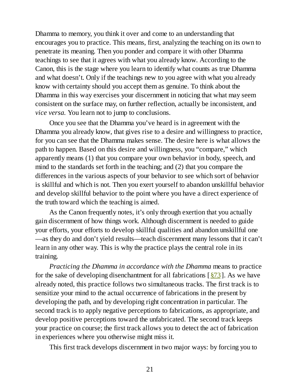Dhamma to memory, you think it over and come to an understanding that encourages you to practice. This means, first, analyzing the teaching on its own to penetrate its meaning. Then you ponder and compare it with other Dhamma teachings to see that it agrees with what you already know. According to the Canon, this is the stage where you learn to identify what counts as true Dhamma and what doesn't. Only if the teachings new to you agree with what you already know with certainty should you accept them as genuine. To think about the Dhamma in this way exercises your discernment in noticing that what may seem consistent on the surface may, on further reflection, actually be inconsistent, and *vice versa.* You learn not to jump to conclusions.

Once you see that the Dhamma you've heard is in agreement with the Dhamma you already know, that gives rise to a desire and willingness to practice, for you can see that the Dhamma makes sense. The desire here is what allows the path to happen. Based on this desire and willingness, you "compare," which apparently means (1) that you compare your own behavior in body, speech, and mind to the standards set forth in the teaching; and (2) that you compare the differences in the various aspects of your behavior to see which sort of behavior is skillful and which is not. Then you exert yourself to abandon unskillful behavior and develop skillful behavior to the point where you have a direct experience of the truth toward which the teaching is aimed.

As the Canon frequently notes, it's only through exertion that you actually gain discernment of how things work. Although discernment is needed to guide your efforts, your efforts to develop skillful qualities and abandon unskillful one —as they do and don't yield results—teach discernment many lessons that it can't learn in any other way. This is why the practice plays the central role in its training.

*Practicing the Dhamma in accordance with the Dhamma* means to practice for the sake of developing disenchantment for all fabrications  $\lceil \frac{873}{7} \rceil$ . As we have already noted, this practice follows two simultaneous tracks. The first track is to sensitize your mind to the actual occurrence of fabrications in the present by developing the path, and by developing right concentration in particular. The second track is to apply negative perceptions to fabrications, as appropriate, and develop positive perceptions toward the unfabricated. The second track keeps your practice on course; the first track allows you to detect the act of fabrication in experiences where you otherwise might miss it.

This first track develops discernment in two major ways: by forcing you to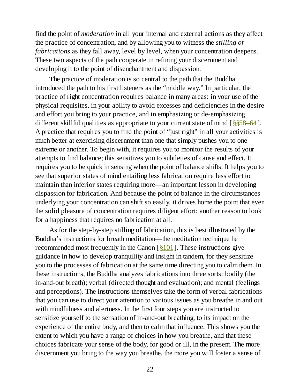find the point of *moderation* in all your internal and external actions as they affect the practice of concentration, and by allowing you to witness the *stilling of fabrications* as they fall away, level by level, when your concentration deepens. These two aspects of the path cooperate in refining your discernment and developing it to the point of disenchantment and dispassion.

The practice of moderation is so central to the path that the Buddha introduced the path to his first listeners as the "middle way." In particular, the practice of right concentration requires balance in many areas: in your use of the physical requisites, in your ability to avoid excesses and deficiencies in the desire and effort you bring to your practice, and in emphasizing or de-emphasizing different skillful qualities as appropriate to your current state of mind  $\lceil \frac{\$558-64}{\$560-64} \rceil$ . A practice that requires you to find the point of "just right" in all your activities is much better at exercising discernment than one that simply pushes you to one extreme or another. To begin with, it requires you to monitor the results of your attempts to find balance; this sensitizes you to subtleties of cause and effect. It requires you to be quick in sensing when the point of balance shifts. It helps you to see that superior states of mind entailing less fabrication require less effort to maintain than inferior states requiring more—an important lesson in developing dispassion for fabrication. And because the point of balance in the circumstances underlying your concentration can shift so easily, it drives home the point that even the solid pleasure of concentration requires diligent effort: another reason to look for a happiness that requires no fabrication at all.

As for the step-by-step stilling of fabrication, this is best illustrated by the Buddha's instructions for breath meditation—the meditation technique he recommended most frequently in the Canon  $\left[\frac{§101}{§101}\right]$ . These instructions give guidance in how to develop tranquility and insight in tandem, for they sensitize you to the processes of fabrication at the same time directing you to calm them. In these instructions, the Buddha analyzes fabrications into three sorts: bodily (the in-and-out breath); verbal (directed thought and evaluation); and mental (feelings and perceptions). The instructions themselves take the form of verbal fabrications that you can use to direct your attention to various issues as you breathe in and out with mindfulness and alertness. In the first four steps you are instructed to sensitize yourself to the sensation of in-and-out breathing, to its impact on the experience of the entire body, and then to calm that influence. This shows you the extent to which you have a range of choices in how you breathe, and that these choices fabricate your sense of the body, for good or ill, in the present. The more discernment you bring to the way you breathe, the more you will foster a sense of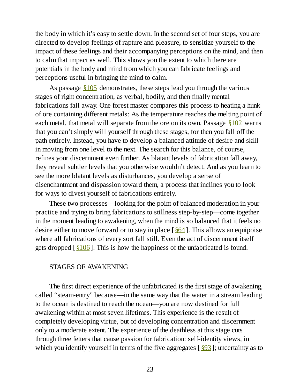the body in which it's easy to settle down. In the second set of four steps, you are directed to develop feelings of rapture and pleasure, to sensitize yourself to the impact of these feelings and their accompanying perceptions on the mind, and then to calm that impact as well. This shows you the extent to which there are potentials in the body and mind from which you can fabricate feelings and perceptions useful in bringing the mind to calm.

As passage  $$105$  demonstrates, these steps lead you through the various stages of right concentration, as verbal, bodily, and then finally mental fabrications fall away. One forest master compares this process to heating a hunk of ore containing different metals: As the temperature reaches the melting point of each metal, that metal will separate from the ore on its own. Passage  $$102$  warns that you can't simply will yourself through these stages, for then you fall off the path entirely. Instead, you have to develop a balanced attitude of desire and skill in moving from one level to the next. The search for this balance, of course, refines your discernment even further. As blatant levels of fabrication fall away, they reveal subtler levels that you otherwise wouldn't detect. And as you learn to see the more blatant levels as disturbances, you develop a sense of disenchantment and dispassion toward them, a process that inclines you to look for ways to divest yourself of fabrications entirely.

These two processes—looking for the point of balanced moderation in your practice and trying to bring fabrications to stillness step-by-step—come together in the moment leading to awakening, when the mind is so balanced that it feels no desire either to move forward or to stay in place  $\left[\frac{\sqrt{64}}{\sqrt{64}}\right]$ . This allows an equipoise where all fabrications of every sort fall still. Even the act of discernment itself gets dropped  $\left[\frac{106}{106}\right]$ . This is how the happiness of the unfabricated is found.

#### STAGES OF AWAKENING

The first direct experience of the unfabricated is the first stage of awakening, called "steam-entry" because—in the same way that the water in a stream leading to the ocean is destined to reach the ocean—you are now destined for full awakening within at most seven lifetimes. This experience is the result of completely developing virtue, but of developing concentration and discernment only to a moderate extent. The experience of the deathless at this stage cuts through three fetters that cause passion for fabrication: self-identity views, in which you identify yourself in terms of the five aggregates  $\lceil \frac{893}{93} \rceil$ ; uncertainty as to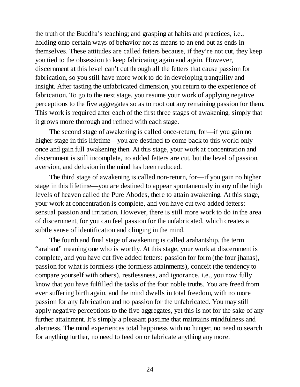the truth of the Buddha's teaching; and grasping at habits and practices, i.e., holding onto certain ways of behavior not as means to an end but as ends in themselves. These attitudes are called fetters because, if they're not cut, they keep you tied to the obsession to keep fabricating again and again. However, discernment at this level can't cut through all the fetters that cause passion for fabrication, so you still have more work to do in developing tranquility and insight. After tasting the unfabricated dimension, you return to the experience of fabrication. To go to the next stage, you resume your work of applying negative perceptions to the five aggregates so as to root out any remaining passion for them. This work is required after each of the first three stages of awakening, simply that it grows more thorough and refined with each stage.

The second stage of awakening is called once-return, for—if you gain no higher stage in this lifetime—you are destined to come back to this world only once and gain full awakening then. At this stage, your work at concentration and discernment is still incomplete, no added fetters are cut, but the level of passion, aversion, and delusion in the mind has been reduced.

The third stage of awakening is called non-return, for—if you gain no higher stage in this lifetime—you are destined to appear spontaneously in any of the high levels of heaven called the Pure Abodes, there to attain awakening. At this stage, your work at concentration is complete, and you have cut two added fetters: sensual passion and irritation. However, there is still more work to do in the area of discernment, for you can feel passion for the unfabricated, which creates a subtle sense of identification and clinging in the mind.

The fourth and final stage of awakening is called arahantship, the term "arahant" meaning one who is worthy. At this stage, your work at discernment is complete, and you have cut five added fetters: passion for form (the four jhanas), passion for what is formless (the formless attainments), conceit (the tendency to compare yourself with others), restlessness, and ignorance, i.e., you now fully know that you have fulfilled the tasks of the four noble truths. You are freed from ever suffering birth again, and the mind dwells in total freedom, with no more passion for any fabrication and no passion for the unfabricated. You may still apply negative perceptions to the five aggregates, yet this is not for the sake of any further attainment. It's simply a pleasant pastime that maintains mindfulness and alertness. The mind experiences total happiness with no hunger, no need to search for anything further, no need to feed on or fabricate anything any more.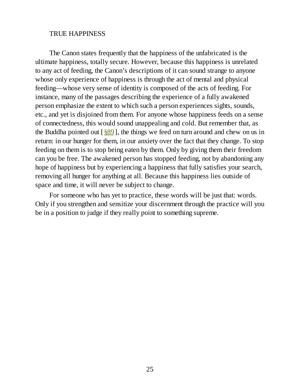#### TRUE HAPPINESS

The Canon states frequently that the happiness of the unfabricated is the ultimate happiness, totally secure. However, because this happiness is unrelated to any act of feeding, the Canon's descriptions of it can sound strange to anyone whose only experience of happiness is through the act of mental and physical feeding—whose very sense of identity is composed of the acts of feeding. For instance, many of the passages describing the experience of a fully awakened person emphasize the extent to which such a person experiences sights, sounds, etc., and yet is disjoined from them. For anyone whose happiness feeds on a sense of connectedness, this would sound unappealing and cold. But remember that, as the Buddha pointed out  $\lceil \frac{889}{8} \rceil$ , the things we feed on turn around and chew on us in return: in our hunger for them, in our anxiety over the fact that they change. To stop feeding on them is to stop being eaten by them. Only by giving them their freedom can you be free. The awakened person has stopped feeding, not by abandoning any hope of happiness but by experiencing a happiness that fully satisfies your search, removing all hunger for anything at all. Because this happiness lies outside of space and time, it will never be subject to change.

For someone who has yet to practice, these words will be just that: words. Only if you strengthen and sensitize your discernment through the practice will you be in a position to judge if they really point to something supreme.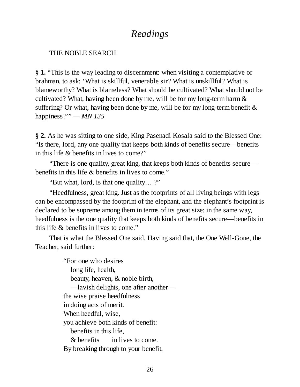## *Readings*

#### THE NOBLE SEARCH

**§ 1.** "This is the way leading to discernment: when visiting a contemplative or brahman, to ask: 'What is skillful, venerable sir? What is unskillful? What is blameworthy? What is blameless? What should be cultivated? What should not be cultivated? What, having been done by me, will be for my long-term harm & suffering? Or what, having been done by me, will be for my long-term benefit & happiness?'" *— MN 135*

<span id="page-25-0"></span>**§ 2.** As he was sitting to one side, King Pasenadi Kosala said to the Blessed One: "Is there, lord, any one quality that keeps both kinds of benefits secure—benefits in this life & benefits in lives to come?"

"There is one quality, great king, that keeps both kinds of benefits secure benefits in this life & benefits in lives to come."

"But what, lord, is that one quality… ?"

"Heedfulness, great king. Just as the footprints of all living beings with legs can be encompassed by the footprint of the elephant, and the elephant's footprint is declared to be supreme among them in terms of its great size; in the same way, heedfulness is the one quality that keeps both kinds of benefits secure—benefits in this life & benefits in lives to come."

That is what the Blessed One said. Having said that, the One Well-Gone, the Teacher, said further:

> "For one who desires long life, health, beauty, heaven, & noble birth, —lavish delights, one after another the wise praise heedfulness in doing acts of merit. When heedful, wise, you achieve both kinds of benefit: benefits in this life, & benefits in lives to come. By breaking through to your benefit,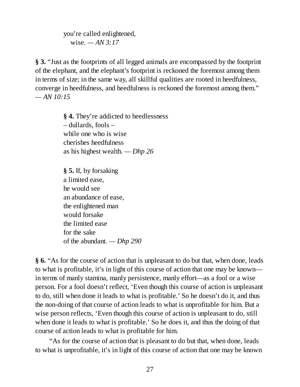you're called enlightened, wise. *— AN 3:17*

**§ 3.** "Just as the footprints of all legged animals are encompassed by the footprint of the elephant, and the elephant's footprint is reckoned the foremost among them in terms of size; in the same way, all skillful qualities are rooted in heedfulness, converge in heedfulness, and heedfulness is reckoned the foremost among them." *— AN 10:15*

> **§ 4.** They're addicted to heedlessness – dullards, fools – while one who is wise cherishes heedfulness as his highest wealth. *— Dhp 26*

**§ 5.** If, by forsaking a limited ease, he would see an abundance of ease, the enlightened man would forsake the limited ease for the sake of the abundant. *— Dhp 290*

<span id="page-26-0"></span>**§ 6.** "As for the course of action that is unpleasant to do but that, when done, leads to what is profitable, it's in light of this course of action that one may be known in terms of manly stamina, manly persistence, manly effort—as a fool or a wise person. For a fool doesn't reflect, 'Even though this course of action is unpleasant to do, still when done it leads to what is profitable.' So he doesn't do it, and thus the non-doing of that course of action leads to what is unprofitable for him. But a wise person reflects, 'Even though this course of action is unpleasant to do, still when done it leads to what is profitable.' So he does it, and thus the doing of that course of action leads to what is profitable for him.

"As for the course of action that is pleasant to do but that, when done, leads to what is unprofitable, it's in light of this course of action that one may be known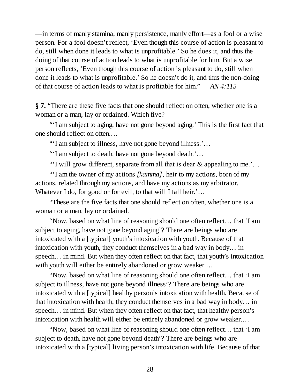—in terms of manly stamina, manly persistence, manly effort—as a fool or a wise person. For a fool doesn't reflect, 'Even though this course of action is pleasant to do, still when done it leads to what is unprofitable.' So he does it, and thus the doing of that course of action leads to what is unprofitable for him. But a wise person reflects, 'Even though this course of action is pleasant to do, still when done it leads to what is unprofitable.' So he doesn't do it, and thus the non-doing of that course of action leads to what is profitable for him." *— AN 4:115*

<span id="page-27-0"></span>**§ 7.** "There are these five facts that one should reflect on often, whether one is a woman or a man, lay or ordained. Which five?

"'I am subject to aging, have not gone beyond aging.' This is the first fact that one should reflect on often.…

"'I am subject to illness, have not gone beyond illness.'…

"'I am subject to death, have not gone beyond death.'…

"'I will grow different, separate from all that is dear & appealing to me.'…

"'I am the owner of my actions *[kamma],* heir to my actions, born of my actions, related through my actions, and have my actions as my arbitrator. Whatever I do, for good or for evil, to that will I fall heir.'...

"These are the five facts that one should reflect on often, whether one is a woman or a man, lay or ordained.

"Now, based on what line of reasoning should one often reflect… that 'I am subject to aging, have not gone beyond aging'? There are beings who are intoxicated with a [typical] youth's intoxication with youth. Because of that intoxication with youth, they conduct themselves in a bad way in body… in speech… in mind. But when they often reflect on that fact, that youth's intoxication with youth will either be entirely abandoned or grow weaker....

"Now, based on what line of reasoning should one often reflect… that 'I am subject to illness, have not gone beyond illness'? There are beings who are intoxicated with a [typical] healthy person's intoxication with health. Because of that intoxication with health, they conduct themselves in a bad way in body… in speech… in mind. But when they often reflect on that fact, that healthy person's intoxication with health will either be entirely abandoned or grow weaker.…

"Now, based on what line of reasoning should one often reflect… that 'I am subject to death, have not gone beyond death'? There are beings who are intoxicated with a [typical] living person's intoxication with life. Because of that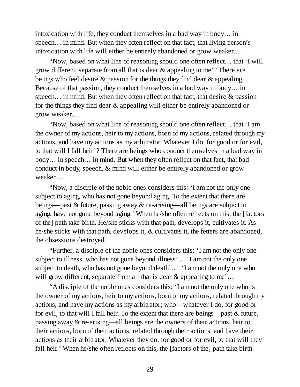intoxication with life, they conduct themselves in a bad way in body… in speech… in mind. But when they often reflect on that fact, that living person's intoxication with life will either be entirely abandoned or grow weaker.…

"Now, based on what line of reasoning should one often reflect… that 'I will grow different, separate from all that is dear & appealing to me'? There are beings who feel desire & passion for the things they find dear & appealing. Because of that passion, they conduct themselves in a bad way in body… in speech… in mind. But when they often reflect on that fact, that desire & passion for the things they find dear & appealing will either be entirely abandoned or grow weaker.…

"Now, based on what line of reasoning should one often reflect… that 'I am the owner of my actions, heir to my actions, born of my actions, related through my actions, and have my actions as my arbitrator. Whatever I do, for good or for evil, to that will I fall heir'? There are beings who conduct themselves in a bad way in body… in speech… in mind. But when they often reflect on that fact, that bad conduct in body, speech, & mind will either be entirely abandoned or grow weaker.…

"Now, a disciple of the noble ones considers this: 'I am not the only one subject to aging, who has not gone beyond aging. To the extent that there are beings—past & future, passing away & re-arising—all beings are subject to aging, have not gone beyond aging.' When he/she often reflects on this, the [factors of the] path take birth. He/she sticks with that path, develops it, cultivates it. As he/she sticks with that path, develops it, & cultivates it, the fetters are abandoned, the obsessions destroyed.

"Further, a disciple of the noble ones considers this: 'I am not the only one subject to illness, who has not gone beyond illness'… 'I am not the only one subject to death, who has not gone beyond death'…. 'I am not the only one who will grow different, separate from all that is dear & appealing to me'...

"A disciple of the noble ones considers this: 'I am not the only one who is the owner of my actions, heir to my actions, born of my actions, related through my actions, and have my actions as my arbitrator; who—whatever I do, for good or for evil, to that will I fall heir. To the extent that there are beings—past & future, passing away & re-arising—all beings are the owners of their actions, heir to their actions, born of their actions, related through their actions, and have their actions as their arbitrator. Whatever they do, for good or for evil, to that will they fall heir.' When he/she often reflects on this, the [factors of the] path take birth.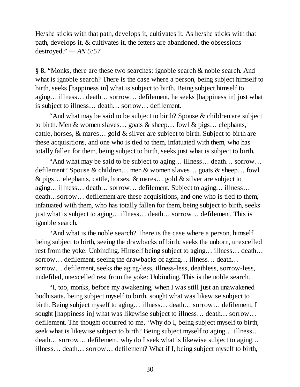He/she sticks with that path, develops it, cultivates it. As he/she sticks with that path, develops it, & cultivates it, the fetters are abandoned, the obsessions destroyed." *— AN 5:57*

<span id="page-29-0"></span>**§ 8.** "Monks, there are these two searches: ignoble search & noble search. And what is ignoble search? There is the case where a person, being subject himself to birth, seeks [happiness in] what is subject to birth. Being subject himself to aging… illness… death… sorrow… defilement, he seeks [happiness in] just what is subject to illness… death… sorrow… defilement.

"And what may be said to be subject to birth? Spouse & children are subject to birth. Men & women slaves… goats & sheep… fowl & pigs… elephants, cattle, horses, & mares… gold & silver are subject to birth. Subject to birth are these acquisitions, and one who is tied to them, infatuated with them, who has totally fallen for them, being subject to birth, seeks just what is subject to birth.

"And what may be said to be subject to aging… illness… death… sorrow… defilement? Spouse & children… men & women slaves… goats & sheep… fowl & pigs… elephants, cattle, horses, & mares… gold & silver are subject to aging… illness… death… sorrow… defilement. Subject to aging… illness… death…sorrow… defilement are these acquisitions, and one who is tied to them, infatuated with them, who has totally fallen for them, being subject to birth, seeks just what is subject to aging… illness… death… sorrow… defilement. This is ignoble search.

"And what is the noble search? There is the case where a person, himself being subject to birth, seeing the drawbacks of birth, seeks the unborn, unexcelled rest from the yoke: Unbinding. Himself being subject to aging… illness… death… sorrow... defilement, seeing the drawbacks of aging... illness... death... sorrow… defilement, seeks the aging-less, illness-less, deathless, sorrow-less, undefiled, unexcelled rest from the yoke: Unbinding. This is the noble search.

"I, too, monks, before my awakening, when I was still just an unawakened bodhisatta, being subject myself to birth, sought what was likewise subject to birth. Being subject myself to aging… illness… death… sorrow… defilement, I sought [happiness in] what was likewise subject to illness… death… sorrow… defilement. The thought occurred to me, 'Why do I, being subject myself to birth, seek what is likewise subject to birth? Being subject myself to aging… illness… death… sorrow… defilement, why do I seek what is likewise subject to aging… illness… death… sorrow… defilement? What if I, being subject myself to birth,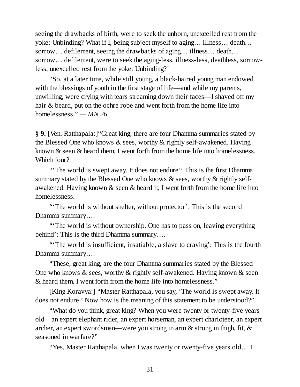seeing the drawbacks of birth, were to seek the unborn, unexcelled rest from the yoke: Unbinding? What if I, being subject myself to aging… illness… death… sorrow... defilement, seeing the drawbacks of aging... illness... death... sorrow… defilement, were to seek the aging-less, illness-less, deathless, sorrowless, unexcelled rest from the yoke: Unbinding?'

"So, at a later time, while still young, a black-haired young man endowed with the blessings of youth in the first stage of life—and while my parents, unwilling, were crying with tears streaming down their faces—I shaved off my hair & beard, put on the ochre robe and went forth from the home life into homelessness." *— MN 26*

<span id="page-30-0"></span>**§ 9.** [Ven. Ratthapala:]"Great king, there are four Dhamma summaries stated by the Blessed One who knows & sees, worthy & rightly self-awakened. Having known & seen & heard them, I went forth from the home life into homelessness. Which four?

"The world is swept away. It does not endure': This is the first Dhamma summary stated by the Blessed One who knows & sees, worthy & rightly selfawakened. Having known & seen & heard it, I went forth from the home life into homelessness.

"The world is without shelter, without protector': This is the second Dhamma summary….

"'The world is without ownership. One has to pass on, leaving everything behind': This is the third Dhamma summary….

"'The world is insufficient, insatiable, a slave to craving': This is the fourth Dhamma summary….

"These, great king, are the four Dhamma summaries stated by the Blessed One who knows & sees, worthy & rightly self-awakened. Having known & seen & heard them, I went forth from the home life into homelessness."

[King Koravya:] "Master Ratthapala, you say, 'The world is swept away. It does not endure.' Now how is the meaning of this statement to be understood?"

"What do you think, great king? When you were twenty or twenty-five years old—an expert elephant rider, an expert horseman, an expert charioteer, an expert archer, an expert swordsman—were you strong in arm & strong in thigh, fit, & seasoned in warfare?"

"Yes, Master Ratthapala, when I was twenty or twenty-five years old… I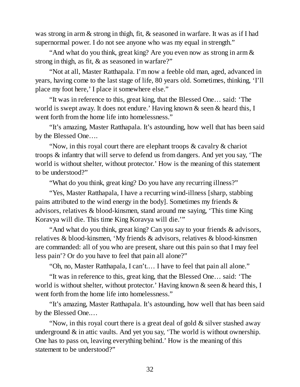was strong in arm & strong in thigh, fit, & seasoned in warfare. It was as if I had supernormal power. I do not see anyone who was my equal in strength."

"And what do you think, great king? Are you even now as strong in arm & strong in thigh, as fit, & as seasoned in warfare?"

"Not at all, Master Ratthapala. I'm now a feeble old man, aged, advanced in years, having come to the last stage of life, 80 years old. Sometimes, thinking, 'I'll place my foot here,' I place it somewhere else."

"It was in reference to this, great king, that the Blessed One… said: 'The world is swept away. It does not endure.' Having known & seen & heard this, I went forth from the home life into homelessness."

"It's amazing, Master Ratthapala. It's astounding, how well that has been said by the Blessed One….

"Now, in this royal court there are elephant troops & cavalry & chariot troops & infantry that will serve to defend us from dangers. And yet you say, 'The world is without shelter, without protector.' How is the meaning of this statement to be understood?"

"What do you think, great king? Do you have any recurring illness?"

"Yes, Master Ratthapala, I have a recurring wind-illness [sharp, stabbing pains attributed to the wind energy in the body]. Sometimes my friends & advisors, relatives & blood-kinsmen, stand around me saying, 'This time King Koravya will die. This time King Koravya will die.'"

"And what do you think, great king? Can you say to your friends & advisors, relatives & blood-kinsmen, 'My friends & advisors, relatives & blood-kinsmen are commanded: all of you who are present, share out this pain so that I may feel less pain'? Or do you have to feel that pain all alone?"

"Oh, no, Master Ratthapala, I can't.… I have to feel that pain all alone."

"It was in reference to this, great king, that the Blessed One… said: 'The world is without shelter, without protector.' Having known & seen & heard this, I went forth from the home life into homelessness."

"It's amazing, Master Ratthapala. It's astounding, how well that has been said by the Blessed One.…

"Now, in this royal court there is a great deal of gold & silver stashed away underground & in attic vaults. And yet you say, 'The world is without ownership. One has to pass on, leaving everything behind.' How is the meaning of this statement to be understood?"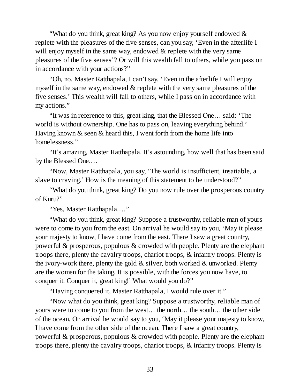"What do you think, great king? As you now enjoy yourself endowed & replete with the pleasures of the five senses, can you say, 'Even in the afterlife I will enjoy myself in the same way, endowed & replete with the very same pleasures of the five senses'? Or will this wealth fall to others, while you pass on in accordance with your actions?"

"Oh, no, Master Ratthapala, I can't say, 'Even in the afterlife I will enjoy myself in the same way, endowed & replete with the very same pleasures of the five senses.' This wealth will fall to others, while I pass on in accordance with my actions."

"It was in reference to this, great king, that the Blessed One… said: 'The world is without ownership. One has to pass on, leaving everything behind.' Having known & seen & heard this, I went forth from the home life into homelessness."

"It's amazing, Master Ratthapala. It's astounding, how well that has been said by the Blessed One.…

"Now, Master Ratthapala, you say, 'The world is insufficient, insatiable, a slave to craving.' How is the meaning of this statement to be understood?"

"What do you think, great king? Do you now rule over the prosperous country of Kuru?"

"Yes, Master Ratthapala.…"

"What do you think, great king? Suppose a trustworthy, reliable man of yours were to come to you from the east. On arrival he would say to you, 'May it please your majesty to know, I have come from the east. There I saw a great country, powerful & prosperous, populous & crowded with people. Plenty are the elephant troops there, plenty the cavalry troops, chariot troops, & infantry troops. Plenty is the ivory-work there, plenty the gold & silver, both worked & unworked. Plenty are the women for the taking. It is possible, with the forces you now have, to conquer it. Conquer it, great king!' What would you do?"

"Having conquered it, Master Ratthapala, I would rule over it."

"Now what do you think, great king? Suppose a trustworthy, reliable man of yours were to come to you from the west… the north… the south… the other side of the ocean. On arrival he would say to you, 'May it please your majesty to know, I have come from the other side of the ocean. There I saw a great country, powerful & prosperous, populous & crowded with people. Plenty are the elephant troops there, plenty the cavalry troops, chariot troops, & infantry troops. Plenty is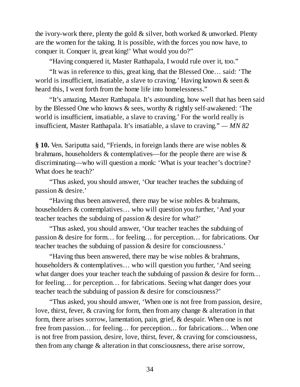the ivory-work there, plenty the gold & silver, both worked & unworked. Plenty are the women for the taking. It is possible, with the forces you now have, to conquer it. Conquer it, great king!' What would you do?"

"Having conquered it, Master Ratthapala, I would rule over it, too."

"It was in reference to this, great king, that the Blessed One… said: 'The world is insufficient, insatiable, a slave to craving.' Having known & seen & heard this, I went forth from the home life into homelessness."

"It's amazing, Master Ratthapala. It's astounding, how well that has been said by the Blessed One who knows & sees, worthy & rightly self-awakened: 'The world is insufficient, insatiable, a slave to craving.' For the world really is insufficient, Master Ratthapala. It's insatiable, a slave to craving." *— MN 82*

<span id="page-33-0"></span>**§ 10.** Ven. Sariputta said, "Friends, in foreign lands there are wise nobles & brahmans, householders & contemplatives—for the people there are wise & discriminating—who will question a monk: 'What is your teacher's doctrine? What does he teach?'

"Thus asked, you should answer, 'Our teacher teaches the subduing of passion & desire.'

"Having thus been answered, there may be wise nobles & brahmans, householders & contemplatives… who will question you further, 'And your teacher teaches the subduing of passion & desire for what?'

"Thus asked, you should answer, 'Our teacher teaches the subduing of passion & desire for form… for feeling… for perception… for fabrications. Our teacher teaches the subduing of passion & desire for consciousness.'

"Having thus been answered, there may be wise nobles & brahmans, householders & contemplatives… who will question you further, 'And seeing what danger does your teacher teach the subduing of passion & desire for form... for feeling… for perception… for fabrications. Seeing what danger does your teacher teach the subduing of passion & desire for consciousness?'

"Thus asked, you should answer, 'When one is not free from passion, desire, love, thirst, fever, & craving for form, then from any change & alteration in that form, there arises sorrow, lamentation, pain, grief, & despair. When one is not free from passion… for feeling… for perception… for fabrications… When one is not free from passion, desire, love, thirst, fever, & craving for consciousness, then from any change & alteration in that consciousness, there arise sorrow,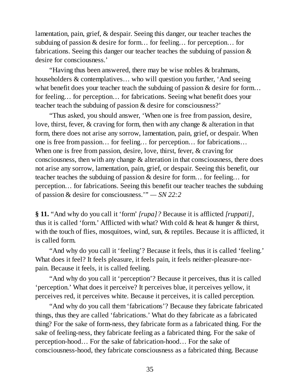lamentation, pain, grief, & despair. Seeing this danger, our teacher teaches the subduing of passion & desire for form… for feeling… for perception… for fabrications. Seeing this danger our teacher teaches the subduing of passion & desire for consciousness.'

"Having thus been answered, there may be wise nobles & brahmans, householders & contemplatives… who will question you further, 'And seeing what benefit does your teacher teach the subduing of passion & desire for form... for feeling… for perception… for fabrications. Seeing what benefit does your teacher teach the subduing of passion & desire for consciousness?'

"Thus asked, you should answer, 'When one is free from passion, desire, love, thirst, fever, & craving for form, then with any change & alteration in that form, there does not arise any sorrow, lamentation, pain, grief, or despair. When one is free from passion… for feeling… for perception… for fabrications… When one is free from passion, desire, love, thirst, fever, & craving for consciousness, then with any change & alteration in that consciousness, there does not arise any sorrow, lamentation, pain, grief, or despair. Seeing this benefit, our teacher teaches the subduing of passion & desire for form… for feeling… for perception… for fabrications. Seeing this benefit our teacher teaches the subduing of passion & desire for consciousness.'" *— SN 22:2*

<span id="page-34-0"></span>**§ 11.** "And why do you call it 'form' *[rupa]?* Because it is afflicted *[ruppati],* thus it is called 'form.' Afflicted with what? With cold & heat & hunger & thirst, with the touch of flies, mosquitoes, wind, sun, & reptiles. Because it is afflicted, it is called form.

"And why do you call it 'feeling'? Because it feels, thus it is called 'feeling.' What does it feel? It feels pleasure, it feels pain, it feels neither-pleasure-norpain. Because it feels, it is called feeling.

"And why do you call it 'perception'? Because it perceives, thus it is called 'perception.' What does it perceive? It perceives blue, it perceives yellow, it perceives red, it perceives white. Because it perceives, it is called perception.

"And why do you call them 'fabrications'? Because they fabricate fabricated things, thus they are called 'fabrications.' What do they fabricate as a fabricated thing? For the sake of form-ness, they fabricate form as a fabricated thing. For the sake of feeling-ness, they fabricate feeling as a fabricated thing. For the sake of perception-hood… For the sake of fabrication-hood… For the sake of consciousness-hood, they fabricate consciousness as a fabricated thing. Because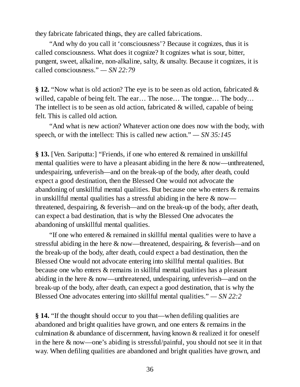they fabricate fabricated things, they are called fabrications.

"And why do you call it 'consciousness'? Because it cognizes, thus it is called consciousness. What does it cognize? It cognizes what is sour, bitter, pungent, sweet, alkaline, non-alkaline, salty, & unsalty. Because it cognizes, it is called consciousness." *— SN 22:79*

**§ 12.** "Now what is old action? The eye is to be seen as old action, fabricated & willed, capable of being felt. The ear… The nose… The tongue… The body… The intellect is to be seen as old action, fabricated & willed, capable of being felt. This is called old action.

"And what is new action? Whatever action one does now with the body, with speech, or with the intellect: This is called new action." *— SN 35:145*

**§ 13.** [Ven. Sariputta:] "Friends, if one who entered & remained in unskillful mental qualities were to have a pleasant abiding in the here & now—unthreatened, undespairing, unfeverish—and on the break-up of the body, after death, could expect a good destination, then the Blessed One would not advocate the abandoning of unskillful mental qualities. But because one who enters & remains in unskillful mental qualities has a stressful abiding in the here & now threatened, despairing, & feverish—and on the break-up of the body, after death, can expect a bad destination, that is why the Blessed One advocates the abandoning of unskillful mental qualities.

"If one who entered & remained in skillful mental qualities were to have a stressful abiding in the here & now—threatened, despairing, & feverish—and on the break-up of the body, after death, could expect a bad destination, then the Blessed One would not advocate entering into skillful mental qualities. But because one who enters & remains in skillful mental qualities has a pleasant abiding in the here & now—unthreatened, undespairing, unfeverish—and on the break-up of the body, after death, can expect a good destination, that is why the Blessed One advocates entering into skillful mental qualities." *— SN 22:2*

**§ 14.** "If the thought should occur to you that—when defiling qualities are abandoned and bright qualities have grown, and one enters & remains in the culmination & abundance of discernment, having known & realized it for oneself in the here & now—one's abiding is stressful/painful, you should not see it in that way. When defiling qualities are abandoned and bright qualities have grown, and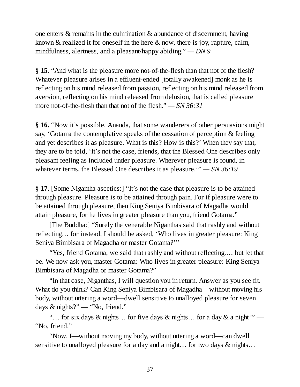one enters & remains in the culmination & abundance of discernment, having known & realized it for oneself in the here & now, there is joy, rapture, calm, mindfulness, alertness, and a pleasant/happy abiding." *— DN 9*

**§ 15.** "And what is the pleasure more not-of-the-flesh than that not of the flesh? Whatever pleasure arises in a effluent-ended [totally awakened] monk as he is reflecting on his mind released from passion, reflecting on his mind released from aversion, reflecting on his mind released from delusion, that is called pleasure more not-of-the-flesh than that not of the flesh." *— SN 36:31*

**§ 16.** "Now it's possible, Ananda, that some wanderers of other persuasions might say, 'Gotama the contemplative speaks of the cessation of perception & feeling and yet describes it as pleasure. What is this? How is this?' When they say that, they are to be told, 'It's not the case, friends, that the Blessed One describes only pleasant feeling as included under pleasure. Wherever pleasure is found, in whatever terms, the Blessed One describes it as pleasure.'" *— SN 36:19*

**§ 17.** [Some Nigantha ascetics:] "It's not the case that pleasure is to be attained through pleasure. Pleasure is to be attained through pain. For if pleasure were to be attained through pleasure, then King Seniya Bimbisara of Magadha would attain pleasure, for he lives in greater pleasure than you, friend Gotama."

[The Buddha:] "Surely the venerable Niganthas said that rashly and without reflecting… for instead, I should be asked, 'Who lives in greater pleasure: King Seniya Bimbisara of Magadha or master Gotama?'"

"Yes, friend Gotama, we said that rashly and without reflecting.… but let that be. We now ask you, master Gotama: Who lives in greater pleasure: King Seniya Bimbisara of Magadha or master Gotama?"

"In that case, Niganthas, I will question you in return. Answer as you see fit. What do you think? Can King Seniya Bimbisara of Magadha—without moving his body, without uttering a word—dwell sensitive to unalloyed pleasure for seven days & nights?" — "No, friend."

"... for six days & nights... for five days & nights... for a day & a night?" — "No, friend."

"Now, I—without moving my body, without uttering a word—can dwell sensitive to unalloyed pleasure for a day and a night... for two days & nights...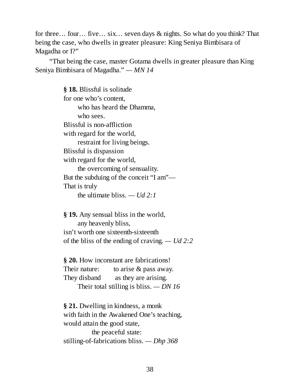for three… four… five… six… seven days & nights. So what do you think? That being the case, who dwells in greater pleasure: King Seniya Bimbisara of Magadha or I?"

"That being the case, master Gotama dwells in greater pleasure than King Seniya Bimbisara of Magadha." *— MN 14*

> **§ 18.** Blissful is solitude for one who's content, who has heard the Dhamma, who sees. Blissful is non-affliction with regard for the world, restraint for living beings. Blissful is dispassion with regard for the world, the overcoming of sensuality. But the subduing of the conceit "I am"— That is truly the ultimate bliss. *— Ud 2:1*

**§ 19.** Any sensual bliss in the world, any heavenly bliss, isn't worth one sixteenth-sixteenth of the bliss of the ending of craving. *— Ud 2:2*

**§ 20.** How inconstant are fabrications! Their nature: to arise & pass away. They disband as they are arising. Their total stilling is bliss. *— DN 16*

**§ 21.** Dwelling in kindness, a monk with faith in the Awakened One's teaching, would attain the good state, the peaceful state: stilling-of-fabrications bliss. *— Dhp 368*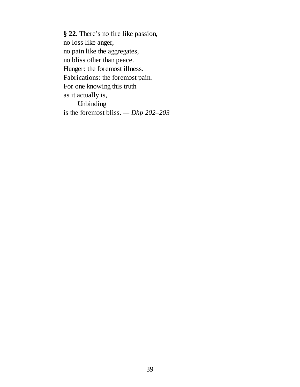**§ 22.** There's no fire like passion, no loss like anger, no pain like the aggregates, no bliss other than peace. Hunger: the foremost illness. Fabrications: the foremost pain. For one knowing this truth as it actually is, Unbinding is the foremost bliss. *— Dhp 202–203*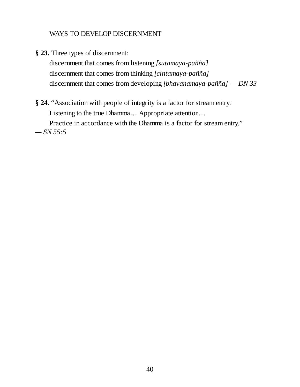## WAYS TO DEVELOP DISCERNMENT

**§ 23.** Three types of discernment:

discernment that comes from listening *[sutamaya-pañña]* discernment that comes from thinking *[cintamaya-pañña]* discernment that comes from developing *[bhavanamaya-pañña] — DN 33*

**§ 24.** "Association with people of integrity is a factor for stream entry. Listening to the true Dhamma… Appropriate attention…

Practice in accordance with the Dhamma is a factor for stream entry."

*— SN 55:5*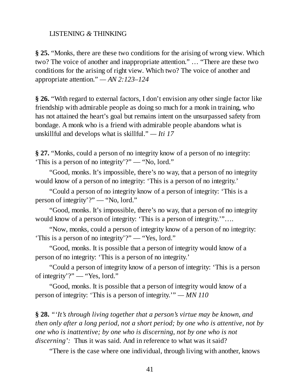LISTENING *&* THINKING

**§ 25.** "Monks, there are these two conditions for the arising of wrong view. Which two? The voice of another and inappropriate attention." … "There are these two conditions for the arising of right view. Which two? The voice of another and appropriate attention." *— AN 2:123–124*

**§ 26.** "With regard to external factors, I don't envision any other single factor like friendship with admirable people as doing so much for a monk in training, who has not attained the heart's goal but remains intent on the unsurpassed safety from bondage. A monk who is a friend with admirable people abandons what is unskillful and develops what is skillful." *— Iti 17*

**§ 27.** "Monks, could a person of no integrity know of a person of no integrity: 'This is a person of no integrity'?" — "No, lord."

"Good, monks. It's impossible, there's no way, that a person of no integrity would know of a person of no integrity: 'This is a person of no integrity.'

"Could a person of no integrity know of a person of integrity: 'This is a person of integrity'?" — "No, lord."

"Good, monks. It's impossible, there's no way, that a person of no integrity would know of a person of integrity: 'This is a person of integrity.'"….

"Now, monks, could a person of integrity know of a person of no integrity: 'This is a person of no integrity'?" — "Yes, lord."

"Good, monks. It is possible that a person of integrity would know of a person of no integrity: 'This is a person of no integrity.'

"Could a person of integrity know of a person of integrity: 'This is a person of integrity'?" — "Yes, lord."

"Good, monks. It is possible that a person of integrity would know of a person of integrity: 'This is a person of integrity.'" *— MN 110*

**§ 28.** *"'It's through living together that a person's virtue may be known, and then only after a long period, not a short period; by one who is attentive, not by one who is inattentive; by one who is discerning, not by one who is not discerning':* Thus it was said. And in reference to what was it said?

"There is the case where one individual, through living with another, knows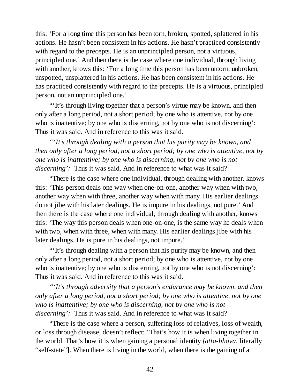this: 'For a long time this person has been torn, broken, spotted, splattered in his actions. He hasn't been consistent in his actions. He hasn't practiced consistently with regard to the precepts. He is an unprincipled person, not a virtuous, principled one.' And then there is the case where one individual, through living with another, knows this: 'For a long time this person has been untorn, unbroken, unspotted, unsplattered in his actions. He has been consistent in his actions. He has practiced consistently with regard to the precepts. He is a virtuous, principled person, not an unprincipled one.'

"'It's through living together that a person's virtue may be known, and then only after a long period, not a short period; by one who is attentive, not by one who is inattentive; by one who is discerning, not by one who is not discerning': Thus it was said. And in reference to this was it said.

*"'It's through dealing with a person that his purity may be known, and then only after a long period, not a short period; by one who is attentive, not by one who is inattentive; by one who is discerning, not by one who is not discerning':* Thus it was said. And in reference to what was it said?

"There is the case where one individual, through dealing with another, knows this: 'This person deals one way when one-on-one, another way when with two, another way when with three, another way when with many. His earlier dealings do not jibe with his later dealings. He is impure in his dealings, not pure.' And then there is the case where one individual, through dealing with another, knows this: 'The way this person deals when one-on-one, is the same way he deals when with two, when with three, when with many. His earlier dealings jibe with his later dealings. He is pure in his dealings, not impure.'

"'It's through dealing with a person that his purity may be known, and then only after a long period, not a short period; by one who is attentive, not by one who is inattentive; by one who is discerning, not by one who is not discerning': Thus it was said. And in reference to this was it said.

*"'It's through adversity that a person's endurance may be known, and then only after a long period, not a short period; by one who is attentive, not by one who is inattentive; by one who is discerning, not by one who is not discerning':* Thus it was said. And in reference to what was it said?

"There is the case where a person, suffering loss of relatives, loss of wealth, or loss through disease, doesn't reflect: 'That's how it is when living together in the world. That's how it is when gaining a personal identity *[atta-bhava,* literally "self-state"]. When there is living in the world, when there is the gaining of a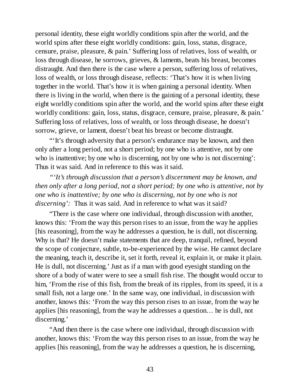personal identity, these eight worldly conditions spin after the world, and the world spins after these eight worldly conditions: gain, loss, status, disgrace, censure, praise, pleasure, & pain.' Suffering loss of relatives, loss of wealth, or loss through disease, he sorrows, grieves, & laments, beats his breast, becomes distraught. And then there is the case where a person, suffering loss of relatives, loss of wealth, or loss through disease, reflects: 'That's how it is when living together in the world. That's how it is when gaining a personal identity. When there is living in the world, when there is the gaining of a personal identity, these eight worldly conditions spin after the world, and the world spins after these eight worldly conditions: gain, loss, status, disgrace, censure, praise, pleasure, & pain.' Suffering loss of relatives, loss of wealth, or loss through disease, he doesn't sorrow, grieve, or lament, doesn't beat his breast or become distraught.

"'It's through adversity that a person's endurance may be known, and then only after a long period, not a short period; by one who is attentive, not by one who is inattentive; by one who is discerning, not by one who is not discerning': Thus it was said. And in reference to this was it said.

*"'It's through discussion that a person's discernment may be known, and then only after a long period, not a short period; by one who is attentive, not by one who is inattentive; by one who is discerning, not by one who is not discerning':* Thus it was said. And in reference to what was it said?

"There is the case where one individual, through discussion with another, knows this: 'From the way this person rises to an issue, from the way he applies [his reasoning], from the way he addresses a question, he is dull, not discerning. Why is that? He doesn't make statements that are deep, tranquil, refined, beyond the scope of conjecture, subtle, to-be-experienced by the wise. He cannot declare the meaning, teach it, describe it, set it forth, reveal it, explain it, or make it plain. He is dull, not discerning.' Just as if a man with good eyesight standing on the shore of a body of water were to see a small fish rise. The thought would occur to him, 'From the rise of this fish, from the break of its ripples, from its speed, it is a small fish, not a large one.' In the same way, one individual, in discussion with another, knows this: 'From the way this person rises to an issue, from the way he applies [his reasoning], from the way he addresses a question… he is dull, not discerning.'

"And then there is the case where one individual, through discussion with another, knows this: 'From the way this person rises to an issue, from the way he applies [his reasoning], from the way he addresses a question, he is discerning,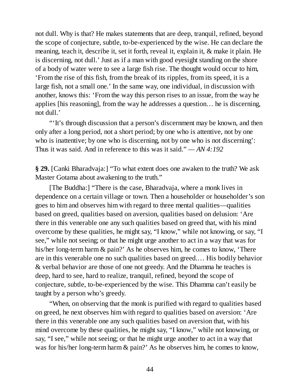not dull. Why is that? He makes statements that are deep, tranquil, refined, beyond the scope of conjecture, subtle, to-be-experienced by the wise. He can declare the meaning, teach it, describe it, set it forth, reveal it, explain it, & make it plain. He is discerning, not dull.' Just as if a man with good eyesight standing on the shore of a body of water were to see a large fish rise. The thought would occur to him, 'From the rise of this fish, from the break of its ripples, from its speed, it is a large fish, not a small one.' In the same way, one individual, in discussion with another, knows this: 'From the way this person rises to an issue, from the way he applies [his reasoning], from the way he addresses a question… he is discerning, not dull.'

"'It's through discussion that a person's discernment may be known, and then only after a long period, not a short period; by one who is attentive, not by one who is inattentive; by one who is discerning, not by one who is not discerning': Thus it was said. And in reference to this was it said." *— AN 4:192*

**§ 29.** [Canki Bharadvaja:] "To what extent does one awaken to the truth? We ask Master Gotama about awakening to the truth."

[The Buddha:] "There is the case, Bharadvaja, where a monk lives in dependence on a certain village or town. Then a householder or householder's son goes to him and observes him with regard to three mental qualities—qualities based on greed, qualities based on aversion, qualities based on delusion: 'Are there in this venerable one any such qualities based on greed that, with his mind overcome by these qualities, he might say, "I know," while not knowing, or say, "I see," while not seeing; or that he might urge another to act in a way that was for his/her long-term harm & pain?' As he observes him, he comes to know, 'There are in this venerable one no such qualities based on greed.… His bodily behavior & verbal behavior are those of one not greedy. And the Dhamma he teaches is deep, hard to see, hard to realize, tranquil, refined, beyond the scope of conjecture, subtle, to-be-experienced by the wise. This Dhamma can't easily be taught by a person who's greedy.

"When, on observing that the monk is purified with regard to qualities based on greed, he next observes him with regard to qualities based on aversion: 'Are there in this venerable one any such qualities based on aversion that, with his mind overcome by these qualities, he might say, "I know," while not knowing, or say, "I see," while not seeing; or that he might urge another to act in a way that was for his/her long-term harm & pain?' As he observes him, he comes to know,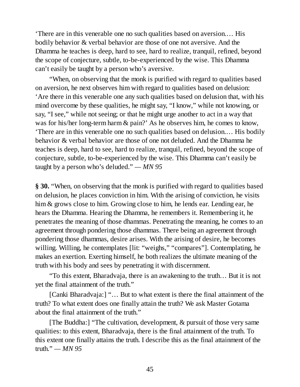'There are in this venerable one no such qualities based on aversion.… His bodily behavior & verbal behavior are those of one not aversive. And the Dhamma he teaches is deep, hard to see, hard to realize, tranquil, refined, beyond the scope of conjecture, subtle, to-be-experienced by the wise. This Dhamma can't easily be taught by a person who's aversive.

"When, on observing that the monk is purified with regard to qualities based on aversion, he next observes him with regard to qualities based on delusion: 'Are there in this venerable one any such qualities based on delusion that, with his mind overcome by these qualities, he might say, "I know," while not knowing, or say, "I see," while not seeing; or that he might urge another to act in a way that was for his/her long-term harm & pain?' As he observes him, he comes to know, 'There are in this venerable one no such qualities based on delusion.… His bodily behavior & verbal behavior are those of one not deluded. And the Dhamma he teaches is deep, hard to see, hard to realize, tranquil, refined, beyond the scope of conjecture, subtle, to-be-experienced by the wise. This Dhamma can't easily be taught by a person who's deluded." *— MN 95*

**§ 30.** "When, on observing that the monk is purified with regard to qualities based on delusion, he places conviction in him. With the arising of conviction, he visits him & grows close to him. Growing close to him, he lends ear. Lending ear, he hears the Dhamma. Hearing the Dhamma, he remembers it. Remembering it, he penetrates the meaning of those dhammas. Penetrating the meaning, he comes to an agreement through pondering those dhammas. There being an agreement through pondering those dhammas, desire arises. With the arising of desire, he becomes willing. Willing, he contemplates [lit: "weighs," "compares"]. Contemplating, he makes an exertion. Exerting himself, he both realizes the ultimate meaning of the truth with his body and sees by penetrating it with discernment.

"To this extent, Bharadvaja, there is an awakening to the truth… But it is not yet the final attainment of the truth."

[Canki Bharadvaja:] "… But to what extent is there the final attainment of the truth? To what extent does one finally attain the truth? We ask Master Gotama about the final attainment of the truth."

[The Buddha:] "The cultivation, development, & pursuit of those very same qualities: to this extent, Bharadvaja, there is the final attainment of the truth. To this extent one finally attains the truth. I describe this as the final attainment of the truth." *— MN 95*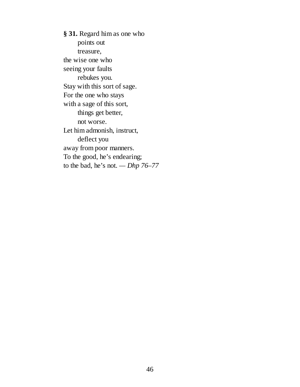**§ 31.** Regard him as one who points out treasure, the wise one who seeing your faults rebukes you. Stay with this sort of sage. For the one who stays with a sage of this sort, things get better, not worse. Let him admonish, instruct, deflect you away from poor manners. To the good, he's endearing; to the bad, he's not. *— Dhp 76–77*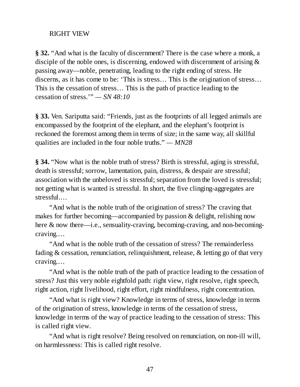## RIGHT VIEW

**§ 32.** "And what is the faculty of discernment? There is the case where a monk, a disciple of the noble ones, is discerning, endowed with discernment of arising & passing away—noble, penetrating, leading to the right ending of stress. He discerns, as it has come to be: 'This is stress… This is the origination of stress… This is the cessation of stress… This is the path of practice leading to the cessation of stress.'" *— SN 48:10*

**§ 33.** Ven. Sariputta said: "Friends, just as the footprints of all legged animals are encompassed by the footprint of the elephant, and the elephant's footprint is reckoned the foremost among them in terms of size; in the same way, all skillful qualities are included in the four noble truths." *— MN28*

**§ 34.** "Now what is the noble truth of stress? Birth is stressful, aging is stressful, death is stressful; sorrow, lamentation, pain, distress, & despair are stressful; association with the unbeloved is stressful; separation from the loved is stressful; not getting what is wanted is stressful. In short, the five clinging-aggregates are stressful.…

"And what is the noble truth of the origination of stress? The craving that makes for further becoming—accompanied by passion & delight, relishing now here & now there—i.e., sensuality-craving, becoming-craving, and non-becomingcraving.…

"And what is the noble truth of the cessation of stress? The remainderless fading & cessation, renunciation, relinquishment, release, & letting go of that very craving.…

"And what is the noble truth of the path of practice leading to the cessation of stress? Just this very noble eightfold path: right view, right resolve, right speech, right action, right livelihood, right effort, right mindfulness, right concentration.

"And what is right view? Knowledge in terms of stress, knowledge in terms of the origination of stress, knowledge in terms of the cessation of stress, knowledge in terms of the way of practice leading to the cessation of stress: This is called right view.

"And what is right resolve? Being resolved on renunciation, on non-ill will, on harmlessness: This is called right resolve.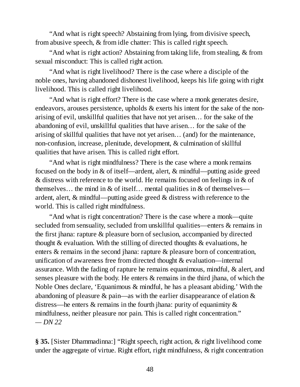"And what is right speech? Abstaining from lying, from divisive speech, from abusive speech, & from idle chatter: This is called right speech.

"And what is right action? Abstaining from taking life, from stealing, & from sexual misconduct: This is called right action.

"And what is right livelihood? There is the case where a disciple of the noble ones, having abandoned dishonest livelihood, keeps his life going with right livelihood. This is called right livelihood.

"And what is right effort? There is the case where a monk generates desire, endeavors, arouses persistence, upholds & exerts his intent for the sake of the nonarising of evil, unskillful qualities that have not yet arisen… for the sake of the abandoning of evil, unskillful qualities that have arisen… for the sake of the arising of skillful qualities that have not yet arisen… (and) for the maintenance, non-confusion, increase, plenitude, development, & culmination of skillful qualities that have arisen. This is called right effort.

"And what is right mindfulness? There is the case where a monk remains focused on the body in & of itself—ardent, alert, & mindful—putting aside greed & distress with reference to the world. He remains focused on feelings in & of themselves… the mind in & of itself… mental qualities in & of themselves ardent, alert, & mindful—putting aside greed & distress with reference to the world. This is called right mindfulness.

"And what is right concentration? There is the case where a monk—quite secluded from sensuality, secluded from unskillful qualities—enters & remains in the first jhana: rapture & pleasure born of seclusion, accompanied by directed thought & evaluation. With the stilling of directed thoughts & evaluations, he enters & remains in the second jhana: rapture & pleasure born of concentration, unification of awareness free from directed thought & evaluation—internal assurance. With the fading of rapture he remains equanimous, mindful, & alert, and senses pleasure with the body. He enters & remains in the third jhana, of which the Noble Ones declare, 'Equanimous & mindful, he has a pleasant abiding.' With the abandoning of pleasure & pain—as with the earlier disappearance of elation & distress—he enters & remains in the fourth jhana: purity of equanimity & mindfulness, neither pleasure nor pain. This is called right concentration." *— DN 22*

**§ 35.** [Sister Dhammadinna:] "Right speech, right action, & right livelihood come under the aggregate of virtue. Right effort, right mindfulness, & right concentration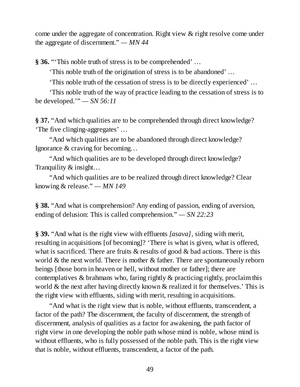come under the aggregate of concentration. Right view & right resolve come under the aggregate of discernment." *— MN 44*

**§ 36.** "'This noble truth of stress is to be comprehended' …

'This noble truth of the origination of stress is to be abandoned' …

'This noble truth of the cessation of stress is to be directly experienced' …

'This noble truth of the way of practice leading to the cessation of stress is to be developed.'" *— SN 56:11*

**§ 37.** "And which qualities are to be comprehended through direct knowledge? 'The five clinging-aggregates' …

"And which qualities are to be abandoned through direct knowledge? Ignorance & craving for becoming…

"And which qualities are to be developed through direct knowledge? Tranquility & insight…

"And which qualities are to be realized through direct knowledge? Clear knowing & release." *— MN 149*

**§ 38.** "And what is comprehension? Any ending of passion, ending of aversion, ending of delusion: This is called comprehension." *— SN 22:23*

**§ 39.** "And what is the right view with effluents *[asava],* siding with merit, resulting in acquisitions [of becoming]? 'There is what is given, what is offered, what is sacrificed. There are fruits & results of good & bad actions. There is this world & the next world. There is mother & father. There are spontaneously reborn beings [those born in heaven or hell, without mother or father]; there are contemplatives & brahmans who, faring rightly & practicing rightly, proclaim this world & the next after having directly known & realized it for themselves.' This is the right view with effluents, siding with merit, resulting in acquisitions.

"And what is the right view that is noble, without effluents, transcendent, a factor of the path? The discernment, the faculty of discernment, the strength of discernment, analysis of qualities as a factor for awakening, the path factor of right view in one developing the noble path whose mind is noble, whose mind is without effluents, who is fully possessed of the noble path. This is the right view that is noble, without effluents, transcendent, a factor of the path.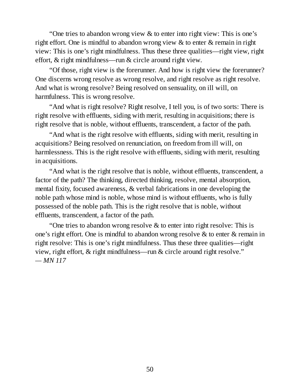"One tries to abandon wrong view & to enter into right view: This is one's right effort. One is mindful to abandon wrong view & to enter & remain in right view: This is one's right mindfulness. Thus these three qualities—right view, right effort, & right mindfulness—run & circle around right view.

"Of those, right view is the forerunner. And how is right view the forerunner? One discerns wrong resolve as wrong resolve, and right resolve as right resolve. And what is wrong resolve? Being resolved on sensuality, on ill will, on harmfulness. This is wrong resolve.

"And what is right resolve? Right resolve, I tell you, is of two sorts: There is right resolve with effluents, siding with merit, resulting in acquisitions; there is right resolve that is noble, without effluents, transcendent, a factor of the path.

"And what is the right resolve with effluents, siding with merit, resulting in acquisitions? Being resolved on renunciation, on freedom from ill will, on harmlessness. This is the right resolve with effluents, siding with merit, resulting in acquisitions.

"And what is the right resolve that is noble, without effluents, transcendent, a factor of the path? The thinking, directed thinking, resolve, mental absorption, mental fixity, focused awareness, & verbal fabrications in one developing the noble path whose mind is noble, whose mind is without effluents, who is fully possessed of the noble path. This is the right resolve that is noble, without effluents, transcendent, a factor of the path.

"One tries to abandon wrong resolve & to enter into right resolve: This is one's right effort. One is mindful to abandon wrong resolve & to enter & remain in right resolve: This is one's right mindfulness. Thus these three qualities—right view, right effort, & right mindfulness—run & circle around right resolve." *— MN 117*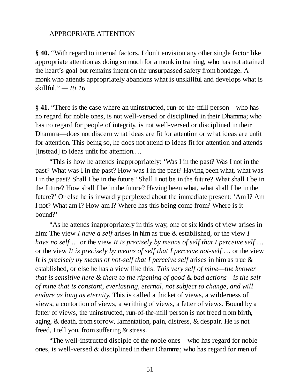### APPROPRIATE ATTENTION

**§ 40.** "With regard to internal factors, I don't envision any other single factor like appropriate attention as doing so much for a monk in training, who has not attained the heart's goal but remains intent on the unsurpassed safety from bondage. A monk who attends appropriately abandons what is unskillful and develops what is skillful." *— Iti 16*

**§ 41.** "There is the case where an uninstructed, run-of-the-mill person—who has no regard for noble ones, is not well-versed or disciplined in their Dhamma; who has no regard for people of integrity, is not well-versed or disciplined in their Dhamma—does not discern what ideas are fit for attention or what ideas are unfit for attention. This being so, he does not attend to ideas fit for attention and attends [instead] to ideas unfit for attention....

"This is how he attends inappropriately: 'Was I in the past? Was I not in the past? What was I in the past? How was I in the past? Having been what, what was I in the past? Shall I be in the future? Shall I not be in the future? What shall I be in the future? How shall I be in the future? Having been what, what shall I be in the future?' Or else he is inwardly perplexed about the immediate present: 'Am I? Am I not? What am I? How am I? Where has this being come from? Where is it bound?'

"As he attends inappropriately in this way, one of six kinds of view arises in him: The view *I have a self* arises in him as true & established, or the view *I have no self* … or the view *It is precisely by means of self that I perceive self* … or the view *It is precisely by means of self that I perceive not-self* … or the view *It is precisely by means of not-self that I perceive self* arises in him as true & established, or else he has a view like this: *This very self of mine—the knower that is sensitive here & there to the ripening of good & bad actions—is the self of mine that is constant, everlasting, eternal, not subject to change, and will endure as long as eternity.* This is called a thicket of views, a wilderness of views, a contortion of views, a writhing of views, a fetter of views. Bound by a fetter of views, the uninstructed, run-of-the-mill person is not freed from birth, aging, & death, from sorrow, lamentation, pain, distress, & despair. He is not freed, I tell you, from suffering & stress.

"The well-instructed disciple of the noble ones—who has regard for noble ones, is well-versed & disciplined in their Dhamma; who has regard for men of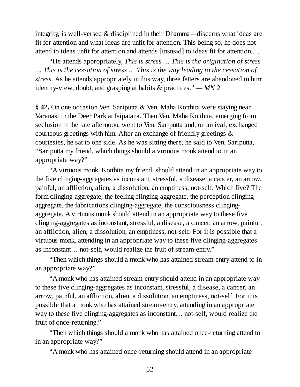integrity, is well-versed & disciplined in their Dhamma—discerns what ideas are fit for attention and what ideas are unfit for attention. This being so, he does not attend to ideas unfit for attention and attends [instead] to ideas fit for attention.…

"He attends appropriately, *This is stress … This is the origination of stress … This is the cessation of stress … This is the way leading to the cessation of stress.* As he attends appropriately in this way, three fetters are abandoned in him: identity-view, doubt, and grasping at habits & practices." *— MN 2*

**§ 42.** On one occasion Ven. Sariputta & Ven. Maha Kotthita were staying near Varanasi in the Deer Park at Isipatana. Then Ven. Maha Kotthita, emerging from seclusion in the late afternoon, went to Ven. Sariputta and, on arrival, exchanged courteous greetings with him. After an exchange of friendly greetings & courtesies, he sat to one side. As he was sitting there, he said to Ven. Sariputta, "Sariputta my friend, which things should a virtuous monk attend to in an appropriate way?"

"A virtuous monk, Kotthita my friend, should attend in an appropriate way to the five clinging-aggregates as inconstant, stressful, a disease, a cancer, an arrow, painful, an affliction, alien, a dissolution, an emptiness, not-self. Which five? The form clinging-aggregate, the feeling clinging-aggregate, the perception clingingaggregate, the fabrications clinging-aggregate, the consciousness clingingaggregate. A virtuous monk should attend in an appropriate way to these five clinging-aggregates as inconstant, stressful, a disease, a cancer, an arrow, painful, an affliction, alien, a dissolution, an emptiness, not-self. For it is possible that a virtuous monk, attending in an appropriate way to these five clinging-aggregates as inconstant… not-self, would realize the fruit of stream-entry."

"Then which things should a monk who has attained stream-entry attend to in an appropriate way?"

"A monk who has attained stream-entry should attend in an appropriate way to these five clinging-aggregates as inconstant, stressful, a disease, a cancer, an arrow, painful, an affliction, alien, a dissolution, an emptiness, not-self. For it is possible that a monk who has attained stream-entry, attending in an appropriate way to these five clinging-aggregates as inconstant… not-self, would realize the fruit of once-returning."

"Then which things should a monk who has attained once-returning attend to in an appropriate way?"

"A monk who has attained once-returning should attend in an appropriate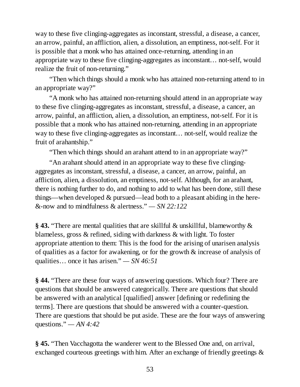way to these five clinging-aggregates as inconstant, stressful, a disease, a cancer, an arrow, painful, an affliction, alien, a dissolution, an emptiness, not-self. For it is possible that a monk who has attained once-returning, attending in an appropriate way to these five clinging-aggregates as inconstant… not-self, would realize the fruit of non-returning."

"Then which things should a monk who has attained non-returning attend to in an appropriate way?"

"A monk who has attained non-returning should attend in an appropriate way to these five clinging-aggregates as inconstant, stressful, a disease, a cancer, an arrow, painful, an affliction, alien, a dissolution, an emptiness, not-self. For it is possible that a monk who has attained non-returning, attending in an appropriate way to these five clinging-aggregates as inconstant… not-self, would realize the fruit of arahantship."

"Then which things should an arahant attend to in an appropriate way?"

"An arahant should attend in an appropriate way to these five clingingaggregates as inconstant, stressful, a disease, a cancer, an arrow, painful, an affliction, alien, a dissolution, an emptiness, not-self. Although, for an arahant, there is nothing further to do, and nothing to add to what has been done, still these things—when developed & pursued—lead both to a pleasant abiding in the here- &-now and to mindfulness & alertness." *— SN 22:122*

**§ 43.** "There are mental qualities that are skillful & unskillful, blameworthy & blameless, gross & refined, siding with darkness & with light. To foster appropriate attention to them: This is the food for the arising of unarisen analysis of qualities as a factor for awakening, or for the growth & increase of analysis of qualities… once it has arisen." *— SN 46:51*

**§ 44.** "There are these four ways of answering questions. Which four? There are questions that should be answered categorically. There are questions that should be answered with an analytical [qualified] answer [defining or redefining the terms]. There are questions that should be answered with a counter-question. There are questions that should be put aside. These are the four ways of answering questions." *— AN 4:42*

**§ 45.** "Then Vacchagotta the wanderer went to the Blessed One and, on arrival, exchanged courteous greetings with him. After an exchange of friendly greetings &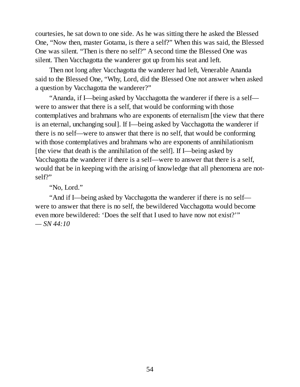courtesies, he sat down to one side. As he was sitting there he asked the Blessed One, "Now then, master Gotama, is there a self?" When this was said, the Blessed One was silent. "Then is there no self?" A second time the Blessed One was silent. Then Vacchagotta the wanderer got up from his seat and left.

Then not long after Vacchagotta the wanderer had left, Venerable Ananda said to the Blessed One, "Why, Lord, did the Blessed One not answer when asked a question by Vacchagotta the wanderer?"

"Ananda, if I—being asked by Vacchagotta the wanderer if there is a self were to answer that there is a self, that would be conforming with those contemplatives and brahmans who are exponents of eternalism [the view that there is an eternal, unchanging soul]. If I—being asked by Vacchagotta the wanderer if there is no self—were to answer that there is no self, that would be conforming with those contemplatives and brahmans who are exponents of annihilationism [the view that death is the annihilation of the self]. If I—being asked by Vacchagotta the wanderer if there is a self—were to answer that there is a self, would that be in keeping with the arising of knowledge that all phenomena are notself?"

"No, Lord."

"And if I—being asked by Vacchagotta the wanderer if there is no self were to answer that there is no self, the bewildered Vacchagotta would become even more bewildered: 'Does the self that I used to have now not exist?'" *— SN 44:10*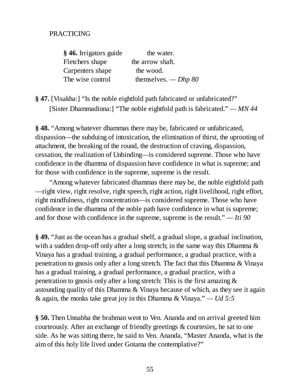### **PRACTICING**

| § 46. Irrigators guide | the water.            |
|------------------------|-----------------------|
| Fletchers shape        | the arrow shaft.      |
| Carpenters shape       | the wood.             |
| The wise control       | themselves. $-Dhp 80$ |

**§ 47.** [Visakha:] "Is the noble eightfold path fabricated or unfabricated?" [Sister Dhammadinna:] "The noble eightfold path is fabricated." *— MN 44*

**§ 48.** "Among whatever dhammas there may be, fabricated or unfabricated, dispassion—the subduing of intoxication, the elimination of thirst, the uprooting of attachment, the breaking of the round, the destruction of craving, dispassion, cessation, the realization of Unbinding—is considered supreme. Those who have confidence in the dhamma of dispassion have confidence in what is supreme; and for those with confidence in the supreme, supreme is the result.

"Among whatever fabricated dhammas there may be, the noble eightfold path —right view, right resolve, right speech, right action, right livelihood, right effort, right mindfulness, right concentration—is considered supreme. Those who have confidence in the dhamma of the noble path have confidence in what is supreme; and for those with confidence in the supreme, supreme is the result." *— Iti 90*

**§ 49.** "Just as the ocean has a gradual shelf, a gradual slope, a gradual inclination, with a sudden drop-off only after a long stretch; in the same way this Dhamma & Vinaya has a gradual training, a gradual performance, a gradual practice, with a penetration to gnosis only after a long stretch. The fact that this Dhamma & Vinaya has a gradual training, a gradual performance, a gradual practice, with a penetration to gnosis only after a long stretch: This is the first amazing & astounding quality of this Dhamma & Vinaya because of which, as they see it again & again, the monks take great joy in this Dhamma & Vinaya." *— Ud 5:5*

**§ 50.** Then Unnabha the brahman went to Ven. Ananda and on arrival greeted him courteously. After an exchange of friendly greetings & courtesies, he sat to one side. As he was sitting there, he said to Ven. Ananda, "Master Ananda, what is the aim of this holy life lived under Gotama the contemplative?"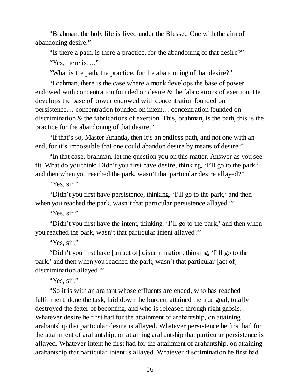"Brahman, the holy life is lived under the Blessed One with the aim of abandoning desire."

"Is there a path, is there a practice, for the abandoning of that desire?" "Yes, there is…."

"What is the path, the practice, for the abandoning of that desire?"

"Brahman, there is the case where a monk develops the base of power endowed with concentration founded on desire & the fabrications of exertion. He develops the base of power endowed with concentration founded on persistence… concentration founded on intent… concentration founded on discrimination & the fabrications of exertion. This, brahman, is the path, this is the practice for the abandoning of that desire."

"If that's so, Master Ananda, then it's an endless path, and not one with an end, for it's impossible that one could abandon desire by means of desire."

"In that case, brahman, let me question you on this matter. Answer as you see fit. What do you think: Didn't you first have desire, thinking, 'I'll go to the park,' and then when you reached the park, wasn't that particular desire allayed?"

"Yes, sir."

"Didn't you first have persistence, thinking, 'I'll go to the park,' and then when you reached the park, wasn't that particular persistence allayed?"

"Yes, sir."

"Didn't you first have the intent, thinking, 'I'll go to the park,' and then when you reached the park, wasn't that particular intent allayed?"

"Yes, sir."

"Didn't you first have [an act of] discrimination, thinking, 'I'll go to the park,' and then when you reached the park, wasn't that particular [act of] discrimination allayed?"

"Yes, sir."

"So it is with an arahant whose effluents are ended, who has reached fulfillment, done the task, laid down the burden, attained the true goal, totally destroyed the fetter of becoming, and who is released through right gnosis. Whatever desire he first had for the attainment of arahantship, on attaining arahantship that particular desire is allayed. Whatever persistence he first had for the attainment of arahantship, on attaining arahantship that particular persistence is allayed. Whatever intent he first had for the attainment of arahantship, on attaining arahantship that particular intent is allayed. Whatever discrimination he first had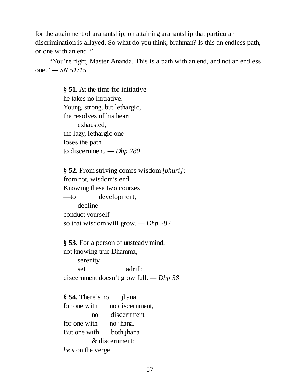for the attainment of arahantship, on attaining arahantship that particular discrimination is allayed. So what do you think, brahman? Is this an endless path, or one with an end?"

"You're right, Master Ananda. This is a path with an end, and not an endless one." *— SN 51:15*

> **§ 51.** At the time for initiative he takes no initiative. Young, strong, but lethargic, the resolves of his heart exhausted, the lazy, lethargic one loses the path to discernment. *— Dhp 280* **§ 52.** From striving comes wisdom *[bhuri];* from not, wisdom's end. Knowing these two courses —to development, decline conduct yourself so that wisdom will grow. *— Dhp 282* **§ 53.** For a person of unsteady mind, not knowing true Dhamma, serenity set adrift: discernment doesn't grow full. *— Dhp 38* **§ 54.** There's no jhana for one with no discernment, no discernment for one with no jhana. But one with both jhana & discernment: *he's* on the verge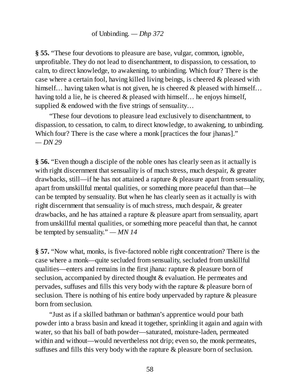### of Unbinding. *— Dhp 372*

**§ 55.** "These four devotions to pleasure are base, vulgar, common, ignoble, unprofitable. They do not lead to disenchantment, to dispassion, to cessation, to calm, to direct knowledge, to awakening, to unbinding. Which four? There is the case where a certain fool, having killed living beings, is cheered & pleased with himself... having taken what is not given, he is cheered & pleased with himself... having told a lie, he is cheered & pleased with himself... he enjoys himself, supplied & endowed with the five strings of sensuality…

"These four devotions to pleasure lead exclusively to disenchantment, to dispassion, to cessation, to calm, to direct knowledge, to awakening, to unbinding. Which four? There is the case where a monk [practices the four jhanas]." *— DN 29*

**§ 56.** "Even though a disciple of the noble ones has clearly seen as it actually is with right discernment that sensuality is of much stress, much despair, & greater drawbacks, still—if he has not attained a rapture & pleasure apart from sensuality, apart from unskillful mental qualities, or something more peaceful than that—he can be tempted by sensuality. But when he has clearly seen as it actually is with right discernment that sensuality is of much stress, much despair, & greater drawbacks, and he has attained a rapture & pleasure apart from sensuality, apart from unskillful mental qualities, or something more peaceful than that, he cannot be tempted by sensuality." *— MN 14*

**§ 57.** "Now what, monks, is five-factored noble right concentration? There is the case where a monk—quite secluded from sensuality, secluded from unskillful qualities—enters and remains in the first jhana: rapture & pleasure born of seclusion, accompanied by directed thought & evaluation. He permeates and pervades, suffuses and fills this very body with the rapture & pleasure born of seclusion. There is nothing of his entire body unpervaded by rapture & pleasure born from seclusion.

"Just as if a skilled bathman or bathman's apprentice would pour bath powder into a brass basin and knead it together, sprinkling it again and again with water, so that his ball of bath powder—saturated, moisture-laden, permeated within and without—would nevertheless not drip; even so, the monk permeates, suffuses and fills this very body with the rapture & pleasure born of seclusion.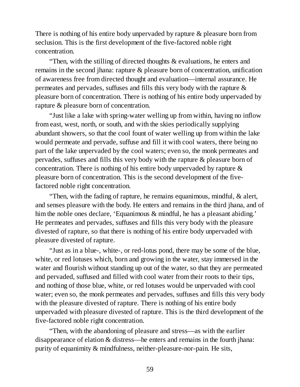There is nothing of his entire body unpervaded by rapture & pleasure born from seclusion. This is the first development of the five-factored noble right concentration.

"Then, with the stilling of directed thoughts & evaluations, he enters and remains in the second jhana: rapture & pleasure born of concentration, unification of awareness free from directed thought and evaluation—internal assurance. He permeates and pervades, suffuses and fills this very body with the rapture & pleasure born of concentration. There is nothing of his entire body unpervaded by rapture & pleasure born of concentration.

"Just like a lake with spring-water welling up from within, having no inflow from east, west, north, or south, and with the skies periodically supplying abundant showers, so that the cool fount of water welling up from within the lake would permeate and pervade, suffuse and fill it with cool waters, there being no part of the lake unpervaded by the cool waters; even so, the monk permeates and pervades, suffuses and fills this very body with the rapture & pleasure born of concentration. There is nothing of his entire body unpervaded by rapture & pleasure born of concentration. This is the second development of the fivefactored noble right concentration.

"Then, with the fading of rapture, he remains equanimous, mindful, & alert, and senses pleasure with the body. He enters and remains in the third jhana, and of him the noble ones declare, 'Equanimous & mindful, he has a pleasant abiding.' He permeates and pervades, suffuses and fills this very body with the pleasure divested of rapture, so that there is nothing of his entire body unpervaded with pleasure divested of rapture.

"Just as in a blue-, white-, or red-lotus pond, there may be some of the blue, white, or red lotuses which, born and growing in the water, stay immersed in the water and flourish without standing up out of the water, so that they are permeated and pervaded, suffused and filled with cool water from their roots to their tips, and nothing of those blue, white, or red lotuses would be unpervaded with cool water; even so, the monk permeates and pervades, suffuses and fills this very body with the pleasure divested of rapture. There is nothing of his entire body unpervaded with pleasure divested of rapture. This is the third development of the five-factored noble right concentration.

"Then, with the abandoning of pleasure and stress—as with the earlier disappearance of elation & distress—he enters and remains in the fourth jhana: purity of equanimity & mindfulness, neither-pleasure-nor-pain. He sits,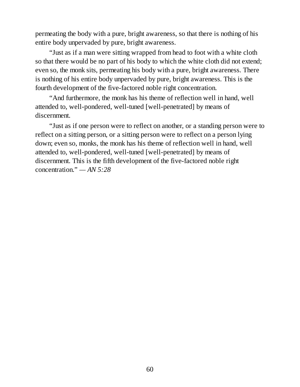permeating the body with a pure, bright awareness, so that there is nothing of his entire body unpervaded by pure, bright awareness.

"Just as if a man were sitting wrapped from head to foot with a white cloth so that there would be no part of his body to which the white cloth did not extend; even so, the monk sits, permeating his body with a pure, bright awareness. There is nothing of his entire body unpervaded by pure, bright awareness. This is the fourth development of the five-factored noble right concentration.

"And furthermore, the monk has his theme of reflection well in hand, well attended to, well-pondered, well-tuned [well-penetrated] by means of discernment.

"Just as if one person were to reflect on another, or a standing person were to reflect on a sitting person, or a sitting person were to reflect on a person lying down; even so, monks, the monk has his theme of reflection well in hand, well attended to, well-pondered, well-tuned [well-penetrated] by means of discernment. This is the fifth development of the five-factored noble right concentration." *— AN 5:28*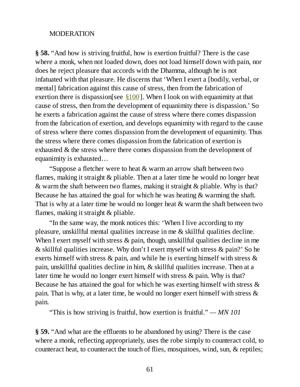#### MODERATION

**§ 58.** "And how is striving fruitful, how is exertion fruitful? There is the case where a monk, when not loaded down, does not load himself down with pain, nor does he reject pleasure that accords with the Dhamma, although he is not infatuated with that pleasure. He discerns that 'When I exert a [bodily, verbal, or mental] fabrication against this cause of stress, then from the fabrication of exertion there is dispassion[see  $$100$ ]. When I look on with equanimity at that cause of stress, then from the development of equanimity there is dispassion.' So he exerts a fabrication against the cause of stress where there comes dispassion from the fabrication of exertion, and develops equanimity with regard to the cause of stress where there comes dispassion from the development of equanimity. Thus the stress where there comes dispassion from the fabrication of exertion is exhausted & the stress where there comes dispassion from the development of equanimity is exhausted…

"Suppose a fletcher were to heat & warm an arrow shaft between two flames, making it straight & pliable. Then at a later time he would no longer heat & warm the shaft between two flames, making it straight & pliable. Why is that? Because he has attained the goal for which he was heating & warming the shaft. That is why at a later time he would no longer heat & warm the shaft between two flames, making it straight & pliable.

"In the same way, the monk notices this: 'When I live according to my pleasure, unskillful mental qualities increase in me & skillful qualities decline. When I exert myself with stress & pain, though, unskillful qualities decline in me & skillful qualities increase. Why don't I exert myself with stress & pain?' So he exerts himself with stress & pain, and while he is exerting himself with stress & pain, unskillful qualities decline in him, & skillful qualities increase. Then at a later time he would no longer exert himself with stress & pain. Why is that? Because he has attained the goal for which he was exerting himself with stress & pain. That is why, at a later time, he would no longer exert himself with stress & pain.

"This is how striving is fruitful, how exertion is fruitful." *— MN 101*

**§ 59.** "And what are the effluents to be abandoned by using? There is the case where a monk, reflecting appropriately, uses the robe simply to counteract cold, to counteract heat, to counteract the touch of flies, mosquitoes, wind, sun, & reptiles;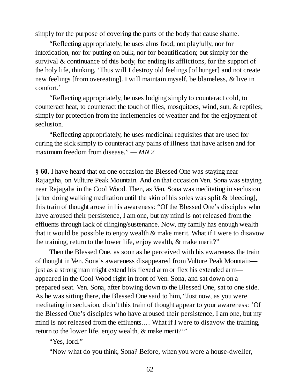simply for the purpose of covering the parts of the body that cause shame.

"Reflecting appropriately, he uses alms food, not playfully, nor for intoxication, nor for putting on bulk, nor for beautification; but simply for the survival & continuance of this body, for ending its afflictions, for the support of the holy life, thinking, 'Thus will I destroy old feelings [of hunger] and not create new feelings [from overeating]. I will maintain myself, be blameless, & live in comfort.'

"Reflecting appropriately, he uses lodging simply to counteract cold, to counteract heat, to counteract the touch of flies, mosquitoes, wind, sun, & reptiles; simply for protection from the inclemencies of weather and for the enjoyment of seclusion.

"Reflecting appropriately, he uses medicinal requisites that are used for curing the sick simply to counteract any pains of illness that have arisen and for maximum freedom from disease." *— MN 2*

**§ 60.** I have heard that on one occasion the Blessed One was staying near Rajagaha, on Vulture Peak Mountain. And on that occasion Ven. Sona was staying near Rajagaha in the Cool Wood. Then, as Ven. Sona was meditating in seclusion [after doing walking meditation until the skin of his soles was split & bleeding], this train of thought arose in his awareness: "Of the Blessed One's disciples who have aroused their persistence, I am one, but my mind is not released from the effluents through lack of clinging/sustenance. Now, my family has enough wealth that it would be possible to enjoy wealth & make merit. What if I were to disavow the training, return to the lower life, enjoy wealth, & make merit?"

Then the Blessed One, as soon as he perceived with his awareness the train of thought in Ven. Sona's awareness disappeared from Vulture Peak Mountain just as a strong man might extend his flexed arm or flex his extended arm appeared in the Cool Wood right in front of Ven. Sona, and sat down on a prepared seat. Ven. Sona, after bowing down to the Blessed One, sat to one side. As he was sitting there, the Blessed One said to him, "Just now, as you were meditating in seclusion, didn't this train of thought appear to your awareness: 'Of the Blessed One's disciples who have aroused their persistence, I am one, but my mind is not released from the effluents.… What if I were to disavow the training, return to the lower life, enjoy wealth, & make merit?'"

"Yes, lord."

"Now what do you think, Sona? Before, when you were a house-dweller,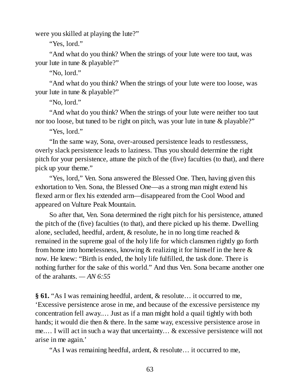were you skilled at playing the lute?"

"Yes, lord."

"And what do you think? When the strings of your lute were too taut, was your lute in tune & playable?"

"No, lord."

"And what do you think? When the strings of your lute were too loose, was your lute in tune & playable?"

"No, lord."

"And what do you think? When the strings of your lute were neither too taut nor too loose, but tuned to be right on pitch, was your lute in tune & playable?"

"Yes, lord."

"In the same way, Sona, over-aroused persistence leads to restlessness, overly slack persistence leads to laziness. Thus you should determine the right pitch for your persistence, attune the pitch of the (five) faculties (to that), and there pick up your theme."

"Yes, lord," Ven. Sona answered the Blessed One. Then, having given this exhortation to Ven. Sona, the Blessed One—as a strong man might extend his flexed arm or flex his extended arm—disappeared from the Cool Wood and appeared on Vulture Peak Mountain.

So after that, Ven. Sona determined the right pitch for his persistence, attuned the pitch of the (five) faculties (to that), and there picked up his theme. Dwelling alone, secluded, heedful, ardent, & resolute, he in no long time reached & remained in the supreme goal of the holy life for which clansmen rightly go forth from home into homelessness, knowing & realizing it for himself in the here & now. He knew: "Birth is ended, the holy life fulfilled, the task done. There is nothing further for the sake of this world." And thus Ven. Sona became another one of the arahants. *— AN 6:55*

**§ 61.** "As I was remaining heedful, ardent, & resolute… it occurred to me, 'Excessive persistence arose in me, and because of the excessive persistence my concentration fell away.… Just as if a man might hold a quail tightly with both hands; it would die then & there. In the same way, excessive persistence arose in me.… I will act in such a way that uncertainty… & excessive persistence will not arise in me again.'

"As I was remaining heedful, ardent, & resolute… it occurred to me,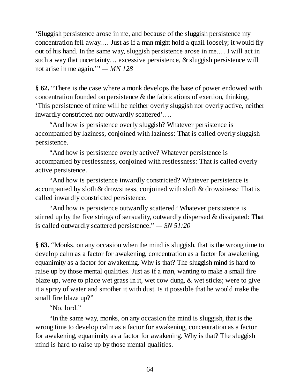'Sluggish persistence arose in me, and because of the sluggish persistence my concentration fell away.… Just as if a man might hold a quail loosely; it would fly out of his hand. In the same way, sluggish persistence arose in me.… I will act in such a way that uncertainty… excessive persistence, & sluggish persistence will not arise in me again.'" *— MN 128*

**§ 62.** "There is the case where a monk develops the base of power endowed with concentration founded on persistence & the fabrications of exertion, thinking, 'This persistence of mine will be neither overly sluggish nor overly active, neither inwardly constricted nor outwardly scattered'.…

"And how is persistence overly sluggish? Whatever persistence is accompanied by laziness, conjoined with laziness: That is called overly sluggish persistence.

"And how is persistence overly active? Whatever persistence is accompanied by restlessness, conjoined with restlessness: That is called overly active persistence.

"And how is persistence inwardly constricted? Whatever persistence is accompanied by sloth & drowsiness, conjoined with sloth & drowsiness: That is called inwardly constricted persistence.

"And how is persistence outwardly scattered? Whatever persistence is stirred up by the five strings of sensuality, outwardly dispersed & dissipated: That is called outwardly scattered persistence." *— SN 51:20*

**§ 63.** "Monks, on any occasion when the mind is sluggish, that is the wrong time to develop calm as a factor for awakening, concentration as a factor for awakening, equanimity as a factor for awakening. Why is that? The sluggish mind is hard to raise up by those mental qualities. Just as if a man, wanting to make a small fire blaze up, were to place wet grass in it, wet cow dung, & wet sticks; were to give it a spray of water and smother it with dust. Is it possible that he would make the small fire blaze up?"

"No, lord."

"In the same way, monks, on any occasion the mind is sluggish, that is the wrong time to develop calm as a factor for awakening, concentration as a factor for awakening, equanimity as a factor for awakening. Why is that? The sluggish mind is hard to raise up by those mental qualities.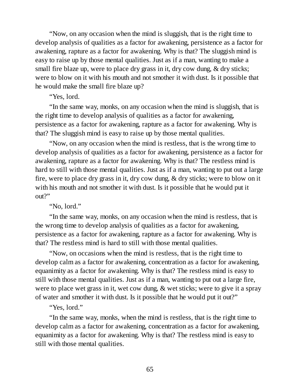"Now, on any occasion when the mind is sluggish, that is the right time to develop analysis of qualities as a factor for awakening, persistence as a factor for awakening, rapture as a factor for awakening. Why is that? The sluggish mind is easy to raise up by those mental qualities. Just as if a man, wanting to make a small fire blaze up, were to place dry grass in it, dry cow dung, & dry sticks; were to blow on it with his mouth and not smother it with dust. Is it possible that he would make the small fire blaze up?

#### "Yes, lord.

"In the same way, monks, on any occasion when the mind is sluggish, that is the right time to develop analysis of qualities as a factor for awakening, persistence as a factor for awakening, rapture as a factor for awakening. Why is that? The sluggish mind is easy to raise up by those mental qualities.

"Now, on any occasion when the mind is restless, that is the wrong time to develop analysis of qualities as a factor for awakening, persistence as a factor for awakening, rapture as a factor for awakening. Why is that? The restless mind is hard to still with those mental qualities. Just as if a man, wanting to put out a large fire, were to place dry grass in it, dry cow dung, & dry sticks; were to blow on it with his mouth and not smother it with dust. Is it possible that he would put it out?"

#### "No, lord."

"In the same way, monks, on any occasion when the mind is restless, that is the wrong time to develop analysis of qualities as a factor for awakening, persistence as a factor for awakening, rapture as a factor for awakening. Why is that? The restless mind is hard to still with those mental qualities.

"Now, on occasions when the mind is restless, that is the right time to develop calm as a factor for awakening, concentration as a factor for awakening, equanimity as a factor for awakening. Why is that? The restless mind is easy to still with those mental qualities. Just as if a man, wanting to put out a large fire, were to place wet grass in it, wet cow dung, & wet sticks; were to give it a spray of water and smother it with dust. Is it possible that he would put it out?"

## "Yes, lord."

"In the same way, monks, when the mind is restless, that is the right time to develop calm as a factor for awakening, concentration as a factor for awakening, equanimity as a factor for awakening. Why is that? The restless mind is easy to still with those mental qualities.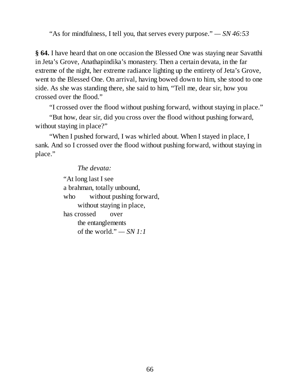"As for mindfulness, I tell you, that serves every purpose." *— SN 46:53*

**§ 64.** I have heard that on one occasion the Blessed One was staying near Savatthi in Jeta's Grove, Anathapindika's monastery. Then a certain devata, in the far extreme of the night, her extreme radiance lighting up the entirety of Jeta's Grove, went to the Blessed One. On arrival, having bowed down to him, she stood to one side. As she was standing there, she said to him, "Tell me, dear sir, how you crossed over the flood."

"I crossed over the flood without pushing forward, without staying in place."

"But how, dear sir, did you cross over the flood without pushing forward, without staying in place?"

"When I pushed forward, I was whirled about. When I stayed in place, I sank. And so I crossed over the flood without pushing forward, without staying in place."

# *The devata:*

"At long last I see a brahman, totally unbound, who without pushing forward, without staying in place, has crossed over the entanglements of the world." *— SN 1:1*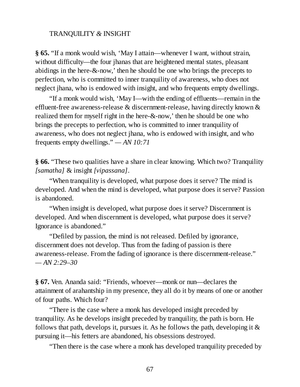### TRANQUILITY *&* INSIGHT

**§ 65.** "If a monk would wish, 'May I attain—whenever I want, without strain, without difficulty—the four jhanas that are heightened mental states, pleasant abidings in the here-&-now,' then he should be one who brings the precepts to perfection, who is committed to inner tranquility of awareness, who does not neglect jhana, who is endowed with insight, and who frequents empty dwellings.

"If a monk would wish, 'May I—with the ending of effluents—remain in the effluent-free awareness-release & discernment-release, having directly known & realized them for myself right in the here-&-now,' then he should be one who brings the precepts to perfection, who is committed to inner tranquility of awareness, who does not neglect jhana, who is endowed with insight, and who frequents empty dwellings." *— AN 10:71*

**§ 66.** "These two qualities have a share in clear knowing. Which two? Tranquility *[samatha]* & insight *[vipassana].*

"When tranquility is developed, what purpose does it serve? The mind is developed. And when the mind is developed, what purpose does it serve? Passion is abandoned.

"When insight is developed, what purpose does it serve? Discernment is developed. And when discernment is developed, what purpose does it serve? Ignorance is abandoned."

"Defiled by passion, the mind is not released. Defiled by ignorance, discernment does not develop. Thus from the fading of passion is there awareness-release. From the fading of ignorance is there discernment-release." *— AN 2:29–30*

**§ 67.** Ven. Ananda said: "Friends, whoever—monk or nun—declares the attainment of arahantship in my presence, they all do it by means of one or another of four paths. Which four?

"There is the case where a monk has developed insight preceded by tranquility. As he develops insight preceded by tranquility, the path is born. He follows that path, develops it, pursues it. As he follows the path, developing it  $\&$ pursuing it—his fetters are abandoned, his obsessions destroyed.

"Then there is the case where a monk has developed tranquility preceded by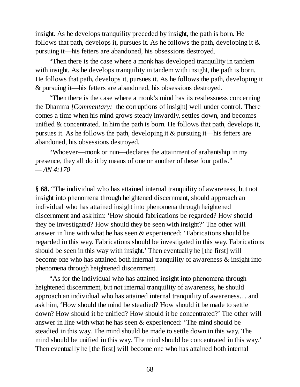insight. As he develops tranquility preceded by insight, the path is born. He follows that path, develops it, pursues it. As he follows the path, developing it & pursuing it—his fetters are abandoned, his obsessions destroyed.

"Then there is the case where a monk has developed tranquility in tandem with insight. As he develops tranquility in tandem with insight, the path is born. He follows that path, develops it, pursues it. As he follows the path, developing it & pursuing it—his fetters are abandoned, his obsessions destroyed.

"Then there is the case where a monk's mind has its restlessness concerning the Dhamma *[Commentary:* the corruptions of insight] well under control. There comes a time when his mind grows steady inwardly, settles down, and becomes unified & concentrated. In him the path is born. He follows that path, develops it, pursues it. As he follows the path, developing it & pursuing it—his fetters are abandoned, his obsessions destroyed.

"Whoever—monk or nun—declares the attainment of arahantship in my presence, they all do it by means of one or another of these four paths." *— AN 4:170*

**§ 68.** "The individual who has attained internal tranquility of awareness, but not insight into phenomena through heightened discernment, should approach an individual who has attained insight into phenomena through heightened discernment and ask him: 'How should fabrications be regarded? How should they be investigated? How should they be seen with insight?' The other will answer in line with what he has seen & experienced: 'Fabrications should be regarded in this way. Fabrications should be investigated in this way. Fabrications should be seen in this way with insight.' Then eventually he [the first] will become one who has attained both internal tranquility of awareness & insight into phenomena through heightened discernment.

"As for the individual who has attained insight into phenomena through heightened discernment, but not internal tranquility of awareness, he should approach an individual who has attained internal tranquility of awareness… and ask him, 'How should the mind be steadied? How should it be made to settle down? How should it be unified? How should it be concentrated?' The other will answer in line with what he has seen & experienced: 'The mind should be steadied in this way. The mind should be made to settle down in this way. The mind should be unified in this way. The mind should be concentrated in this way.' Then eventually he [the first] will become one who has attained both internal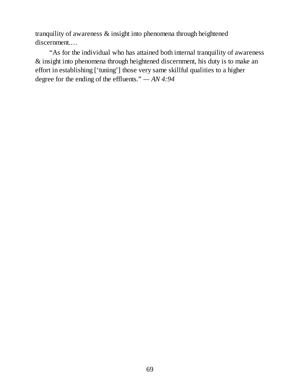tranquility of awareness & insight into phenomena through heightened discernment.…

"As for the individual who has attained both internal tranquility of awareness & insight into phenomena through heightened discernment, his duty is to make an effort in establishing ['tuning'] those very same skillful qualities to a higher degree for the ending of the effluents." *— AN 4:94*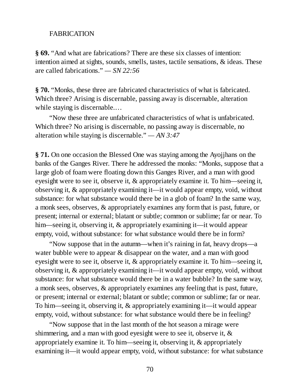#### FABRICATION

**§ 69.** "And what are fabrications? There are these six classes of intention: intention aimed at sights, sounds, smells, tastes, tactile sensations, & ideas. These are called fabrications." *— SN 22:56*

**§ 70.** "Monks, these three are fabricated characteristics of what is fabricated. Which three? Arising is discernable, passing away is discernable, alteration while staying is discernable.…

"Now these three are unfabricated characteristics of what is unfabricated. Which three? No arising is discernable, no passing away is discernable, no alteration while staying is discernable." *— AN 3:47*

**§ 71.** On one occasion the Blessed One was staying among the Ayojjhans on the banks of the Ganges River. There he addressed the monks: "Monks, suppose that a large glob of foam were floating down this Ganges River, and a man with good eyesight were to see it, observe it, & appropriately examine it. To him—seeing it, observing it, & appropriately examining it—it would appear empty, void, without substance: for what substance would there be in a glob of foam? In the same way, a monk sees, observes, & appropriately examines any form that is past, future, or present; internal or external; blatant or subtle; common or sublime; far or near. To him—seeing it, observing it, & appropriately examining it—it would appear empty, void, without substance: for what substance would there be in form?

"Now suppose that in the autumn—when it's raining in fat, heavy drops—a water bubble were to appear & disappear on the water, and a man with good eyesight were to see it, observe it, & appropriately examine it. To him—seeing it, observing it, & appropriately examining it—it would appear empty, void, without substance: for what substance would there be in a water bubble? In the same way, a monk sees, observes, & appropriately examines any feeling that is past, future, or present; internal or external; blatant or subtle; common or sublime; far or near. To him—seeing it, observing it, & appropriately examining it—it would appear empty, void, without substance: for what substance would there be in feeling?

"Now suppose that in the last month of the hot season a mirage were shimmering, and a man with good eyesight were to see it, observe it, & appropriately examine it. To him—seeing it, observing it, & appropriately examining it—it would appear empty, void, without substance: for what substance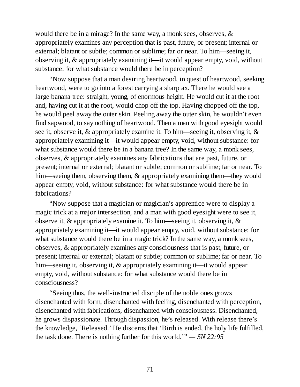would there be in a mirage? In the same way, a monk sees, observes, & appropriately examines any perception that is past, future, or present; internal or external; blatant or subtle; common or sublime; far or near. To him—seeing it, observing it, & appropriately examining it—it would appear empty, void, without substance: for what substance would there be in perception?

"Now suppose that a man desiring heartwood, in quest of heartwood, seeking heartwood, were to go into a forest carrying a sharp ax. There he would see a large banana tree: straight, young, of enormous height. He would cut it at the root and, having cut it at the root, would chop off the top. Having chopped off the top, he would peel away the outer skin. Peeling away the outer skin, he wouldn't even find sapwood, to say nothing of heartwood. Then a man with good eyesight would see it, observe it, & appropriately examine it. To him—seeing it, observing it, & appropriately examining it—it would appear empty, void, without substance: for what substance would there be in a banana tree? In the same way, a monk sees, observes, & appropriately examines any fabrications that are past, future, or present; internal or external; blatant or subtle; common or sublime; far or near. To him—seeing them, observing them, & appropriately examining them—they would appear empty, void, without substance: for what substance would there be in fabrications?

"Now suppose that a magician or magician's apprentice were to display a magic trick at a major intersection, and a man with good eyesight were to see it, observe it, & appropriately examine it. To him—seeing it, observing it, & appropriately examining it—it would appear empty, void, without substance: for what substance would there be in a magic trick? In the same way, a monk sees, observes, & appropriately examines any consciousness that is past, future, or present; internal or external; blatant or subtle; common or sublime; far or near. To him—seeing it, observing it, & appropriately examining it—it would appear empty, void, without substance: for what substance would there be in consciousness?

"Seeing thus, the well-instructed disciple of the noble ones grows disenchanted with form, disenchanted with feeling, disenchanted with perception, disenchanted with fabrications, disenchanted with consciousness. Disenchanted, he grows dispassionate. Through dispassion, he's released. With release there's the knowledge, 'Released.' He discerns that 'Birth is ended, the holy life fulfilled, the task done. There is nothing further for this world.'" *— SN 22:95*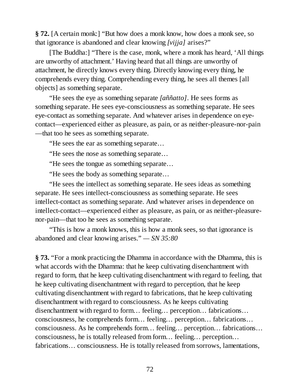**§ 72.** [A certain monk:] "But how does a monk know, how does a monk see, so that ignorance is abandoned and clear knowing *[vijja]* arises?"

[The Buddha:] "There is the case, monk, where a monk has heard, 'All things are unworthy of attachment.' Having heard that all things are unworthy of attachment, he directly knows every thing. Directly knowing every thing, he comprehends every thing. Comprehending every thing, he sees all themes [all objects] as something separate.

"He sees the eye as something separate *[aññatto].* He sees forms as something separate. He sees eye-consciousness as something separate. He sees eye-contact as something separate. And whatever arises in dependence on eyecontact—experienced either as pleasure, as pain, or as neither-pleasure-nor-pain —that too he sees as something separate.

"He sees the ear as something separate…

"He sees the nose as something separate…

"He sees the tongue as something separate…

"He sees the body as something separate…

"He sees the intellect as something separate. He sees ideas as something separate. He sees intellect-consciousness as something separate. He sees intellect-contact as something separate. And whatever arises in dependence on intellect-contact—experienced either as pleasure, as pain, or as neither-pleasurenor-pain—that too he sees as something separate.

"This is how a monk knows, this is how a monk sees, so that ignorance is abandoned and clear knowing arises." *— SN 35:80*

**§ 73.** "For a monk practicing the Dhamma in accordance with the Dhamma, this is what accords with the Dhamma: that he keep cultivating disenchantment with regard to form, that he keep cultivating disenchantment with regard to feeling, that he keep cultivating disenchantment with regard to perception, that he keep cultivating disenchantment with regard to fabrications, that he keep cultivating disenchantment with regard to consciousness. As he keeps cultivating disenchantment with regard to form… feeling… perception… fabrications… consciousness, he comprehends form… feeling… perception… fabrications… consciousness. As he comprehends form… feeling… perception… fabrications… consciousness, he is totally released from form… feeling… perception… fabrications… consciousness. He is totally released from sorrows, lamentations,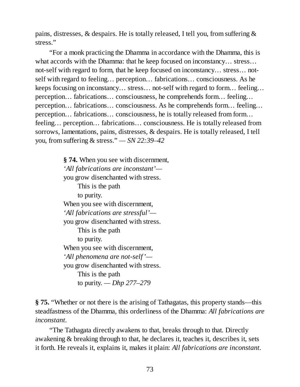pains, distresses, & despairs. He is totally released, I tell you, from suffering & stress."

"For a monk practicing the Dhamma in accordance with the Dhamma, this is what accords with the Dhamma: that he keep focused on inconstancy… stress… not-self with regard to form, that he keep focused on inconstancy… stress… notself with regard to feeling… perception… fabrications… consciousness. As he keeps focusing on inconstancy… stress… not-self with regard to form… feeling… perception… fabrications… consciousness, he comprehends form… feeling… perception… fabrications… consciousness. As he comprehends form… feeling… perception… fabrications… consciousness, he is totally released from form… feeling… perception… fabrications… consciousness. He is totally released from sorrows, lamentations, pains, distresses, & despairs. He is totally released, I tell you, from suffering & stress." *— SN 22:39–42*

> **§ 74.** When you see with discernment, *'All fabrications are inconstant'* you grow disenchanted with stress. This is the path to purity. When you see with discernment, *'All fabrications are stressful'* you grow disenchanted with stress. This is the path to purity. When you see with discernment, *'All phenomena are not-self'* you grow disenchanted with stress. This is the path to purity. *— Dhp 277–279*

**§ 75.** "Whether or not there is the arising of Tathagatas, this property stands—this steadfastness of the Dhamma, this orderliness of the Dhamma: *All fabrications are inconstant.*

"The Tathagata directly awakens to that, breaks through to that. Directly awakening & breaking through to that, he declares it, teaches it, describes it, sets it forth. He reveals it, explains it, makes it plain: *All fabrications are inconstant.*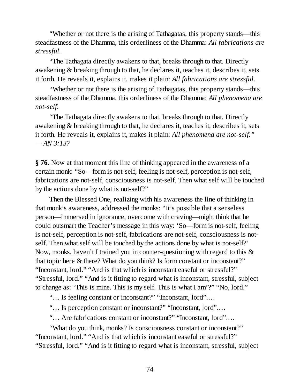"Whether or not there is the arising of Tathagatas, this property stands—this steadfastness of the Dhamma, this orderliness of the Dhamma: *All fabrications are stressful.*

"The Tathagata directly awakens to that, breaks through to that. Directly awakening & breaking through to that, he declares it, teaches it, describes it, sets it forth. He reveals it, explains it, makes it plain: *All fabrications are stressful.*

"Whether or not there is the arising of Tathagatas, this property stands—this steadfastness of the Dhamma, this orderliness of the Dhamma: *All phenomena are not-self.*

"The Tathagata directly awakens to that, breaks through to that. Directly awakening & breaking through to that, he declares it, teaches it, describes it, sets it forth. He reveals it, explains it, makes it plain: *All phenomena are not-self." — AN 3:137*

**§ 76.** Now at that moment this line of thinking appeared in the awareness of a certain monk: "So—form is not-self, feeling is not-self, perception is not-self, fabrications are not-self, consciousness is not-self. Then what self will be touched by the actions done by what is not-self?"

Then the Blessed One, realizing with his awareness the line of thinking in that monk's awareness, addressed the monks: "It's possible that a senseless person—immersed in ignorance, overcome with craving—might think that he could outsmart the Teacher's message in this way: 'So—form is not-self, feeling is not-self, perception is not-self, fabrications are not-self, consciousness is notself. Then what self will be touched by the actions done by what is not-self?' Now, monks, haven't I trained you in counter-questioning with regard to this & that topic here & there? What do you think? Is form constant or inconstant?" "Inconstant, lord." "And is that which is inconstant easeful or stressful?" "Stressful, lord." "And is it fitting to regard what is inconstant, stressful, subject to change as: 'This is mine. This is my self. This is what I am'?" "No, lord."

"… Is feeling constant or inconstant?" "Inconstant, lord".…

"… Is perception constant or inconstant?" "Inconstant, lord".…

"… Are fabrications constant or inconstant?" "Inconstant, lord".…

"What do you think, monks? Is consciousness constant or inconstant?" "Inconstant, lord." "And is that which is inconstant easeful or stressful?" "Stressful, lord." "And is it fitting to regard what is inconstant, stressful, subject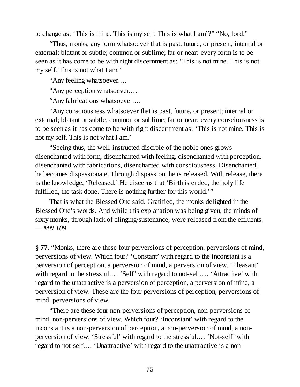to change as: 'This is mine. This is my self. This is what I am'?" "No, lord."

"Thus, monks, any form whatsoever that is past, future, or present; internal or external; blatant or subtle; common or sublime; far or near: every form is to be seen as it has come to be with right discernment as: 'This is not mine. This is not my self. This is not what I am.'

"Any feeling whatsoever.…

"Any perception whatsoever.…

"Any fabrications whatsoever.…

"Any consciousness whatsoever that is past, future, or present; internal or external; blatant or subtle; common or sublime; far or near: every consciousness is to be seen as it has come to be with right discernment as: 'This is not mine. This is not my self. This is not what I am.'

"Seeing thus, the well-instructed disciple of the noble ones grows disenchanted with form, disenchanted with feeling, disenchanted with perception, disenchanted with fabrications, disenchanted with consciousness. Disenchanted, he becomes dispassionate. Through dispassion, he is released. With release, there is the knowledge, 'Released.' He discerns that 'Birth is ended, the holy life fulfilled, the task done. There is nothing further for this world.'"

That is what the Blessed One said. Gratified, the monks delighted in the Blessed One's words. And while this explanation was being given, the minds of sixty monks, through lack of clinging/sustenance, were released from the effluents. *— MN 109*

**§ 77.** "Monks, there are these four perversions of perception, perversions of mind, perversions of view. Which four? 'Constant' with regard to the inconstant is a perversion of perception, a perversion of mind, a perversion of view. 'Pleasant' with regard to the stressful.... 'Self' with regard to not-self.... 'Attractive' with regard to the unattractive is a perversion of perception, a perversion of mind, a perversion of view. These are the four perversions of perception, perversions of mind, perversions of view.

"There are these four non-perversions of perception, non-perversions of mind, non-perversions of view. Which four? 'Inconstant' with regard to the inconstant is a non-perversion of perception, a non-perversion of mind, a nonperversion of view. 'Stressful' with regard to the stressful.… 'Not-self' with regard to not-self.… 'Unattractive' with regard to the unattractive is a non-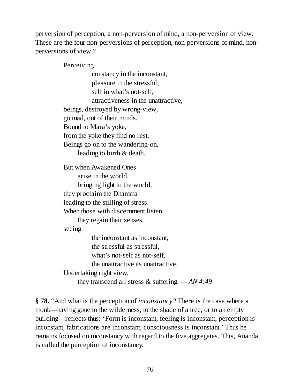perversion of perception, a non-perversion of mind, a non-perversion of view. These are the four non-perversions of perception, non-perversions of mind, nonperversions of view."

Perceiving

constancy in the inconstant, pleasure in the stressful, self in what's not-self, attractiveness in the unattractive, beings, destroyed by wrong-view, go mad, out of their minds. Bound to Mara's yoke, from the yoke they find no rest. Beings go on to the wandering-on, leading to birth & death.

But when Awakened Ones arise in the world, bringing light to the world, they proclaim the Dhamma leading to the stilling of stress. When those with discernment listen, they regain their senses, seeing the inconstant as inconstant, the stressful as stressful, what's not-self as not-self, the unattractive as unattractive. Undertaking right view, they transcend all stress & suffering. *— AN 4:49*

**§ 78.** "And what is the perception of *inconstancy?* There is the case where a monk—having gone to the wilderness, to the shade of a tree, or to an empty building—reflects thus: 'Form is inconstant, feeling is inconstant, perception is inconstant, fabrications are inconstant, consciousness is inconstant.' Thus he remains focused on inconstancy with regard to the five aggregates. This, Ananda, is called the perception of inconstancy.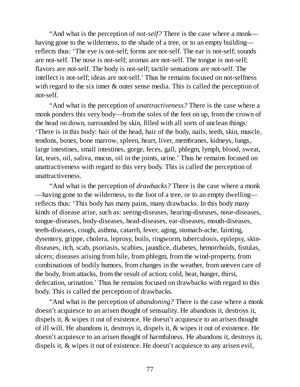"And what is the perception of *not-self?* There is the case where a monk having gone to the wilderness, to the shade of a tree, or to an empty building reflects thus: 'The eye is not-self; forms are not-self. The ear is not-self; sounds are not-self. The nose is not-self; aromas are not-self. The tongue is not-self; flavors are not-self. The body is not-self; tactile sensations are not-self. The intellect is not-self; ideas are not-self.' Thus he remains focused on not-selfness with regard to the six inner & outer sense media. This is called the perception of not-self.

"And what is the perception of *unattractiveness?* There is the case where a monk ponders this very body—from the soles of the feet on up, from the crown of the head on down, surrounded by skin, filled with all sorts of unclean things: 'There is in this body: hair of the head, hair of the body, nails, teeth, skin, muscle, tendons, bones, bone marrow, spleen, heart, liver, membranes, kidneys, lungs, large intestines, small intestines, gorge, feces, gall, phlegm, lymph, blood, sweat, fat, tears, oil, saliva, mucus, oil in the joints, urine.' Thus he remains focused on unattractiveness with regard to this very body. This is called the perception of unattractiveness.

"And what is the perception of *drawbacks?* There is the case where a monk —having gone to the wilderness, to the foot of a tree, or to an empty dwelling reflects thus: 'This body has many pains, many drawbacks. In this body many kinds of disease arise, such as: seeing-diseases, hearing-diseases, nose-diseases, tongue-diseases, body-diseases, head-diseases, ear-diseases, mouth-diseases, teeth-diseases, cough, asthma, catarrh, fever, aging, stomach-ache, fainting, dysentery, grippe, cholera, leprosy, boils, ringworm, tuberculosis, epilepsy, skindiseases, itch, scab, psoriasis, scabies, jaundice, diabetes, hemorrhoids, fistulas, ulcers; diseases arising from bile, from phlegm, from the wind-property, from combinations of bodily humors, from changes in the weather, from uneven care of the body, from attacks, from the result of action; cold, heat, hunger, thirst, defecation, urination.' Thus he remains focused on drawbacks with regard to this body. This is called the perception of drawbacks.

"And what is the perception of *abandoning?* There is the case where a monk doesn't acquiesce to an arisen thought of sensuality. He abandons it, destroys it, dispels it, & wipes it out of existence. He doesn't acquiesce to an arisen thought of ill will. He abandons it, destroys it, dispels it, & wipes it out of existence. He doesn't acquiesce to an arisen thought of harmfulness. He abandons it, destroys it, dispels it, & wipes it out of existence. He doesn't acquiesce to any arisen evil,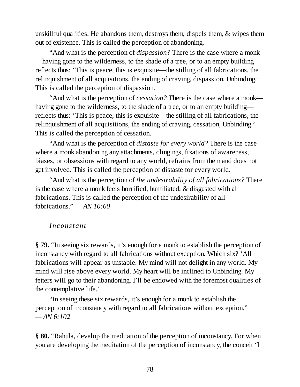unskillful qualities. He abandons them, destroys them, dispels them, & wipes them out of existence. This is called the perception of abandoning.

"And what is the perception of *dispassion?* There is the case where a monk —having gone to the wilderness, to the shade of a tree, or to an empty building reflects thus: 'This is peace, this is exquisite—the stilling of all fabrications, the relinquishment of all acquisitions, the ending of craving, dispassion, Unbinding.' This is called the perception of dispassion.

"And what is the perception of *cessation?* There is the case where a monk having gone to the wilderness, to the shade of a tree, or to an empty building reflects thus: 'This is peace, this is exquisite—the stilling of all fabrications, the relinquishment of all acquisitions, the ending of craving, cessation, Unbinding.' This is called the perception of cessation.

"And what is the perception of *distaste for every world?* There is the case where a monk abandoning any attachments, clingings, fixations of awareness, biases, or obsessions with regard to any world, refrains from them and does not get involved. This is called the perception of distaste for every world.

"And what is the perception of *the undesirability of all fabrications?* There is the case where a monk feels horrified, humiliated, & disgusted with all fabrications. This is called the perception of the undesirability of all fabrications." *— AN 10:60*

# *Inconstant*

**§ 79.** "In seeing six rewards, it's enough for a monk to establish the perception of inconstancy with regard to all fabrications without exception. Which six? 'All fabrications will appear as unstable. My mind will not delight in any world. My mind will rise above every world. My heart will be inclined to Unbinding. My fetters will go to their abandoning. I'll be endowed with the foremost qualities of the contemplative life.'

"In seeing these six rewards, it's enough for a monk to establish the perception of inconstancy with regard to all fabrications without exception." *— AN 6:102*

**§ 80.** "Rahula, develop the meditation of the perception of inconstancy. For when you are developing the meditation of the perception of inconstancy, the conceit 'I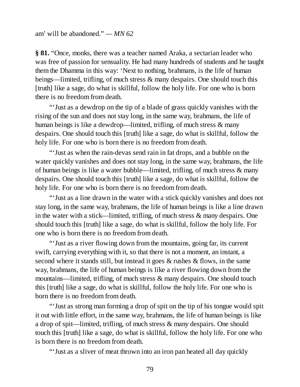**§ 81.** "Once, monks, there was a teacher named Araka, a sectarian leader who was free of passion for sensuality. He had many hundreds of students and he taught them the Dhamma in this way: 'Next to nothing, brahmans, is the life of human beings—limited, trifling, of much stress & many despairs. One should touch this [truth] like a sage, do what is skillful, follow the holy life. For one who is born there is no freedom from death.

"'Just as a dewdrop on the tip of a blade of grass quickly vanishes with the rising of the sun and does not stay long, in the same way, brahmans, the life of human beings is like a dewdrop—limited, trifling, of much stress & many despairs. One should touch this [truth] like a sage, do what is skillful, follow the holy life. For one who is born there is no freedom from death.

"'Just as when the rain-devas send rain in fat drops, and a bubble on the water quickly vanishes and does not stay long, in the same way, brahmans, the life of human beings is like a water bubble—limited, trifling, of much stress & many despairs. One should touch this [truth] like a sage, do what is skillful, follow the holy life. For one who is born there is no freedom from death.

"'Just as a line drawn in the water with a stick quickly vanishes and does not stay long, in the same way, brahmans, the life of human beings is like a line drawn in the water with a stick—limited, trifling, of much stress & many despairs. One should touch this [truth] like a sage, do what is skillful, follow the holy life. For one who is born there is no freedom from death.

"'Just as a river flowing down from the mountains, going far, its current swift, carrying everything with it, so that there is not a moment, an instant, a second where it stands still, but instead it goes & rushes & flows, in the same way, brahmans, the life of human beings is like a river flowing down from the mountains—limited, trifling, of much stress & many despairs. One should touch this [truth] like a sage, do what is skillful, follow the holy life. For one who is born there is no freedom from death.

"'Just as strong man forming a drop of spit on the tip of his tongue would spit it out with little effort, in the same way, brahmans, the life of human beings is like a drop of spit—limited, trifling, of much stress & many despairs. One should touch this [truth] like a sage, do what is skillful, follow the holy life. For one who is born there is no freedom from death.

"'Just as a sliver of meat thrown into an iron pan heated all day quickly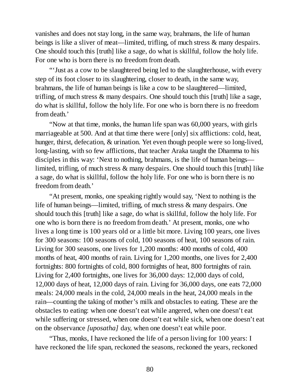vanishes and does not stay long, in the same way, brahmans, the life of human beings is like a sliver of meat—limited, trifling, of much stress & many despairs. One should touch this [truth] like a sage, do what is skillful, follow the holy life. For one who is born there is no freedom from death.

"'Just as a cow to be slaughtered being led to the slaughterhouse, with every step of its foot closer to its slaughtering, closer to death, in the same way, brahmans, the life of human beings is like a cow to be slaughtered—limited, trifling, of much stress & many despairs. One should touch this [truth] like a sage, do what is skillful, follow the holy life. For one who is born there is no freedom from death.'

"Now at that time, monks, the human life span was 60,000 years, with girls marriageable at 500. And at that time there were [only] six afflictions: cold, heat, hunger, thirst, defecation, & urination. Yet even though people were so long-lived, long-lasting, with so few afflictions, that teacher Araka taught the Dhamma to his disciples in this way: 'Next to nothing, brahmans, is the life of human beings limited, trifling, of much stress & many despairs. One should touch this [truth] like a sage, do what is skillful, follow the holy life. For one who is born there is no freedom from death.'

"At present, monks, one speaking rightly would say, 'Next to nothing is the life of human beings—limited, trifling, of much stress & many despairs. One should touch this [truth] like a sage, do what is skillful, follow the holy life. For one who is born there is no freedom from death.' At present, monks, one who lives a long time is 100 years old or a little bit more. Living 100 years, one lives for 300 seasons: 100 seasons of cold, 100 seasons of heat, 100 seasons of rain. Living for 300 seasons, one lives for 1,200 months: 400 months of cold, 400 months of heat, 400 months of rain. Living for 1,200 months, one lives for 2,400 fortnights: 800 fortnights of cold, 800 fortnights of heat, 800 fortnights of rain. Living for 2,400 fortnights, one lives for 36,000 days: 12,000 days of cold, 12,000 days of heat, 12,000 days of rain. Living for 36,000 days, one eats 72,000 meals: 24,000 meals in the cold, 24,000 meals in the heat, 24,000 meals in the rain—counting the taking of mother's milk and obstacles to eating. These are the obstacles to eating: when one doesn't eat while angered, when one doesn't eat while suffering or stressed, when one doesn't eat while sick, when one doesn't eat on the observance *[uposatha]* day, when one doesn't eat while poor.

"Thus, monks, I have reckoned the life of a person living for 100 years: I have reckoned the life span, reckoned the seasons, reckoned the years, reckoned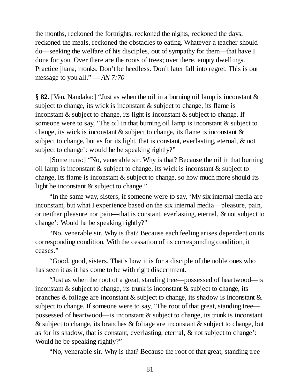the months, reckoned the fortnights, reckoned the nights, reckoned the days, reckoned the meals, reckoned the obstacles to eating. Whatever a teacher should do—seeking the welfare of his disciples, out of sympathy for them—that have I done for you. Over there are the roots of trees; over there, empty dwellings. Practice jhana, monks. Don't be heedless. Don't later fall into regret. This is our message to you all." *— AN 7:70*

**§ 82.** [Ven. Nandaka:] "Just as when the oil in a burning oil lamp is inconstant & subject to change, its wick is inconstant & subject to change, its flame is inconstant & subject to change, its light is inconstant & subject to change. If someone were to say, 'The oil in that burning oil lamp is inconstant & subject to change, its wick is inconstant  $\&$  subject to change, its flame is inconstant  $\&$ subject to change, but as for its light, that is constant, everlasting, eternal, & not subject to change': would he be speaking rightly?"

[Some nuns:] "No, venerable sir. Why is that? Because the oil in that burning oil lamp is inconstant & subject to change, its wick is inconstant & subject to change, its flame is inconstant & subject to change, so how much more should its light be inconstant & subject to change."

"In the same way, sisters, if someone were to say, 'My six internal media are inconstant, but what I experience based on the six internal media—pleasure, pain, or neither pleasure nor pain—that is constant, everlasting, eternal, & not subject to change': Would he be speaking rightly?"

"No, venerable sir. Why is that? Because each feeling arises dependent on its corresponding condition. With the cessation of its corresponding condition, it ceases."

"Good, good, sisters. That's how it is for a disciple of the noble ones who has seen it as it has come to be with right discernment.

"Just as when the root of a great, standing tree—possessed of heartwood—is inconstant & subject to change, its trunk is inconstant & subject to change, its branches & foliage are inconstant & subject to change, its shadow is inconstant & subject to change. If someone were to say, 'The root of that great, standing tree possessed of heartwood—is inconstant & subject to change, its trunk is inconstant & subject to change, its branches & foliage are inconstant & subject to change, but as for its shadow, that is constant, everlasting, eternal, & not subject to change': Would he be speaking rightly?"

"No, venerable sir. Why is that? Because the root of that great, standing tree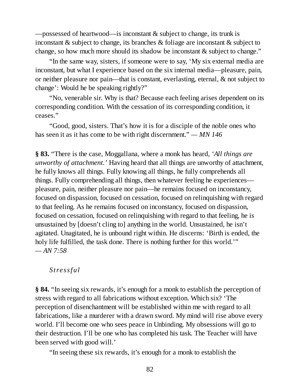—possessed of heartwood—is inconstant & subject to change, its trunk is inconstant & subject to change, its branches & foliage are inconstant & subject to change, so how much more should its shadow be inconstant & subject to change."

"In the same way, sisters, if someone were to say, 'My six external media are inconstant, but what I experience based on the six internal media—pleasure, pain, or neither pleasure nor pain—that is constant, everlasting, eternal, & not subject to change': Would he be speaking rightly?"

"No, venerable sir. Why is that? Because each feeling arises dependent on its corresponding condition. With the cessation of its corresponding condition, it ceases."

"Good, good, sisters. That's how it is for a disciple of the noble ones who has seen it as it has come to be with right discernment." *— MN 146*

**§ 83.** "There is the case, Moggallana, where a monk has heard, *'All things are unworthy of attachment.'* Having heard that all things are unworthy of attachment, he fully knows all things. Fully knowing all things, he fully comprehends all things. Fully comprehending all things, then whatever feeling he experiences pleasure, pain, neither pleasure nor pain—he remains focused on inconstancy, focused on dispassion, focused on cessation, focused on relinquishing with regard to that feeling. As he remains focused on inconstancy, focused on dispassion, focused on cessation, focused on relinquishing with regard to that feeling, he is unsustained by [doesn't cling to] anything in the world. Unsustained, he isn't agitated. Unagitated, he is unbound right within. He discerns: 'Birth is ended, the holy life fulfilled, the task done. There is nothing further for this world.'" *— AN 7:58*

## *Stressful*

**§ 84.** "In seeing six rewards, it's enough for a monk to establish the perception of stress with regard to all fabrications without exception. Which six? 'The perception of disenchantment will be established within me with regard to all fabrications, like a murderer with a drawn sword. My mind will rise above every world. I'll become one who sees peace in Unbinding. My obsessions will go to their destruction. I'll be one who has completed his task. The Teacher will have been served with good will.'

"In seeing these six rewards, it's enough for a monk to establish the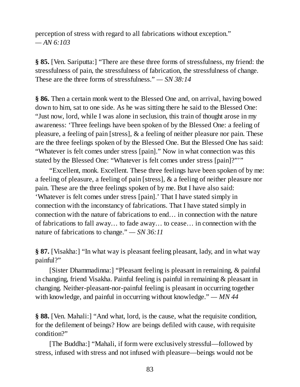perception of stress with regard to all fabrications without exception." *— AN 6:103*

**§ 85.** [Ven. Sariputta:] "There are these three forms of stressfulness, my friend: the stressfulness of pain, the stressfulness of fabrication, the stressfulness of change. These are the three forms of stressfulness." *— SN 38:14*

**§ 86.** Then a certain monk went to the Blessed One and, on arrival, having bowed down to him, sat to one side. As he was sitting there he said to the Blessed One: "Just now, lord, while I was alone in seclusion, this train of thought arose in my awareness: 'Three feelings have been spoken of by the Blessed One: a feeling of pleasure, a feeling of pain [stress], & a feeling of neither pleasure nor pain. These are the three feelings spoken of by the Blessed One. But the Blessed One has said: "Whatever is felt comes under stress [pain]." Now in what connection was this stated by the Blessed One: "Whatever is felt comes under stress [pain]?"'"

"Excellent, monk. Excellent. These three feelings have been spoken of by me: a feeling of pleasure, a feeling of pain [stress], & a feeling of neither pleasure nor pain. These are the three feelings spoken of by me. But I have also said: 'Whatever is felt comes under stress [pain].' That I have stated simply in connection with the inconstancy of fabrications. That I have stated simply in connection with the nature of fabrications to end… in connection with the nature of fabrications to fall away… to fade away… to cease… in connection with the nature of fabrications to change." *— SN 36:11*

**§ 87.** [Visakha:] "In what way is pleasant feeling pleasant, lady, and in what way painful?"

[Sister Dhammadinna:] "Pleasant feeling is pleasant in remaining, & painful in changing, friend Visakha. Painful feeling is painful in remaining & pleasant in changing. Neither-pleasant-nor-painful feeling is pleasant in occurring together with knowledge, and painful in occurring without knowledge." *— MN 44*

**§ 88.** [Ven. Mahali:] "And what, lord, is the cause, what the requisite condition, for the defilement of beings? How are beings defiled with cause, with requisite condition?"

[The Buddha:] "Mahali, if form were exclusively stressful—followed by stress, infused with stress and not infused with pleasure—beings would not be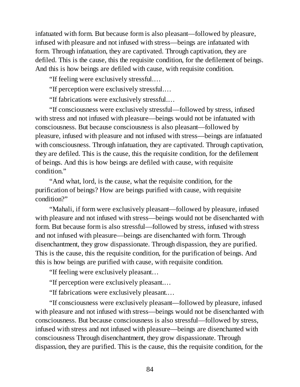infatuated with form. But because form is also pleasant—followed by pleasure, infused with pleasure and not infused with stress—beings are infatuated with form. Through infatuation, they are captivated. Through captivation, they are defiled. This is the cause, this the requisite condition, for the defilement of beings. And this is how beings are defiled with cause, with requisite condition.

"If feeling were exclusively stressful.…

"If perception were exclusively stressful.…

"If fabrications were exclusively stressful.…

"If consciousness were exclusively stressful—followed by stress, infused with stress and not infused with pleasure—beings would not be infatuated with consciousness. But because consciousness is also pleasant—followed by pleasure, infused with pleasure and not infused with stress—beings are infatuated with consciousness. Through infatuation, they are captivated. Through captivation, they are defiled. This is the cause, this the requisite condition, for the defilement of beings. And this is how beings are defiled with cause, with requisite condition."

"And what, lord, is the cause, what the requisite condition, for the purification of beings? How are beings purified with cause, with requisite condition?"

"Mahali, if form were exclusively pleasant—followed by pleasure, infused with pleasure and not infused with stress—beings would not be disenchanted with form. But because form is also stressful—followed by stress, infused with stress and not infused with pleasure—beings are disenchanted with form. Through disenchantment, they grow dispassionate. Through dispassion, they are purified. This is the cause, this the requisite condition, for the purification of beings. And this is how beings are purified with cause, with requisite condition.

"If feeling were exclusively pleasant…

"If perception were exclusively pleasant.…

"If fabrications were exclusively pleasant.…

"If consciousness were exclusively pleasant—followed by pleasure, infused with pleasure and not infused with stress—beings would not be disenchanted with consciousness. But because consciousness is also stressful—followed by stress, infused with stress and not infused with pleasure—beings are disenchanted with consciousness Through disenchantment, they grow dispassionate. Through dispassion, they are purified. This is the cause, this the requisite condition, for the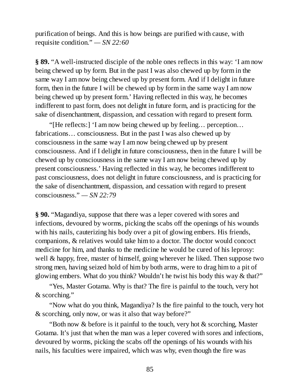purification of beings. And this is how beings are purified with cause, with requisite condition." *— SN 22:60*

**§ 89.** "A well-instructed disciple of the noble ones reflects in this way: 'I am now being chewed up by form. But in the past I was also chewed up by form in the same way I am now being chewed up by present form. And if I delight in future form, then in the future I will be chewed up by form in the same way I am now being chewed up by present form.' Having reflected in this way, he becomes indifferent to past form, does not delight in future form, and is practicing for the sake of disenchantment, dispassion, and cessation with regard to present form.

"[He reflects:] 'I am now being chewed up by feeling… perception… fabrications… consciousness. But in the past I was also chewed up by consciousness in the same way I am now being chewed up by present consciousness. And if I delight in future consciousness, then in the future I will be chewed up by consciousness in the same way I am now being chewed up by present consciousness.' Having reflected in this way, he becomes indifferent to past consciousness, does not delight in future consciousness, and is practicing for the sake of disenchantment, dispassion, and cessation with regard to present consciousness." *— SN 22:79*

**§ 90.** "Magandiya, suppose that there was a leper covered with sores and infections, devoured by worms, picking the scabs off the openings of his wounds with his nails, cauterizing his body over a pit of glowing embers. His friends, companions, & relatives would take him to a doctor. The doctor would concoct medicine for him, and thanks to the medicine he would be cured of his leprosy: well & happy, free, master of himself, going wherever he liked. Then suppose two strong men, having seized hold of him by both arms, were to drag him to a pit of glowing embers. What do you think? Wouldn't he twist his body this way & that?"

"Yes, Master Gotama. Why is that? The fire is painful to the touch, very hot & scorching."

"Now what do you think, Magandiya? Is the fire painful to the touch, very hot & scorching, only now, or was it also that way before?"

"Both now & before is it painful to the touch, very hot & scorching, Master Gotama. It's just that when the man was a leper covered with sores and infections, devoured by worms, picking the scabs off the openings of his wounds with his nails, his faculties were impaired, which was why, even though the fire was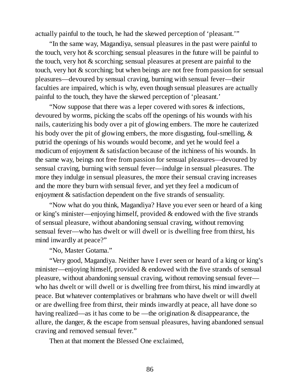actually painful to the touch, he had the skewed perception of 'pleasant.'"

"In the same way, Magandiya, sensual pleasures in the past were painful to the touch, very hot & scorching; sensual pleasures in the future will be painful to the touch, very hot & scorching; sensual pleasures at present are painful to the touch, very hot & scorching; but when beings are not free from passion for sensual pleasures—devoured by sensual craving, burning with sensual fever—their faculties are impaired, which is why, even though sensual pleasures are actually painful to the touch, they have the skewed perception of 'pleasant.'

"Now suppose that there was a leper covered with sores & infections, devoured by worms, picking the scabs off the openings of his wounds with his nails, cauterizing his body over a pit of glowing embers. The more he cauterized his body over the pit of glowing embers, the more disgusting, foul-smelling, & putrid the openings of his wounds would become, and yet he would feel a modicum of enjoyment & satisfaction because of the itchiness of his wounds. In the same way, beings not free from passion for sensual pleasures—devoured by sensual craving, burning with sensual fever—indulge in sensual pleasures. The more they indulge in sensual pleasures, the more their sensual craving increases and the more they burn with sensual fever, and yet they feel a modicum of enjoyment & satisfaction dependent on the five strands of sensuality.

"Now what do you think, Magandiya? Have you ever seen or heard of a king or king's minister—enjoying himself, provided & endowed with the five strands of sensual pleasure, without abandoning sensual craving, without removing sensual fever—who has dwelt or will dwell or is dwelling free from thirst, his mind inwardly at peace?"

"No, Master Gotama."

"Very good, Magandiya. Neither have I ever seen or heard of a king or king's minister—enjoying himself, provided & endowed with the five strands of sensual pleasure, without abandoning sensual craving, without removing sensual fever who has dwelt or will dwell or is dwelling free from thirst, his mind inwardly at peace. But whatever contemplatives or brahmans who have dwelt or will dwell or are dwelling free from thirst, their minds inwardly at peace, all have done so having realized—as it has come to be —the origination & disappearance, the allure, the danger, & the escape from sensual pleasures, having abandoned sensual craving and removed sensual fever."

Then at that moment the Blessed One exclaimed,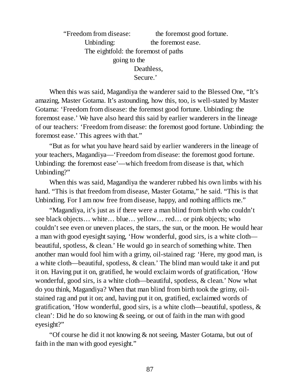"Freedom from disease: the foremost good fortune. Unbinding: the foremost ease. The eightfold: the foremost of paths going to the Deathless, Secure.'

When this was said, Magandiya the wanderer said to the Blessed One, "It's amazing, Master Gotama. It's astounding, how this, too, is well-stated by Master Gotama: 'Freedom from disease: the foremost good fortune. Unbinding: the foremost ease.' We have also heard this said by earlier wanderers in the lineage of our teachers: 'Freedom from disease: the foremost good fortune. Unbinding: the foremost ease.' This agrees with that."

"But as for what you have heard said by earlier wanderers in the lineage of your teachers, Magandiya—'Freedom from disease: the foremost good fortune. Unbinding: the foremost ease'—which freedom from disease is that, which Unbinding?"

When this was said, Magandiya the wanderer rubbed his own limbs with his hand. "This is that freedom from disease, Master Gotama," he said. "This is that Unbinding. For I am now free from disease, happy, and nothing afflicts me."

"Magandiya, it's just as if there were a man blind from birth who couldn't see black objects… white… blue… yellow… red… or pink objects; who couldn't see even or uneven places, the stars, the sun, or the moon. He would hear a man with good eyesight saying, 'How wonderful, good sirs, is a white cloth beautiful, spotless, & clean.' He would go in search of something white. Then another man would fool him with a grimy, oil-stained rag: 'Here, my good man, is a white cloth—beautiful, spotless, & clean.' The blind man would take it and put it on. Having put it on, gratified, he would exclaim words of gratification, 'How wonderful, good sirs, is a white cloth—beautiful, spotless, & clean.' Now what do you think, Magandiya? When that man blind from birth took the grimy, oilstained rag and put it on; and, having put it on, gratified, exclaimed words of gratification, 'How wonderful, good sirs, is a white cloth—beautiful, spotless, & clean': Did he do so knowing & seeing, or out of faith in the man with good eyesight?"

"Of course he did it not knowing & not seeing, Master Gotama, but out of faith in the man with good eyesight."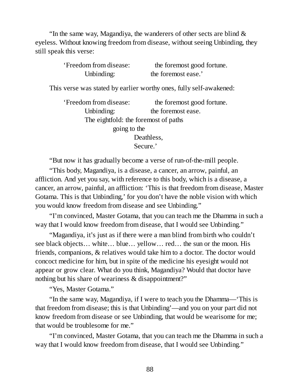"In the same way, Magandiya, the wanderers of other sects are blind  $&$ eyeless. Without knowing freedom from disease, without seeing Unbinding, they still speak this verse:

| 'Freedom from disease: | the foremost good fortune. |
|------------------------|----------------------------|
| Unbinding:             | the foremost ease.'        |

This verse was stated by earlier worthy ones, fully self-awakened:

| 'Freedom from disease:               | the foremost good fortune. |
|--------------------------------------|----------------------------|
| Unbinding:                           | the foremost ease.         |
| The eightfold: the foremost of paths |                            |
| going to the                         |                            |
|                                      | Deathless,                 |
|                                      | Secure.'                   |

"But now it has gradually become a verse of run-of-the-mill people.

"This body, Magandiya, is a disease, a cancer, an arrow, painful, an affliction. And yet you say, with reference to this body, which is a disease, a cancer, an arrow, painful, an affliction: 'This is that freedom from disease, Master Gotama. This is that Unbinding,' for you don't have the noble vision with which you would know freedom from disease and see Unbinding."

"I'm convinced, Master Gotama, that you can teach me the Dhamma in such a way that I would know freedom from disease, that I would see Unbinding."

"Magandiya, it's just as if there were a man blind from birth who couldn't see black objects… white… blue… yellow… red… the sun or the moon. His friends, companions, & relatives would take him to a doctor. The doctor would concoct medicine for him, but in spite of the medicine his eyesight would not appear or grow clear. What do you think, Magandiya? Would that doctor have nothing but his share of weariness & disappointment?"

"Yes, Master Gotama."

"In the same way, Magandiya, if I were to teach you the Dhamma—'This is that freedom from disease; this is that Unbinding'—and you on your part did not know freedom from disease or see Unbinding, that would be wearisome for me; that would be troublesome for me."

"I'm convinced, Master Gotama, that you can teach me the Dhamma in such a way that I would know freedom from disease, that I would see Unbinding."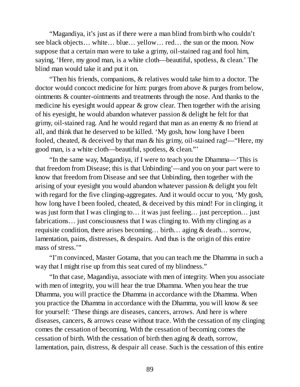"Magandiya, it's just as if there were a man blind from birth who couldn't see black objects… white… blue… yellow… red… the sun or the moon. Now suppose that a certain man were to take a grimy, oil-stained rag and fool him, saying, 'Here, my good man, is a white cloth—beautiful, spotless, & clean.' The blind man would take it and put it on.

"Then his friends, companions, & relatives would take him to a doctor. The doctor would concoct medicine for him: purges from above & purges from below, ointments & counter-ointments and treatments through the nose. And thanks to the medicine his eyesight would appear & grow clear. Then together with the arising of his eyesight, he would abandon whatever passion & delight he felt for that grimy, oil-stained rag. And he would regard that man as an enemy & no friend at all, and think that he deserved to be killed. 'My gosh, how long have I been fooled, cheated, & deceived by that man & his grimy, oil-stained rag!—"Here, my good man, is a white cloth—beautiful, spotless, & clean."'

"In the same way, Magandiya, if I were to teach you the Dhamma—'This is that freedom from Disease; this is that Unbinding'—and you on your part were to know that freedom from Disease and see that Unbinding, then together with the arising of your eyesight you would abandon whatever passion & delight you felt with regard for the five clinging-aggregates. And it would occur to you, 'My gosh, how long have I been fooled, cheated, & deceived by this mind! For in clinging, it was just form that I was clinging to… it was just feeling… just perception… just fabrications... just consciousness that I was clinging to. With my clinging as a requisite condition, there arises becoming… birth… aging & death… sorrow, lamentation, pains, distresses, & despairs. And thus is the origin of this entire mass of stress."

"I'm convinced, Master Gotama, that you can teach me the Dhamma in such a way that I might rise up from this seat cured of my blindness."

"In that case, Magandiya, associate with men of integrity. When you associate with men of integrity, you will hear the true Dhamma. When you hear the true Dhamma, you will practice the Dhamma in accordance with the Dhamma. When you practice the Dhamma in accordance with the Dhamma, you will know & see for yourself: 'These things are diseases, cancers, arrows. And here is where diseases, cancers, & arrows cease without trace. With the cessation of my clinging comes the cessation of becoming. With the cessation of becoming comes the cessation of birth. With the cessation of birth then aging & death, sorrow, lamentation, pain, distress, & despair all cease. Such is the cessation of this entire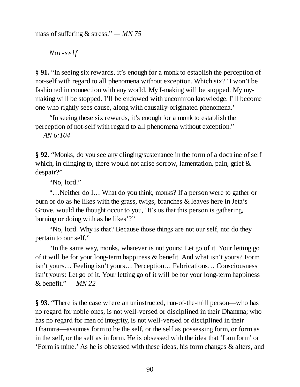mass of suffering & stress." *— MN 75*

*Not-s elf*

**§ 91.** "In seeing six rewards, it's enough for a monk to establish the perception of not-self with regard to all phenomena without exception. Which six? 'I won't be fashioned in connection with any world. My I-making will be stopped. My mymaking will be stopped. I'll be endowed with uncommon knowledge. I'll become one who rightly sees cause, along with causally-originated phenomena.'

"In seeing these six rewards, it's enough for a monk to establish the perception of not-self with regard to all phenomena without exception." *— AN 6:104*

**§ 92.** "Monks, do you see any clinging/sustenance in the form of a doctrine of self which, in clinging to, there would not arise sorrow, lamentation, pain, grief & despair?"

"No, lord."

"…Neither do I… What do you think, monks? If a person were to gather or burn or do as he likes with the grass, twigs, branches & leaves here in Jeta's Grove, would the thought occur to you, 'It's us that this person is gathering, burning or doing with as he likes'?"

"No, lord. Why is that? Because those things are not our self, nor do they pertain to our self."

"In the same way, monks, whatever is not yours: Let go of it. Your letting go of it will be for your long-term happiness & benefit. And what isn't yours? Form isn't yours… Feeling isn't yours… Perception… Fabrications… Consciousness isn't yours: Let go of it. Your letting go of it will be for your long-term happiness & benefit." *— MN 22*

**§ 93.** "There is the case where an uninstructed, run-of-the-mill person—who has no regard for noble ones, is not well-versed or disciplined in their Dhamma; who has no regard for men of integrity, is not well-versed or disciplined in their Dhamma—assumes form to be the self, or the self as possessing form, or form as in the self, or the self as in form. He is obsessed with the idea that 'I am form' or 'Form is mine.' As he is obsessed with these ideas, his form changes & alters, and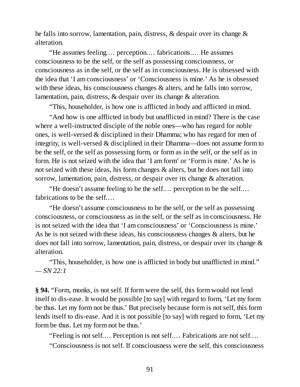he falls into sorrow, lamentation, pain, distress, & despair over its change & alteration.

"He assumes feeling.… perception.… fabrications.… He assumes consciousness to be the self, or the self as possessing consciousness, or consciousness as in the self, or the self as in consciousness. He is obsessed with the idea that 'I am consciousness' or 'Consciousness is mine.' As he is obsessed with these ideas, his consciousness changes & alters, and he falls into sorrow, lamentation, pain, distress, & despair over its change & alteration.

"This, householder, is how one is afflicted in body and afflicted in mind.

"And how is one afflicted in body but unafflicted in mind? There is the case where a well-instructed disciple of the noble ones—who has regard for noble ones, is well-versed & disciplined in their Dhamma; who has regard for men of integrity, is well-versed & disciplined in their Dhamma—does not assume form to be the self, or the self as possessing form, or form as in the self, or the self as in form. He is not seized with the idea that 'I am form' or 'Form is mine.' As he is not seized with these ideas, his form changes & alters, but he does not fall into sorrow, lamentation, pain, distress, or despair over its change & alteration.

"He doesn't assume feeling to be the self.… perception to be the self.… fabrications to be the self....

"He doesn't assume consciousness to be the self, or the self as possessing consciousness, or consciousness as in the self, or the self as in consciousness. He is not seized with the idea that 'I am consciousness' or 'Consciousness is mine.' As he is not seized with these ideas, his consciousness changes & alters, but he does not fall into sorrow, lamentation, pain, distress, or despair over its change & alteration.

"This, householder, is how one is afflicted in body but unafflicted in mind." *— SN 22:1*

**§ 94.** "Form, monks, is not self. If form were the self, this form would not lend itself to dis-ease. It would be possible [to say] with regard to form, 'Let my form be thus. Let my form not be thus.' But precisely because form is not self, this form lends itself to dis-ease. And it is not possible [to say] with regard to form, 'Let my form be thus. Let my form not be thus.'

"Feeling is not self.… Perception is not self.… Fabrications are not self.… "Consciousness is not self. If consciousness were the self, this consciousness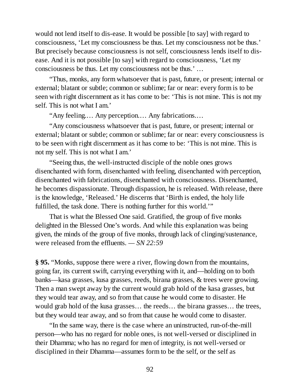would not lend itself to dis-ease. It would be possible [to say] with regard to consciousness, 'Let my consciousness be thus. Let my consciousness not be thus.' But precisely because consciousness is not self, consciousness lends itself to disease. And it is not possible [to say] with regard to consciousness, 'Let my consciousness be thus. Let my consciousness not be thus.' …

"Thus, monks, any form whatsoever that is past, future, or present; internal or external; blatant or subtle; common or sublime; far or near: every form is to be seen with right discernment as it has come to be: 'This is not mine. This is not my self. This is not what I am.'

"Any feeling.… Any perception.… Any fabrications.…

"Any consciousness whatsoever that is past, future, or present; internal or external; blatant or subtle; common or sublime; far or near: every consciousness is to be seen with right discernment as it has come to be: 'This is not mine. This is not my self. This is not what I am.'

"Seeing thus, the well-instructed disciple of the noble ones grows disenchanted with form, disenchanted with feeling, disenchanted with perception, disenchanted with fabrications, disenchanted with consciousness. Disenchanted, he becomes dispassionate. Through dispassion, he is released. With release, there is the knowledge, 'Released.' He discerns that 'Birth is ended, the holy life fulfilled, the task done. There is nothing further for this world.'"

That is what the Blessed One said. Gratified, the group of five monks delighted in the Blessed One's words. And while this explanation was being given, the minds of the group of five monks, through lack of clinging/sustenance, were released from the effluents. *— SN 22:59*

**§ 95.** "Monks, suppose there were a river, flowing down from the mountains, going far, its current swift, carrying everything with it, and—holding on to both banks—kasa grasses, kusa grasses, reeds, birana grasses, & trees were growing. Then a man swept away by the current would grab hold of the kasa grasses, but they would tear away, and so from that cause he would come to disaster. He would grab hold of the kusa grasses… the reeds… the birana grasses… the trees, but they would tear away, and so from that cause he would come to disaster.

"In the same way, there is the case where an uninstructed, run-of-the-mill person—who has no regard for noble ones, is not well-versed or disciplined in their Dhamma; who has no regard for men of integrity, is not well-versed or disciplined in their Dhamma—assumes form to be the self, or the self as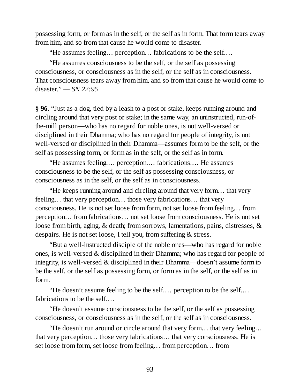possessing form, or form as in the self, or the self as in form. That form tears away from him, and so from that cause he would come to disaster.

"He assumes feeling… perception… fabrications to be the self.…

"He assumes consciousness to be the self, or the self as possessing consciousness, or consciousness as in the self, or the self as in consciousness. That consciousness tears away from him, and so from that cause he would come to disaster." *— SN 22:95*

**§ 96.** "Just as a dog, tied by a leash to a post or stake, keeps running around and circling around that very post or stake; in the same way, an uninstructed, run-ofthe-mill person—who has no regard for noble ones, is not well-versed or disciplined in their Dhamma; who has no regard for people of integrity, is not well-versed or disciplined in their Dhamma—assumes form to be the self, or the self as possessing form, or form as in the self, or the self as in form.

"He assumes feeling.… perception.… fabrications.… He assumes consciousness to be the self, or the self as possessing consciousness, or consciousness as in the self, or the self as in consciousness.

"He keeps running around and circling around that very form… that very feeling… that very perception… those very fabrications… that very consciousness. He is not set loose from form, not set loose from feeling… from perception… from fabrications… not set loose from consciousness. He is not set loose from birth, aging, & death; from sorrows, lamentations, pains, distresses, & despairs. He is not set loose, I tell you, from suffering & stress.

"But a well-instructed disciple of the noble ones—who has regard for noble ones, is well-versed & disciplined in their Dhamma; who has regard for people of integrity, is well-versed & disciplined in their Dhamma—doesn't assume form to be the self, or the self as possessing form, or form as in the self, or the self as in form.

"He doesn't assume feeling to be the self.… perception to be the self.… fabrications to be the self....

"He doesn't assume consciousness to be the self, or the self as possessing consciousness, or consciousness as in the self, or the self as in consciousness.

"He doesn't run around or circle around that very form… that very feeling… that very perception… those very fabrications… that very consciousness. He is set loose from form, set loose from feeling… from perception… from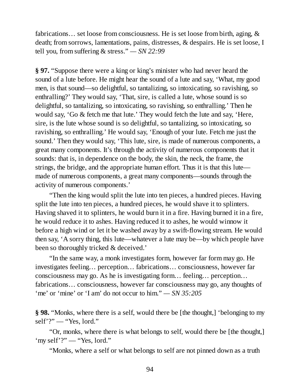fabrications… set loose from consciousness. He is set loose from birth, aging, & death; from sorrows, lamentations, pains, distresses, & despairs. He is set loose, I tell you, from suffering & stress." *— SN 22:99*

**§ 97.** "Suppose there were a king or king's minister who had never heard the sound of a lute before. He might hear the sound of a lute and say, 'What, my good men, is that sound—so delightful, so tantalizing, so intoxicating, so ravishing, so enthralling?' They would say, 'That, sire, is called a lute, whose sound is so delightful, so tantalizing, so intoxicating, so ravishing, so enthralling.' Then he would say, 'Go & fetch me that lute.' They would fetch the lute and say, 'Here, sire, is the lute whose sound is so delightful, so tantalizing, so intoxicating, so ravishing, so enthralling.' He would say, 'Enough of your lute. Fetch me just the sound.' Then they would say, 'This lute, sire, is made of numerous components, a great many components. It's through the activity of numerous components that it sounds: that is, in dependence on the body, the skin, the neck, the frame, the strings, the bridge, and the appropriate human effort. Thus it is that this lute made of numerous components, a great many components—sounds through the activity of numerous components.'

"Then the king would split the lute into ten pieces, a hundred pieces. Having split the lute into ten pieces, a hundred pieces, he would shave it to splinters. Having shaved it to splinters, he would burn it in a fire. Having burned it in a fire, he would reduce it to ashes. Having reduced it to ashes, he would winnow it before a high wind or let it be washed away by a swift-flowing stream. He would then say, 'A sorry thing, this lute—whatever a lute may be—by which people have been so thoroughly tricked & deceived.'

"In the same way, a monk investigates form, however far form may go. He investigates feeling… perception… fabrications… consciousness, however far consciousness may go. As he is investigating form… feeling… perception… fabrications… consciousness, however far consciousness may go, any thoughts of 'me' or 'mine' or 'I am' do not occur to him." *— SN 35:205*

**§ 98.** "Monks, where there is a self, would there be [the thought,] 'belonging to my self'?" — "Yes, lord."

"Or, monks, where there is what belongs to self, would there be [the thought,] 'my self'?" — "Yes, lord."

"Monks, where a self or what belongs to self are not pinned down as a truth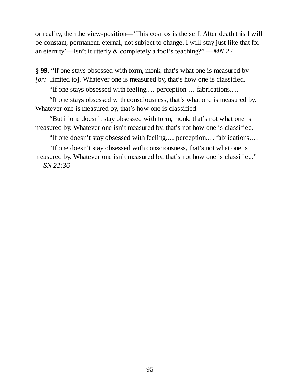or reality, then the view-position—'This cosmos is the self. After death this I will be constant, permanent, eternal, not subject to change. I will stay just like that for an eternity'—Isn't it utterly & completely a fool's teaching?" —*MN 22*

**§ 99.** "If one stays obsessed with form, monk, that's what one is measured by *[or:* limited to]. Whatever one is measured by, that's how one is classified.

"If one stays obsessed with feeling.… perception.… fabrications.…

"If one stays obsessed with consciousness, that's what one is measured by. Whatever one is measured by, that's how one is classified.

"But if one doesn't stay obsessed with form, monk, that's not what one is measured by. Whatever one isn't measured by, that's not how one is classified.

"If one doesn't stay obsessed with feeling.… perception.… fabrications.…

"If one doesn't stay obsessed with consciousness, that's not what one is measured by. Whatever one isn't measured by, that's not how one is classified." *— SN 22:36*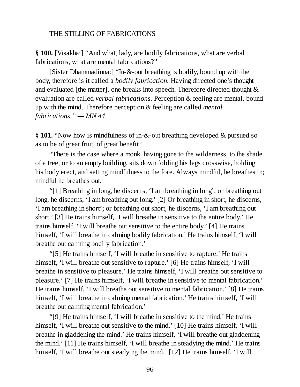### THE STILLING OF FABRICATIONS

**§ 100.** [Visakha:] "And what, lady, are bodily fabrications, what are verbal fabrications, what are mental fabrications?"

[Sister Dhammadinna:] "In-&-out breathing is bodily, bound up with the body, therefore is it called a *bodily fabrication.* Having directed one's thought and evaluated [the matter], one breaks into speech. Therefore directed thought & evaluation are called *verbal fabrications.* Perception & feeling are mental, bound up with the mind. Therefore perception & feeling are called *mental fabrications." — MN 44*

**§ 101.** "Now how is mindfulness of in-&-out breathing developed & pursued so as to be of great fruit, of great benefit?

"There is the case where a monk, having gone to the wilderness, to the shade of a tree, or to an empty building, sits down folding his legs crosswise, holding his body erect, and setting mindfulness to the fore. Always mindful, he breathes in; mindful he breathes out.

"[1] Breathing in long, he discerns, 'I am breathing in long'; or breathing out long, he discerns, 'I am breathing out long.' [2] Or breathing in short, he discerns, 'I am breathing in short'; or breathing out short, he discerns, 'I am breathing out short.' [3] He trains himself, 'I will breathe in sensitive to the entire body.' He trains himself, 'I will breathe out sensitive to the entire body.' [4] He trains himself, 'I will breathe in calming bodily fabrication.' He trains himself, 'I will breathe out calming bodily fabrication.'

"[5] He trains himself, 'I will breathe in sensitive to rapture.' He trains himself, 'I will breathe out sensitive to rapture.' [6] He trains himself, 'I will breathe in sensitive to pleasure.' He trains himself, 'I will breathe out sensitive to pleasure.' [7] He trains himself, 'I will breathe in sensitive to mental fabrication.' He trains himself, 'I will breathe out sensitive to mental fabrication.' [8] He trains himself, 'I will breathe in calming mental fabrication.' He trains himself, 'I will breathe out calming mental fabrication.'

"[9] He trains himself, 'I will breathe in sensitive to the mind.' He trains himself, 'I will breathe out sensitive to the mind.' [10] He trains himself, 'I will breathe in gladdening the mind.' He trains himself, 'I will breathe out gladdening the mind.' [11] He trains himself, 'I will breathe in steadying the mind.' He trains himself, 'I will breathe out steadying the mind.' [12] He trains himself, 'I will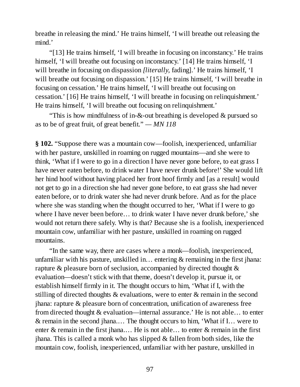breathe in releasing the mind.' He trains himself, 'I will breathe out releasing the mind.'

"[13] He trains himself, 'I will breathe in focusing on inconstancy.' He trains himself, 'I will breathe out focusing on inconstancy.' [14] He trains himself, 'I will breathe in focusing on dispassion *[literally,* fading].' He trains himself, 'I will breathe out focusing on dispassion.' [15] He trains himself, 'I will breathe in focusing on cessation.' He trains himself, 'I will breathe out focusing on cessation.' [16] He trains himself, 'I will breathe in focusing on relinquishment.' He trains himself, 'I will breathe out focusing on relinquishment.'

"This is how mindfulness of in-&-out breathing is developed & pursued so as to be of great fruit, of great benefit." *— MN 118*

**§ 102.** "Suppose there was a mountain cow—foolish, inexperienced, unfamiliar with her pasture, unskilled in roaming on rugged mountains—and she were to think, 'What if I were to go in a direction I have never gone before, to eat grass I have never eaten before, to drink water I have never drunk before!' She would lift her hind hoof without having placed her front hoof firmly and [as a result] would not get to go in a direction she had never gone before, to eat grass she had never eaten before, or to drink water she had never drunk before. And as for the place where she was standing when the thought occurred to her, 'What if I were to go where I have never been before… to drink water I have never drunk before,' she would not return there safely. Why is that? Because she is a foolish, inexperienced mountain cow, unfamiliar with her pasture, unskilled in roaming on rugged mountains.

"In the same way, there are cases where a monk—foolish, inexperienced, unfamiliar with his pasture, unskilled in… entering & remaining in the first jhana: rapture & pleasure born of seclusion, accompanied by directed thought & evaluation—doesn't stick with that theme, doesn't develop it, pursue it, or establish himself firmly in it. The thought occurs to him, 'What if I, with the stilling of directed thoughts & evaluations, were to enter & remain in the second jhana: rapture & pleasure born of concentration, unification of awareness free from directed thought & evaluation—internal assurance.' He is not able… to enter & remain in the second jhana.… The thought occurs to him, 'What if I… were to enter & remain in the first jhana.… He is not able… to enter & remain in the first jhana. This is called a monk who has slipped & fallen from both sides, like the mountain cow, foolish, inexperienced, unfamiliar with her pasture, unskilled in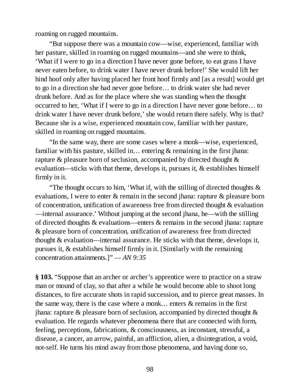roaming on rugged mountains.

"But suppose there was a mountain cow—wise, experienced, familiar with her pasture, skilled in roaming on rugged mountains—and she were to think, 'What if I were to go in a direction I have never gone before, to eat grass I have never eaten before, to drink water I have never drunk before!' She would lift her hind hoof only after having placed her front hoof firmly and [as a result] would get to go in a direction she had never gone before… to drink water she had never drunk before. And as for the place where she was standing when the thought occurred to her, 'What if I were to go in a direction I have never gone before… to drink water I have never drunk before,' she would return there safely. Why is that? Because she is a wise, experienced mountain cow, familiar with her pasture, skilled in roaming on rugged mountains.

"In the same way, there are some cases where a monk—wise, experienced, familiar with his pasture, skilled in... entering & remaining in the first jhana: rapture & pleasure born of seclusion, accompanied by directed thought & evaluation—sticks with that theme, develops it, pursues it, & establishes himself firmly in it.

"The thought occurs to him, 'What if, with the stilling of directed thoughts & evaluations, I were to enter & remain in the second jhana: rapture & pleasure born of concentration, unification of awareness free from directed thought & evaluation —internal assurance.' Without jumping at the second jhana, he—with the stilling of directed thoughts & evaluations—enters & remains in the second jhana: rapture & pleasure born of concentration, unification of awareness free from directed thought & evaluation—internal assurance. He sticks with that theme, develops it, pursues it, & establishes himself firmly in it. [Similarly with the remaining concentration attainments.]" *— AN 9:35*

**§ 103.** "Suppose that an archer or archer's apprentice were to practice on a straw man or mound of clay, so that after a while he would become able to shoot long distances, to fire accurate shots in rapid succession, and to pierce great masses. In the same way, there is the case where a monk… enters & remains in the first jhana: rapture & pleasure born of seclusion, accompanied by directed thought & evaluation. He regards whatever phenomena there that are connected with form, feeling, perceptions, fabrications, & consciousness, as inconstant, stressful, a disease, a cancer, an arrow, painful, an affliction, alien, a disintegration, a void, not-self. He turns his mind away from those phenomena, and having done so,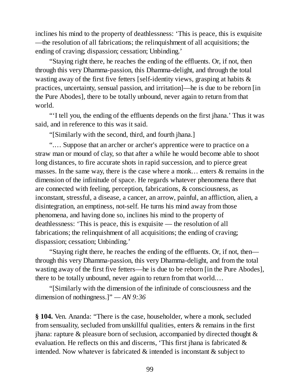inclines his mind to the property of deathlessness: 'This is peace, this is exquisite —the resolution of all fabrications; the relinquishment of all acquisitions; the ending of craving; dispassion; cessation; Unbinding.'

"Staying right there, he reaches the ending of the effluents. Or, if not, then through this very Dhamma-passion, this Dhamma-delight, and through the total wasting away of the first five fetters [self-identity views, grasping at habits & practices, uncertainty, sensual passion, and irritation]—he is due to be reborn [in the Pure Abodes], there to be totally unbound, never again to return from that world.

"'I tell you, the ending of the effluents depends on the first jhana.' Thus it was said, and in reference to this was it said.

"[Similarly with the second, third, and fourth jhana.]

".… Suppose that an archer or archer's apprentice were to practice on a straw man or mound of clay, so that after a while he would become able to shoot long distances, to fire accurate shots in rapid succession, and to pierce great masses. In the same way, there is the case where a monk… enters & remains in the dimension of the infinitude of space. He regards whatever phenomena there that are connected with feeling, perception, fabrications, & consciousness, as inconstant, stressful, a disease, a cancer, an arrow, painful, an affliction, alien, a disintegration, an emptiness, not-self. He turns his mind away from those phenomena, and having done so, inclines his mind to the property of deathlessness: 'This is peace, this is exquisite — the resolution of all fabrications; the relinquishment of all acquisitions; the ending of craving; dispassion; cessation; Unbinding.'

"Staying right there, he reaches the ending of the effluents. Or, if not, then through this very Dhamma-passion, this very Dhamma-delight, and from the total wasting away of the first five fetters—he is due to be reborn [in the Pure Abodes], there to be totally unbound, never again to return from that world.…

"[Similarly with the dimension of the infinitude of consciousness and the dimension of nothingness.]" *— AN 9:36*

**§ 104.** Ven. Ananda: "There is the case, householder, where a monk, secluded from sensuality, secluded from unskillful qualities, enters & remains in the first jhana: rapture & pleasure born of seclusion, accompanied by directed thought & evaluation. He reflects on this and discerns, 'This first jhana is fabricated & intended. Now whatever is fabricated & intended is inconstant & subject to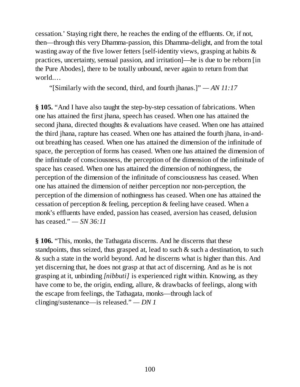cessation.' Staying right there, he reaches the ending of the effluents. Or, if not, then—through this very Dhamma-passion, this Dhamma-delight, and from the total wasting away of the five lower fetters [self-identity views, grasping at habits & practices, uncertainty, sensual passion, and irritation]—he is due to be reborn [in the Pure Abodes], there to be totally unbound, never again to return from that world.…

"[Similarly with the second, third, and fourth jhanas.]" *— AN 11:17*

**§ 105.** "And I have also taught the step-by-step cessation of fabrications. When one has attained the first jhana, speech has ceased. When one has attained the second jhana, directed thoughts & evaluations have ceased. When one has attained the third jhana, rapture has ceased. When one has attained the fourth jhana, in-andout breathing has ceased. When one has attained the dimension of the infinitude of space, the perception of forms has ceased. When one has attained the dimension of the infinitude of consciousness, the perception of the dimension of the infinitude of space has ceased. When one has attained the dimension of nothingness, the perception of the dimension of the infinitude of consciousness has ceased. When one has attained the dimension of neither perception nor non-perception, the perception of the dimension of nothingness has ceased. When one has attained the cessation of perception & feeling, perception & feeling have ceased. When a monk's effluents have ended, passion has ceased, aversion has ceased, delusion has ceased." *— SN 36:11*

**§ 106.** "This, monks, the Tathagata discerns. And he discerns that these standpoints, thus seized, thus grasped at, lead to such & such a destination, to such & such a state in the world beyond. And he discerns what is higher than this. And yet discerning that, he does not grasp at that act of discerning. And as he is not grasping at it, unbinding *[nibbuti]* is experienced right within. Knowing, as they have come to be, the origin, ending, allure, & drawbacks of feelings, along with the escape from feelings, the Tathagata, monks—through lack of clinging/sustenance—is released." *— DN 1*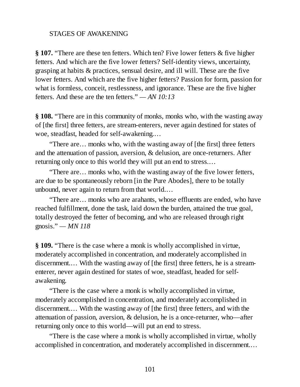### STAGES OF AWAKENING

**§ 107.** "There are these ten fetters. Which ten? Five lower fetters & five higher fetters. And which are the five lower fetters? Self-identity views, uncertainty, grasping at habits & practices, sensual desire, and ill will. These are the five lower fetters. And which are the five higher fetters? Passion for form, passion for what is formless, conceit, restlessness, and ignorance. These are the five higher fetters. And these are the ten fetters." *— AN 10:13*

**§ 108.** "There are in this community of monks, monks who, with the wasting away of [the first] three fetters, are stream-enterers, never again destined for states of woe, steadfast, headed for self-awakening.…

"There are… monks who, with the wasting away of [the first] three fetters and the attenuation of passion, aversion, & delusion, are once-returners. After returning only once to this world they will put an end to stress.…

"There are… monks who, with the wasting away of the five lower fetters, are due to be spontaneously reborn [in the Pure Abodes], there to be totally unbound, never again to return from that world.…

"There are… monks who are arahants, whose effluents are ended, who have reached fulfillment, done the task, laid down the burden, attained the true goal, totally destroyed the fetter of becoming, and who are released through right gnosis." *— MN 118*

**§ 109.** "There is the case where a monk is wholly accomplished in virtue, moderately accomplished in concentration, and moderately accomplished in discernment.… With the wasting away of [the first] three fetters, he is a streamenterer, never again destined for states of woe, steadfast, headed for selfawakening.

"There is the case where a monk is wholly accomplished in virtue, moderately accomplished in concentration, and moderately accomplished in discernment.… With the wasting away of [the first] three fetters, and with the attenuation of passion, aversion, & delusion, he is a once-returner, who—after returning only once to this world—will put an end to stress.

"There is the case where a monk is wholly accomplished in virtue, wholly accomplished in concentration, and moderately accomplished in discernment.…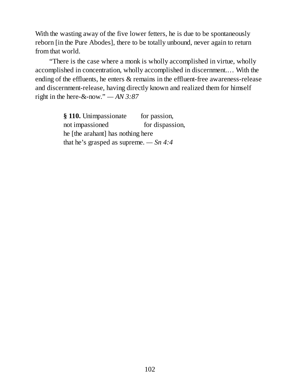With the wasting away of the five lower fetters, he is due to be spontaneously reborn [in the Pure Abodes], there to be totally unbound, never again to return from that world.

"There is the case where a monk is wholly accomplished in virtue, wholly accomplished in concentration, wholly accomplished in discernment.… With the ending of the effluents, he enters & remains in the effluent-free awareness-release and discernment-release, having directly known and realized them for himself right in the here-&-now." *— AN 3:87*

> **§ 110.** Unimpassionate for passion, not impassioned for dispassion, he [the arahant] has nothing here that he's grasped as supreme. *— Sn 4:4*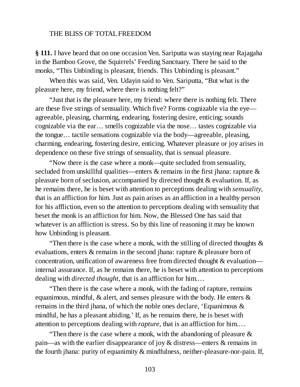#### THE BLISS OF TOTALFREEDOM

**§ 111.** I have heard that on one occasion Ven. Sariputta was staying near Rajagaha in the Bamboo Grove, the Squirrels' Feeding Sanctuary. There he said to the monks, "This Unbinding is pleasant, friends. This Unbinding is pleasant."

When this was said, Ven. Udayin said to Ven. Sariputta, "But what is the pleasure here, my friend, where there is nothing felt?"

"Just that is the pleasure here, my friend: where there is nothing felt. There are these five strings of sensuality. Which five? Forms cognizable via the eye agreeable, pleasing, charming, endearing, fostering desire, enticing; sounds cognizable via the ear… smells cognizable via the nose… tastes cognizable via the tongue… tactile sensations cognizable via the body—agreeable, pleasing, charming, endearing, fostering desire, enticing. Whatever pleasure or joy arises in dependence on these five strings of sensuality, that is sensual pleasure.

"Now there is the case where a monk—quite secluded from sensuality, secluded from unskillful qualities—enters & remains in the first jhana: rapture & pleasure born of seclusion, accompanied by directed thought & evaluation. If, as he remains there, he is beset with attention to perceptions dealing with *sensuality,* that is an affliction for him. Just as pain arises as an affliction in a healthy person for his affliction, even so the attention to perceptions dealing with sensuality that beset the monk is an affliction for him. Now, the Blessed One has said that whatever is an affliction is stress. So by this line of reasoning it may be known how Unbinding is pleasant.

"Then there is the case where a monk, with the stilling of directed thoughts & evaluations, enters & remains in the second jhana: rapture & pleasure born of concentration, unification of awareness free from directed thought & evaluation internal assurance. If, as he remains there, he is beset with attention to perceptions dealing with *directed thought,* that is an affliction for him.…

"Then there is the case where a monk, with the fading of rapture, remains equanimous, mindful, & alert, and senses pleasure with the body. He enters & remains in the third jhana, of which the noble ones declare, 'Equanimous & mindful, he has a pleasant abiding.' If, as he remains there, he is beset with attention to perceptions dealing with *rapture,* that is an affliction for him.…

"Then there is the case where a monk, with the abandoning of pleasure  $\&$ pain—as with the earlier disappearance of joy & distress—enters & remains in the fourth jhana: purity of equanimity & mindfulness, neither-pleasure-nor-pain. If,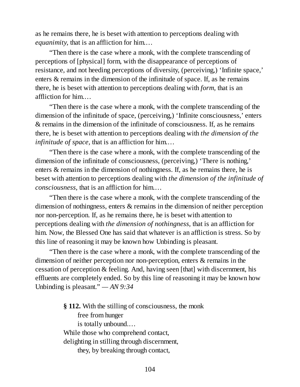as he remains there, he is beset with attention to perceptions dealing with *equanimity,* that is an affliction for him.…

"Then there is the case where a monk, with the complete transcending of perceptions of [physical] form, with the disappearance of perceptions of resistance, and not heeding perceptions of diversity, (perceiving,) 'Infinite space,' enters & remains in the dimension of the infinitude of space. If, as he remains there, he is beset with attention to perceptions dealing with *form,* that is an affliction for him.…

"Then there is the case where a monk, with the complete transcending of the dimension of the infinitude of space, (perceiving,) 'Infinite consciousness,' enters & remains in the dimension of the infinitude of consciousness. If, as he remains there, he is beset with attention to perceptions dealing with *the dimension of the infinitude of space,* that is an affliction for him.…

"Then there is the case where a monk, with the complete transcending of the dimension of the infinitude of consciousness, (perceiving,) 'There is nothing,' enters & remains in the dimension of nothingness. If, as he remains there, he is beset with attention to perceptions dealing with *the dimension of the infinitude of consciousness,* that is an affliction for him.…

"Then there is the case where a monk, with the complete transcending of the dimension of nothingness, enters & remains in the dimension of neither perception nor non-perception. If, as he remains there, he is beset with attention to perceptions dealing with *the dimension of nothingness,* that is an affliction for him. Now, the Blessed One has said that whatever is an affliction is stress. So by this line of reasoning it may be known how Unbinding is pleasant.

"Then there is the case where a monk, with the complete transcending of the dimension of neither perception nor non-perception, enters & remains in the cessation of perception & feeling. And, having seen [that] with discernment, his effluents are completely ended. So by this line of reasoning it may be known how Unbinding is pleasant." *— AN 9:34*

> **§ 112.** With the stilling of consciousness, the monk free from hunger is totally unbound.… While those who comprehend contact, delighting in stilling through discernment, they, by breaking through contact,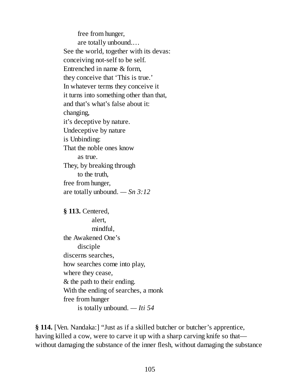free from hunger, are totally unbound.… See the world, together with its devas: conceiving not-self to be self. Entrenched in name & form, they conceive that 'This is true.' In whatever terms they conceive it it turns into something other than that, and that's what's false about it: changing, it's deceptive by nature. Undeceptive by nature is Unbinding: That the noble ones know as true. They, by breaking through to the truth, free from hunger, are totally unbound. *— Sn 3:12*

**§ 113.** Centered, alert, mindful, the Awakened One's disciple discerns searches, how searches come into play, where they cease, & the path to their ending. With the ending of searches, a monk free from hunger is totally unbound. *— Iti 54*

**§ 114.** [Ven. Nandaka:] "Just as if a skilled butcher or butcher's apprentice, having killed a cow, were to carve it up with a sharp carving knife so that without damaging the substance of the inner flesh, without damaging the substance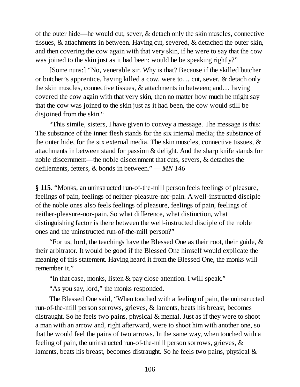of the outer hide—he would cut, sever, & detach only the skin muscles, connective tissues, & attachments in between. Having cut, severed, & detached the outer skin, and then covering the cow again with that very skin, if he were to say that the cow was joined to the skin just as it had been: would he be speaking rightly?"

[Some nuns:] "No, venerable sir. Why is that? Because if the skilled butcher or butcher's apprentice, having killed a cow, were to… cut, sever, & detach only the skin muscles, connective tissues, & attachments in between; and… having covered the cow again with that very skin, then no matter how much he might say that the cow was joined to the skin just as it had been, the cow would still be disjoined from the skin."

"This simile, sisters, I have given to convey a message. The message is this: The substance of the inner flesh stands for the six internal media; the substance of the outer hide, for the six external media. The skin muscles, connective tissues, & attachments in between stand for passion & delight. And the sharp knife stands for noble discernment—the noble discernment that cuts, severs, & detaches the defilements, fetters, & bonds in between." *— MN 146*

**§ 115.** "Monks, an uninstructed run-of-the-mill person feels feelings of pleasure, feelings of pain, feelings of neither-pleasure-nor-pain. A well-instructed disciple of the noble ones also feels feelings of pleasure, feelings of pain, feelings of neither-pleasure-nor-pain. So what difference, what distinction, what distinguishing factor is there between the well-instructed disciple of the noble ones and the uninstructed run-of-the-mill person?"

"For us, lord, the teachings have the Blessed One as their root, their guide, & their arbitrator. It would be good if the Blessed One himself would explicate the meaning of this statement. Having heard it from the Blessed One, the monks will remember it."

"In that case, monks, listen & pay close attention. I will speak."

"As you say, lord," the monks responded.

The Blessed One said, "When touched with a feeling of pain, the uninstructed run-of-the-mill person sorrows, grieves, & laments, beats his breast, becomes distraught. So he feels two pains, physical & mental. Just as if they were to shoot a man with an arrow and, right afterward, were to shoot him with another one, so that he would feel the pains of two arrows. In the same way, when touched with a feeling of pain, the uninstructed run-of-the-mill person sorrows, grieves, & laments, beats his breast, becomes distraught. So he feels two pains, physical &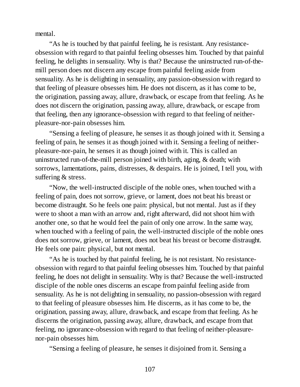mental.

"As he is touched by that painful feeling, he is resistant. Any resistanceobsession with regard to that painful feeling obsesses him. Touched by that painful feeling, he delights in sensuality. Why is that? Because the uninstructed run-of-themill person does not discern any escape from painful feeling aside from sensuality. As he is delighting in sensuality, any passion-obsession with regard to that feeling of pleasure obsesses him. He does not discern, as it has come to be, the origination, passing away, allure, drawback, or escape from that feeling. As he does not discern the origination, passing away, allure, drawback, or escape from that feeling, then any ignorance-obsession with regard to that feeling of neitherpleasure-nor-pain obsesses him.

"Sensing a feeling of pleasure, he senses it as though joined with it. Sensing a feeling of pain, he senses it as though joined with it. Sensing a feeling of neitherpleasure-nor-pain, he senses it as though joined with it. This is called an uninstructed run-of-the-mill person joined with birth, aging, & death; with sorrows, lamentations, pains, distresses, & despairs. He is joined, I tell you, with suffering & stress.

"Now, the well-instructed disciple of the noble ones, when touched with a feeling of pain, does not sorrow, grieve, or lament, does not beat his breast or become distraught. So he feels one pain: physical, but not mental. Just as if they were to shoot a man with an arrow and, right afterward, did not shoot him with another one, so that he would feel the pain of only one arrow. In the same way, when touched with a feeling of pain, the well-instructed disciple of the noble ones does not sorrow, grieve, or lament, does not beat his breast or become distraught. He feels one pain: physical, but not mental.

"As he is touched by that painful feeling, he is not resistant. No resistanceobsession with regard to that painful feeling obsesses him. Touched by that painful feeling, he does not delight in sensuality. Why is that? Because the well-instructed disciple of the noble ones discerns an escape from painful feeling aside from sensuality. As he is not delighting in sensuality, no passion-obsession with regard to that feeling of pleasure obsesses him. He discerns, as it has come to be, the origination, passing away, allure, drawback, and escape from that feeling. As he discerns the origination, passing away, allure, drawback, and escape from that feeling, no ignorance-obsession with regard to that feeling of neither-pleasurenor-pain obsesses him.

"Sensing a feeling of pleasure, he senses it disjoined from it. Sensing a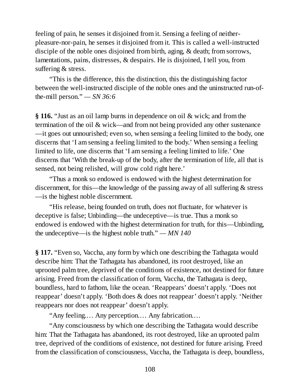feeling of pain, he senses it disjoined from it. Sensing a feeling of neitherpleasure-nor-pain, he senses it disjoined from it. This is called a well-instructed disciple of the noble ones disjoined from birth, aging, & death; from sorrows, lamentations, pains, distresses, & despairs. He is disjoined, I tell you, from suffering & stress.

"This is the difference, this the distinction, this the distinguishing factor between the well-instructed disciple of the noble ones and the uninstructed run-ofthe-mill person." *— SN 36:6*

**§ 116.** "Just as an oil lamp burns in dependence on oil & wick; and from the termination of the oil & wick—and from not being provided any other sustenance —it goes out unnourished; even so, when sensing a feeling limited to the body, one discerns that 'I am sensing a feeling limited to the body.' When sensing a feeling limited to life, one discerns that 'I am sensing a feeling limited to life.' One discerns that 'With the break-up of the body, after the termination of life, all that is sensed, not being relished, will grow cold right here.'

"Thus a monk so endowed is endowed with the highest determination for discernment, for this—the knowledge of the passing away of all suffering & stress —is the highest noble discernment.

"His release, being founded on truth, does not fluctuate, for whatever is deceptive is false; Unbinding—the undeceptive—is true. Thus a monk so endowed is endowed with the highest determination for truth, for this—Unbinding, the undeceptive—is the highest noble truth." *— MN 140*

**§ 117.** "Even so, Vaccha, any form by which one describing the Tathagata would describe him: That the Tathagata has abandoned, its root destroyed, like an uprooted palm tree, deprived of the conditions of existence, not destined for future arising. Freed from the classification of form, Vaccha, the Tathagata is deep, boundless, hard to fathom, like the ocean. 'Reappears' doesn't apply. 'Does not reappear' doesn't apply. 'Both does & does not reappear' doesn't apply. 'Neither reappears nor does not reappear' doesn't apply.

"Any feeling.… Any perception.… Any fabrication.…

"Any consciousness by which one describing the Tathagata would describe him: That the Tathagata has abandoned, its root destroyed, like an uprooted palm tree, deprived of the conditions of existence, not destined for future arising. Freed from the classification of consciousness, Vaccha, the Tathagata is deep, boundless,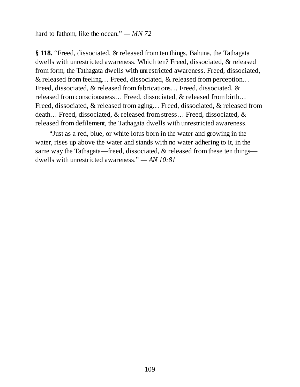hard to fathom, like the ocean." *— MN 72*

**§ 118.** "Freed, dissociated, & released from ten things, Bahuna, the Tathagata dwells with unrestricted awareness. Which ten? Freed, dissociated, & released from form, the Tathagata dwells with unrestricted awareness. Freed, dissociated, & released from feeling… Freed, dissociated, & released from perception… Freed, dissociated, & released from fabrications… Freed, dissociated, & released from consciousness… Freed, dissociated, & released from birth… Freed, dissociated, & released from aging… Freed, dissociated, & released from death… Freed, dissociated, & released from stress… Freed, dissociated, & released from defilement, the Tathagata dwells with unrestricted awareness.

"Just as a red, blue, or white lotus born in the water and growing in the water, rises up above the water and stands with no water adhering to it, in the same way the Tathagata—freed, dissociated, & released from these ten things dwells with unrestricted awareness." *— AN 10:81*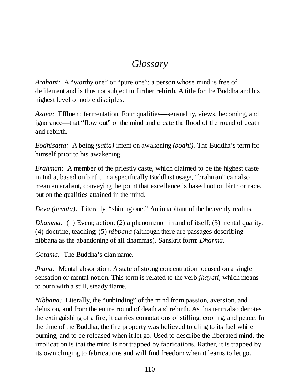## *Glossary*

*Arahant:* A "worthy one" or "pure one"; a person whose mind is free of defilement and is thus not subject to further rebirth. A title for the Buddha and his highest level of noble disciples.

*Asava:* Effluent; fermentation. Four qualities—sensuality, views, becoming, and ignorance—that "flow out" of the mind and create the flood of the round of death and rebirth.

*Bodhisatta:* A being *(satta)* intent on awakening *(bodhi).* The Buddha's term for himself prior to his awakening.

*Brahman:* A member of the priestly caste, which claimed to be the highest caste in India, based on birth. In a specifically Buddhist usage, "brahman" can also mean an arahant, conveying the point that excellence is based not on birth or race, but on the qualities attained in the mind.

*Deva (devata):* Literally, "shining one." An inhabitant of the heavenly realms.

*Dhamma:* (1) Event; action; (2) a phenomenon in and of itself; (3) mental quality; (4) doctrine, teaching; (5) *nibbana* (although there are passages describing nibbana as the abandoning of all dhammas). Sanskrit form: *Dharma.*

*Gotama:* The Buddha's clan name.

*Jhana:* Mental absorption. A state of strong concentration focused on a single sensation or mental notion. This term is related to the verb *jhayati,* which means to burn with a still, steady flame.

*Nibbana:* Literally, the "unbinding" of the mind from passion, aversion, and delusion, and from the entire round of death and rebirth. As this term also denotes the extinguishing of a fire, it carries connotations of stilling, cooling, and peace. In the time of the Buddha, the fire property was believed to cling to its fuel while burning, and to be released when it let go. Used to describe the liberated mind, the implication is that the mind is not trapped by fabrications. Rather, it is trapped by its own clinging to fabrications and will find freedom when it learns to let go.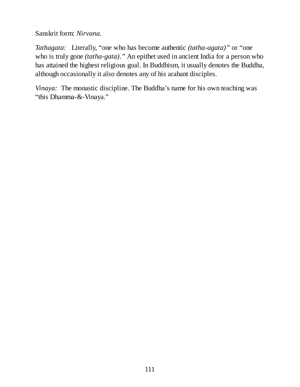Sanskrit form: *Nirvana.*

*Tathagata:* Literally, "one who has become authentic *(tatha-agata)"* or "one who is truly gone *(tatha-gata)."* An epithet used in ancient India for a person who has attained the highest religious goal. In Buddhism, it usually denotes the Buddha, although occasionally it also denotes any of his arahant disciples.

*Vinaya:* The monastic discipline. The Buddha's name for his own teaching was "this Dhamma-&-Vinaya."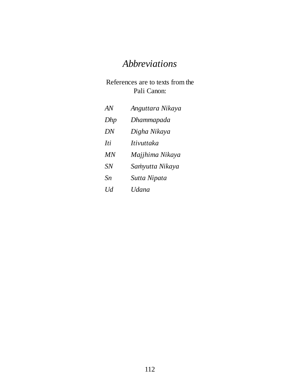## *Abbreviations*

## References are to texts from the Pali Canon:

| AN         | Anguttara Nikaya |
|------------|------------------|
| Dhp        | Dhammapada       |
| DN         | Digha Nikaya     |
| <b>Iti</b> | Itivuttaka       |
| MN         | Majjhima Nikaya  |
| <i>SN</i>  | Samyutta Nikaya  |
| Sn         | Sutta Nipata     |
| Ud         | Udana            |